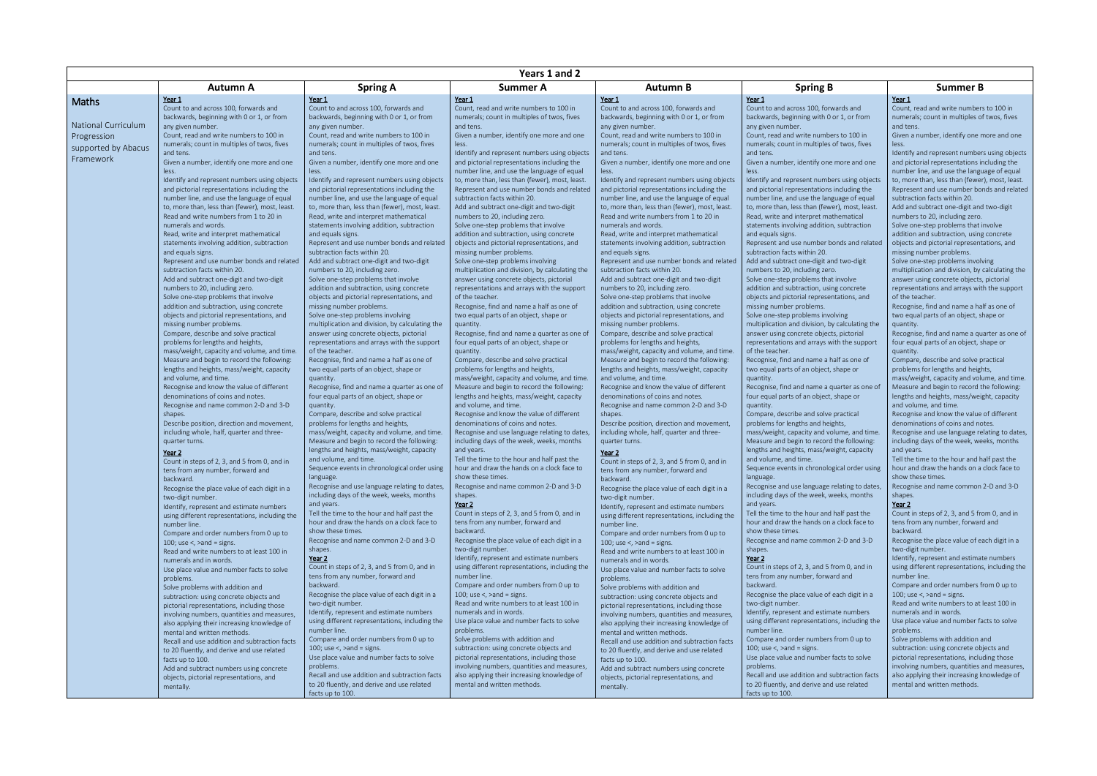|                     | Years 1 and 2                                                              |                                                                                             |                                                                                  |                                                                                        |                                                                                             |                                                                                  |  |  |
|---------------------|----------------------------------------------------------------------------|---------------------------------------------------------------------------------------------|----------------------------------------------------------------------------------|----------------------------------------------------------------------------------------|---------------------------------------------------------------------------------------------|----------------------------------------------------------------------------------|--|--|
|                     | <b>Autumn A</b>                                                            | <b>Spring A</b>                                                                             | Summer A                                                                         | Autumn B                                                                               | <b>Spring B</b>                                                                             | <b>Summer B</b>                                                                  |  |  |
| <b>Maths</b>        | Year 1                                                                     | Year 1                                                                                      | Year 1                                                                           | Year 1                                                                                 | Year 1                                                                                      | Year 1                                                                           |  |  |
|                     | Count to and across 100, forwards and                                      | Count to and across 100, forwards and                                                       | Count, read and write numbers to 100 in                                          | Count to and across 100, forwards and                                                  | Count to and across 100, forwards and                                                       | Count, read and write numbers to 100 in                                          |  |  |
| National Curriculum | backwards, beginning with 0 or 1, or from                                  | backwards, beginning with 0 or 1, or from                                                   | numerals; count in multiples of twos, fives                                      | backwards, beginning with 0 or 1, or from                                              | backwards, beginning with 0 or 1, or from                                                   | numerals; count in multiples of twos, fives                                      |  |  |
|                     | any given number.<br>Count, read and write numbers to 100 in               | any given number.                                                                           | and tens.<br>Given a number, identify one more and one                           | any given number.                                                                      | any given number.<br>Count, read and write numbers to 100 in                                | and tens.<br>Given a number, identify one more and one                           |  |  |
| Progression         | numerals; count in multiples of twos, fives                                | Count, read and write numbers to 100 in<br>numerals; count in multiples of twos, fives      | less.                                                                            | Count, read and write numbers to 100 in<br>numerals; count in multiples of twos, fives | numerals; count in multiples of twos, fives                                                 |                                                                                  |  |  |
| supported by Abacus | and tens.                                                                  | and tens.                                                                                   | Identify and represent numbers using objects                                     | and tens.                                                                              | and tens.                                                                                   | Identify and represent numbers using objects                                     |  |  |
| Framework           | Given a number, identify one more and one                                  | Given a number, identify one more and one                                                   | and pictorial representations including the                                      | Given a number, identify one more and one                                              | Given a number, identify one more and one                                                   | and pictorial representations including the                                      |  |  |
|                     | less.                                                                      | less.                                                                                       | number line, and use the language of equal                                       | less.                                                                                  | less.                                                                                       | number line, and use the language of equal                                       |  |  |
|                     | Identify and represent numbers using objects                               | Identify and represent numbers using objects                                                | to, more than, less than (fewer), most, least.                                   | Identify and represent numbers using objects                                           | Identify and represent numbers using objects                                                | to, more than, less than (fewer), most, least.                                   |  |  |
|                     | and pictorial representations including the                                | and pictorial representations including the                                                 | Represent and use number bonds and related                                       | and pictorial representations including the                                            | and pictorial representations including the                                                 | Represent and use number bonds and related                                       |  |  |
|                     | number line, and use the language of equal                                 | number line, and use the language of equal                                                  | subtraction facts within 20.                                                     | number line, and use the language of equal                                             | number line, and use the language of equal                                                  | subtraction facts within 20.                                                     |  |  |
|                     | to, more than, less than (fewer), most, least.                             | to, more than, less than (fewer), most, least.                                              | Add and subtract one-digit and two-digit                                         | to, more than, less than (fewer), most, least.                                         | to, more than, less than (fewer), most, least.                                              | Add and subtract one-digit and two-digit                                         |  |  |
|                     | Read and write numbers from 1 to 20 in<br>numerals and words.              | Read, write and interpret mathematical                                                      | numbers to 20, including zero.                                                   | Read and write numbers from 1 to 20 in<br>numerals and words.                          | Read, write and interpret mathematical                                                      | numbers to 20, including zero.                                                   |  |  |
|                     | Read, write and interpret mathematical                                     | statements involving addition, subtraction<br>and equals signs.                             | Solve one-step problems that involve<br>addition and subtraction, using concrete | Read, write and interpret mathematical                                                 | statements involving addition, subtraction<br>and equals signs.                             | Solve one-step problems that involve<br>addition and subtraction, using concrete |  |  |
|                     | statements involving addition, subtraction                                 | Represent and use number bonds and related                                                  | objects and pictorial representations, and                                       | statements involving addition, subtraction                                             | Represent and use number bonds and related                                                  | objects and pictorial representations, and                                       |  |  |
|                     | and equals signs.                                                          | subtraction facts within 20.                                                                | missing number problems.                                                         | and equals signs.                                                                      | subtraction facts within 20.                                                                | missing number problems.                                                         |  |  |
|                     | Represent and use number bonds and related                                 | Add and subtract one-digit and two-digit                                                    | Solve one-step problems involving                                                | Represent and use number bonds and related                                             | Add and subtract one-digit and two-digit                                                    | Solve one-step problems involving                                                |  |  |
|                     | subtraction facts within 20.                                               | numbers to 20, including zero.                                                              | multiplication and division, by calculating the                                  | subtraction facts within 20.                                                           | numbers to 20, including zero.                                                              | multiplication and division, by calculating the                                  |  |  |
|                     | Add and subtract one-digit and two-digit                                   | Solve one-step problems that involve                                                        | answer using concrete objects, pictorial                                         | Add and subtract one-digit and two-digit                                               | Solve one-step problems that involve                                                        | answer using concrete objects, pictorial                                         |  |  |
|                     | numbers to 20, including zero.                                             | addition and subtraction, using concrete                                                    | representations and arrays with the support                                      | numbers to 20, including zero.                                                         | addition and subtraction, using concrete                                                    | representations and arrays with the support                                      |  |  |
|                     | Solve one-step problems that involve                                       | objects and pictorial representations, and                                                  | of the teacher.                                                                  | Solve one-step problems that involve                                                   | objects and pictorial representations, and                                                  | of the teacher.                                                                  |  |  |
|                     | addition and subtraction, using concrete                                   | missing number problems.                                                                    | Recognise, find and name a half as one of                                        | addition and subtraction, using concrete                                               | missing number problems.                                                                    | Recognise, find and name a half as one of                                        |  |  |
|                     | objects and pictorial representations, and                                 | Solve one-step problems involving                                                           | two equal parts of an object, shape or                                           | objects and pictorial representations, and                                             | Solve one-step problems involving                                                           | two equal parts of an object, shape or                                           |  |  |
|                     | missing number problems.<br>Compare, describe and solve practical          | multiplication and division, by calculating the<br>answer using concrete objects, pictorial | quantity.<br>Recognise, find and name a quarter as one of                        | missing number problems.<br>Compare, describe and solve practical                      | multiplication and division, by calculating the<br>answer using concrete objects, pictorial | quantity.<br>Recognise, find and name a quarter as one of                        |  |  |
|                     | problems for lengths and heights,                                          | representations and arrays with the support                                                 | four equal parts of an object, shape or                                          | problems for lengths and heights,                                                      | representations and arrays with the support                                                 | four equal parts of an object, shape or                                          |  |  |
|                     | mass/weight, capacity and volume, and time.                                | of the teacher.                                                                             | quantity.                                                                        | mass/weight, capacity and volume, and time.                                            | of the teacher.                                                                             | quantity.                                                                        |  |  |
|                     | Measure and begin to record the following:                                 | Recognise, find and name a half as one of                                                   | Compare, describe and solve practical                                            | Measure and begin to record the following:                                             | Recognise, find and name a half as one of                                                   | Compare, describe and solve practical                                            |  |  |
|                     | lengths and heights, mass/weight, capacity                                 | two equal parts of an object, shape or                                                      | problems for lengths and heights,                                                | lengths and heights, mass/weight, capacity                                             | two equal parts of an object, shape or                                                      | problems for lengths and heights,                                                |  |  |
|                     | and volume, and time.                                                      | quantity.                                                                                   | mass/weight, capacity and volume, and time.                                      | and volume, and time.                                                                  | quantity.                                                                                   | mass/weight, capacity and volume, and time.                                      |  |  |
|                     | Recognise and know the value of different                                  | Recognise, find and name a quarter as one of                                                | Measure and begin to record the following:                                       | Recognise and know the value of different                                              | Recognise, find and name a quarter as one of                                                | Measure and begin to record the following:                                       |  |  |
|                     | denominations of coins and notes.                                          | four equal parts of an object, shape or                                                     | lengths and heights, mass/weight, capacity                                       | denominations of coins and notes.                                                      | four equal parts of an object, shape or                                                     | lengths and heights, mass/weight, capacity                                       |  |  |
|                     | Recognise and name common 2-D and 3-D                                      | quantity.                                                                                   | and volume, and time.                                                            | Recognise and name common 2-D and 3-D                                                  | quantity.                                                                                   | and volume, and time.                                                            |  |  |
|                     | shapes.<br>Describe position, direction and movement                       | Compare, describe and solve practical<br>problems for lengths and heights,                  | Recognise and know the value of different<br>denominations of coins and notes.   | shapes.<br>Describe position, direction and movement,                                  | Compare, describe and solve practical<br>problems for lengths and heights,                  | Recognise and know the value of different<br>denominations of coins and notes.   |  |  |
|                     | including whole, half, quarter and three-                                  | mass/weight, capacity and volume, and time.                                                 | Recognise and use language relating to dates,                                    | including whole, half, quarter and three-                                              | mass/weight, capacity and volume, and time.                                                 | Recognise and use language relating to dates,                                    |  |  |
|                     | quarter turns.                                                             | Measure and begin to record the following:                                                  | including days of the week, weeks, months                                        | quarter turns.                                                                         | Measure and begin to record the following:                                                  | including days of the week, weeks, months                                        |  |  |
|                     | Year 2                                                                     | lengths and heights, mass/weight, capacity                                                  | and years.                                                                       | Year 2                                                                                 | lengths and heights, mass/weight, capacity                                                  | and years.                                                                       |  |  |
|                     | Count in steps of 2, 3, and 5 from 0, and in                               | and volume, and time.                                                                       | Tell the time to the hour and half past the                                      | Count in steps of 2, 3, and 5 from 0, and in                                           | and volume, and time.                                                                       | Tell the time to the hour and half past the                                      |  |  |
|                     | tens from any number, forward and                                          | Sequence events in chronological order using                                                | hour and draw the hands on a clock face to                                       | tens from any number, forward and                                                      | Sequence events in chronological order using                                                | hour and draw the hands on a clock face to                                       |  |  |
|                     | backward.                                                                  | language.                                                                                   | show these times.                                                                | backward.                                                                              | language.                                                                                   | show these times.                                                                |  |  |
|                     | Recognise the place value of each digit in a                               | Recognise and use language relating to dates,                                               | Recognise and name common 2-D and 3-D                                            | Recognise the place value of each digit in a                                           | Recognise and use language relating to dates,                                               | Recognise and name common 2-D and 3-D                                            |  |  |
|                     | two-digit number.                                                          | including days of the week, weeks, months                                                   | shapes.                                                                          | two-digit number.                                                                      | including days of the week, weeks, months                                                   | shapes.                                                                          |  |  |
|                     | Identify, represent and estimate numbers                                   | and years.<br>Tell the time to the hour and half past the                                   | Year 2<br>Count in steps of 2, 3, and 5 from 0, and in                           | Identify, represent and estimate numbers                                               | and years.<br>Tell the time to the hour and half past the                                   | Year 2<br>Count in steps of 2, 3, and 5 from 0, and in                           |  |  |
|                     | using different representations, including the                             | hour and draw the hands on a clock face to                                                  | tens from any number, forward and                                                | using different representations, including the                                         | hour and draw the hands on a clock face to                                                  | tens from any number, forward and                                                |  |  |
|                     | number line.<br>Compare and order numbers from 0 up to                     | show these times.                                                                           | backward.                                                                        | number line.<br>Compare and order numbers from 0 up to                                 | show these times.                                                                           | backward.                                                                        |  |  |
|                     | 100; use $\lt$ , $\gt$ and = signs.                                        | Recognise and name common 2-D and 3-D                                                       | Recognise the place value of each digit in a                                     | 100; use $\lt$ , $\gt$ and = signs.                                                    | Recognise and name common 2-D and 3-D                                                       | Recognise the place value of each digit in a                                     |  |  |
|                     | Read and write numbers to at least 100 in                                  | shapes.                                                                                     | two-digit number.                                                                | Read and write numbers to at least 100 in                                              | shapes.                                                                                     | two-digit number.                                                                |  |  |
|                     | numerals and in words.                                                     | Year 2                                                                                      | Identify, represent and estimate numbers                                         | numerals and in words.                                                                 | Year 2                                                                                      | Identify, represent and estimate numbers                                         |  |  |
|                     | Use place value and number facts to solve                                  | Count in steps of 2, 3, and 5 from 0, and in                                                | using different representations, including the                                   | Use place value and number facts to solve                                              | Count in steps of 2, 3, and 5 from 0, and in                                                | using different representations, including the                                   |  |  |
|                     | problems.                                                                  | tens from any number, forward and                                                           | number line.                                                                     | problems.                                                                              | tens from any number, forward and                                                           | number line.                                                                     |  |  |
|                     | Solve problems with addition and                                           | backward.                                                                                   | Compare and order numbers from 0 up to                                           | Solve problems with addition and                                                       | backward.                                                                                   | Compare and order numbers from 0 up to                                           |  |  |
|                     | subtraction: using concrete objects and                                    | Recognise the place value of each digit in a                                                | 100; use $\lt$ , $\gt$ and = signs.<br>Read and write numbers to at least 100 in | subtraction: using concrete objects and                                                | Recognise the place value of each digit in a                                                | 100; use $\lt$ , $\gt$ and = signs.<br>Read and write numbers to at least 100 in |  |  |
|                     | pictorial representations, including those                                 | two-digit number.<br>Identify, represent and estimate numbers                               | numerals and in words.                                                           | pictorial representations, including those                                             | two-digit number.<br>Identify, represent and estimate numbers                               | numerals and in words.                                                           |  |  |
|                     | involving numbers, quantities and measures,                                | using different representations, including the                                              | Use place value and number facts to solve                                        | involving numbers, quantities and measures,                                            | using different representations, including the                                              | Use place value and number facts to solve                                        |  |  |
|                     | also applying their increasing knowledge of<br>mental and written methods. | number line.                                                                                | problems.                                                                        | also applying their increasing knowledge of<br>mental and written methods.             | number line.                                                                                | problems.                                                                        |  |  |
|                     | Recall and use addition and subtraction facts                              | Compare and order numbers from 0 up to                                                      | Solve problems with addition and                                                 | Recall and use addition and subtraction facts                                          | Compare and order numbers from 0 up to                                                      | Solve problems with addition and                                                 |  |  |
|                     | to 20 fluently, and derive and use related                                 | 100; use $\lt$ , $\gt$ and = signs.                                                         | subtraction: using concrete objects and                                          | to 20 fluently, and derive and use related                                             | 100; use $\lt$ , $>$ and = signs.                                                           | subtraction: using concrete objects and                                          |  |  |
|                     | facts up to 100.                                                           | Use place value and number facts to solve                                                   | pictorial representations, including those                                       | facts up to 100.                                                                       | Use place value and number facts to solve                                                   | pictorial representations, including those                                       |  |  |
|                     | Add and subtract numbers using concrete                                    | problems.                                                                                   | involving numbers, quantities and measures,                                      | Add and subtract numbers using concrete                                                | problems.                                                                                   | involving numbers, quantities and measures,                                      |  |  |
|                     | objects, pictorial representations, and                                    | Recall and use addition and subtraction facts                                               | also applying their increasing knowledge of                                      | objects, pictorial representations, and                                                | Recall and use addition and subtraction facts                                               | also applying their increasing knowledge of                                      |  |  |
|                     | mentally.                                                                  | to 20 fluently, and derive and use related                                                  | mental and written methods.                                                      | mentally.                                                                              | to 20 fluently, and derive and use related                                                  | mental and written methods.                                                      |  |  |
|                     |                                                                            | facts up to 100.                                                                            |                                                                                  |                                                                                        | facts up to 100.                                                                            |                                                                                  |  |  |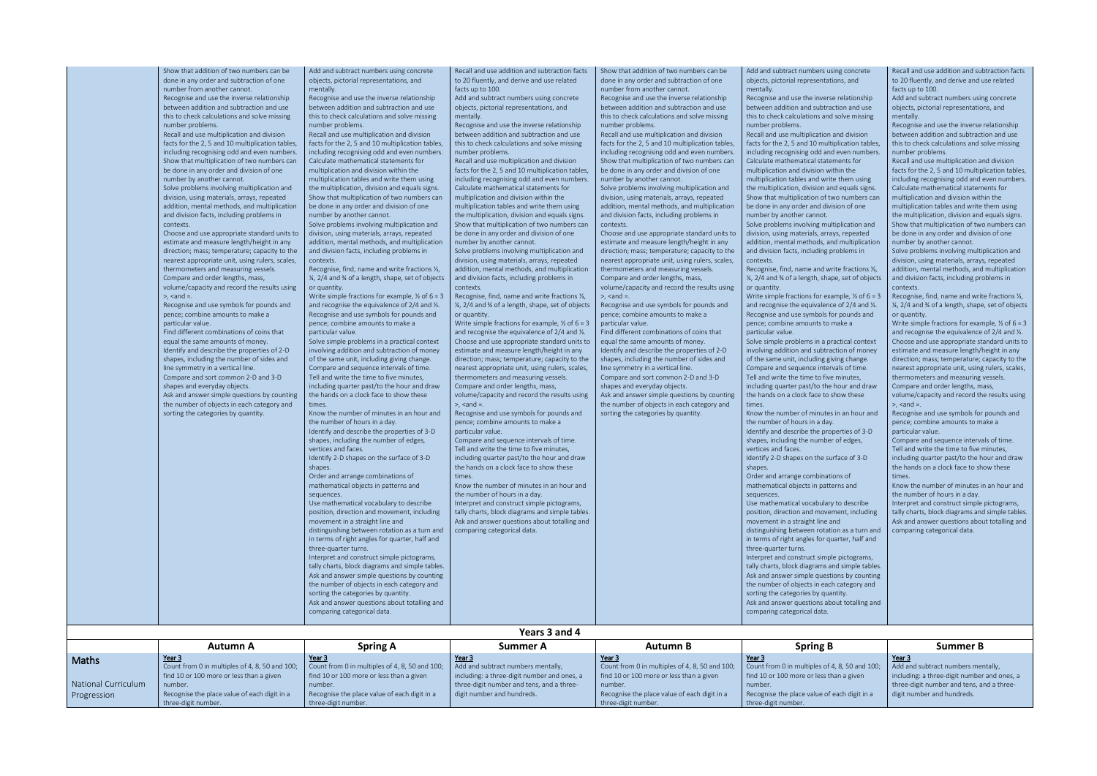|                                    | Show that addition of two numbers can be<br>done in any order and subtraction of one<br>number from another cannot.<br>Recognise and use the inverse relationship<br>between addition and subtraction and use<br>this to check calculations and solve missing<br>number problems.<br>Recall and use multiplication and division<br>facts for the 2, 5 and 10 multiplication tables,<br>including recognising odd and even numbers.<br>Show that multiplication of two numbers can<br>be done in any order and division of one<br>number by another cannot.<br>Solve problems involving multiplication and<br>division, using materials, arrays, repeated<br>addition, mental methods, and multiplication<br>and division facts, including problems in<br>contexts.<br>Choose and use appropriate standard units to<br>estimate and measure length/height in any<br>direction; mass; temperature; capacity to the<br>nearest appropriate unit, using rulers, scales,<br>thermometers and measuring vessels.<br>Compare and order lengths, mass,<br>volume/capacity and record the results using<br>$>$ , $<$ and =.<br>Recognise and use symbols for pounds and<br>pence; combine amounts to make a<br>particular value.<br>Find different combinations of coins that<br>equal the same amounts of money<br>Identify and describe the properties of 2-D<br>shapes, including the number of sides and<br>line symmetry in a vertical line.<br>Compare and sort common 2-D and 3-D<br>shapes and everyday objects.<br>Ask and answer simple questions by counting<br>the number of objects in each category and<br>sorting the categories by quantity. | Add and subtract numbers using concrete<br>objects, pictorial representations, and<br>mentally.<br>Recognise and use the inverse relationship<br>between addition and subtraction and use<br>this to check calculations and solve missing<br>number problems.<br>Recall and use multiplication and division<br>facts for the 2, 5 and 10 multiplication tables,<br>including recognising odd and even numbers.<br>Calculate mathematical statements for<br>multiplication and division within the<br>multiplication tables and write them using<br>the multiplication, division and equals signs.<br>Show that multiplication of two numbers can<br>be done in any order and division of one<br>number by another cannot.<br>Solve problems involving multiplication and<br>division, using materials, arrays, repeated<br>addition, mental methods, and multiplication<br>and division facts, including problems in<br>contexts.<br>Recognise, find, name and write fractions %,<br>1/4, 2/4 and 3/4 of a length, shape, set of objects<br>or quantity.<br>Write simple fractions for example, $\frac{1}{2}$ of 6 = 3<br>and recognise the equivalence of 2/4 and 1/2.<br>Recognise and use symbols for pounds and<br>pence: combine amounts to make a<br>particular value.<br>Solve simple problems in a practical context<br>involving addition and subtraction of money<br>of the same unit, including giving change.<br>Compare and sequence intervals of time.<br>Tell and write the time to five minutes,<br>including quarter past/to the hour and draw<br>the hands on a clock face to show these<br>times.<br>Know the number of minutes in an hour and<br>the number of hours in a day.<br>Identify and describe the properties of 3-D<br>shapes, including the number of edges,<br>vertices and faces.<br>Identify 2-D shapes on the surface of 3-D<br>shapes.<br>Order and arrange combinations of<br>mathematical objects in patterns and<br>sequences.<br>Use mathematical vocabulary to describe<br>position, direction and movement, including<br>movement in a straight line and | Recall and use addition and subtraction facts<br>to 20 fluently, and derive and use related<br>facts up to 100.<br>Add and subtract numbers using concrete<br>objects, pictorial representations, and<br>mentally.<br>Recognise and use the inverse relationship<br>between addition and subtraction and use<br>this to check calculations and solve missing<br>number problems.<br>Recall and use multiplication and division<br>facts for the 2, 5 and 10 multiplication tables,<br>including recognising odd and even numbers.<br>Calculate mathematical statements for<br>multiplication and division within the<br>multiplication tables and write them using<br>the multiplication, division and equals signs.<br>Show that multiplication of two numbers can<br>be done in any order and division of one<br>number by another cannot.<br>Solve problems involving multiplication and<br>division, using materials, arrays, repeated<br>addition, mental methods, and multiplication<br>and division facts, including problems in<br>contexts.<br>Recognise, find, name and write fractions 1/3,<br>1/4, 2/4 and 3/4 of a length, shape, set of objects<br>or quantity.<br>Write simple fractions for example, $\frac{1}{2}$ of 6 = 3<br>and recognise the equivalence of 2/4 and 1/2.<br>Choose and use appropriate standard units to<br>estimate and measure length/height in any<br>direction; mass; temperature; capacity to the<br>nearest appropriate unit, using rulers, scales,<br>thermometers and measuring vessels.<br>Compare and order lengths, mass,<br>volume/capacity and record the results using<br>$>$ , $<$ and $=$ .<br>Recognise and use symbols for pounds and<br>pence; combine amounts to make a<br>particular value.<br>Compare and sequence intervals of time.<br>Tell and write the time to five minutes,<br>including quarter past/to the hour and draw<br>the hands on a clock face to show these<br>times.<br>Know the number of minutes in an hour and<br>the number of hours in a day.<br>Interpret and construct simple pictograms,<br>tally charts, block diagrams and simple tables.<br>Ask and answer questions about totalling and | Show that addition of two numbers can be<br>done in any order and subtraction of one<br>number from another cannot.<br>Recognise and use the inverse relationship<br>between addition and subtraction and use<br>this to check calculations and solve missing<br>number problems.<br>Recall and use multiplication and division<br>facts for the 2, 5 and 10 multiplication tables<br>including recognising odd and even numbers<br>Show that multiplication of two numbers can<br>be done in any order and division of one<br>number by another cannot.<br>Solve problems involving multiplication and<br>division, using materials, arrays, repeated<br>addition, mental methods, and multiplication<br>and division facts, including problems in<br>contexts.<br>Choose and use appropriate standard units to<br>estimate and measure length/height in any<br>direction; mass; temperature; capacity to the<br>nearest appropriate unit, using rulers, scales,<br>thermometers and measuring vessels.<br>Compare and order lengths, mass,<br>volume/capacity and record the results using<br>$>$ , $<$ and =.<br>Recognise and use symbols for pounds and<br>pence; combine amounts to make a<br>particular value.<br>Find different combinations of coins that<br>equal the same amounts of money.<br>Identify and describe the properties of 2-D<br>shapes, including the number of sides and<br>line symmetry in a vertical line.<br>Compare and sort common 2-D and 3-D<br>shapes and everyday objects.<br>Ask and answer simple questions by counting<br>the number of objects in each category and<br>sorting the categories by quantity. | Add and subtract numbers using concrete<br>objects, pictorial representations, and<br>mentally.<br>Recognise and use the inverse relationship<br>between addition and subtraction and use<br>this to check calculations and solve missing<br>number problems.<br>Recall and use multiplication and division<br>facts for the 2, 5 and 10 multiplication tables,<br>including recognising odd and even numbers.<br>Calculate mathematical statements for<br>multiplication and division within the<br>multiplication tables and write them using<br>the multiplication, division and equals signs.<br>Show that multiplication of two numbers can<br>be done in any order and division of one<br>number by another cannot.<br>Solve problems involving multiplication and<br>division, using materials, arrays, repeated<br>addition, mental methods, and multiplication<br>and division facts, including problems in<br>contexts.<br>Recognise, find, name and write fractions 1/3,<br>1/4, 2/4 and 3/4 of a length, shape, set of objects<br>or quantity.<br>Write simple fractions for example, $\frac{1}{2}$ of 6 = 3<br>and recognise the equivalence of 2/4 and 1/2.<br>Recognise and use symbols for pounds and<br>pence: combine amounts to make a<br>particular value.<br>Solve simple problems in a practical context<br>involving addition and subtraction of money<br>of the same unit, including giving change.<br>Compare and sequence intervals of time.<br>Tell and write the time to five minutes,<br>including quarter past/to the hour and draw<br>the hands on a clock face to show these<br>times.<br>Know the number of minutes in an hour and<br>the number of hours in a day.<br>Identify and describe the properties of 3-D<br>shapes, including the number of edges,<br>vertices and faces.<br>Identify 2-D shapes on the surface of 3-D<br>shapes.<br>Order and arrange combinations of<br>mathematical objects in patterns and<br>sequences.<br>Use mathematical vocabulary to describe<br>position, direction and movement, including<br>movement in a straight line and | Recall and use addition and subtraction facts<br>to 20 fluently, and derive and use related<br>facts up to 100.<br>Add and subtract numbers using concrete<br>objects, pictorial representations, and<br>mentally.<br>Recognise and use the inverse relationship<br>between addition and subtraction and use<br>this to check calculations and solve missing<br>number problems.<br>Recall and use multiplication and division<br>facts for the 2, 5 and 10 multiplication tables,<br>including recognising odd and even numbers.<br>Calculate mathematical statements for<br>multiplication and division within the<br>multiplication tables and write them using<br>the multiplication, division and equals signs.<br>Show that multiplication of two numbers can<br>be done in any order and division of one<br>number by another cannot.<br>Solve problems involving multiplication and<br>division, using materials, arrays, repeated<br>addition, mental methods, and multiplication<br>and division facts, including problems in<br>contexts.<br>Recognise, find, name and write fractions 1/3,<br>1/4, 2/4 and 3/4 of a length, shape, set of objects<br>or quantity.<br>Write simple fractions for example, $\frac{1}{2}$ of 6 = 3<br>and recognise the equivalence of 2/4 and 1/2.<br>Choose and use appropriate standard units to<br>estimate and measure length/height in any<br>direction; mass; temperature; capacity to the<br>nearest appropriate unit, using rulers, scales,<br>thermometers and measuring vessels.<br>Compare and order lengths, mass,<br>volume/capacity and record the results using<br>$>$ , $\leq$ and $=$ .<br>Recognise and use symbols for pounds and<br>pence; combine amounts to make a<br>particular value.<br>Compare and sequence intervals of time.<br>Tell and write the time to five minutes,<br>including quarter past/to the hour and draw<br>the hands on a clock face to show these<br>Know the number of minutes in an hour and<br>the number of hours in a day.<br>Interpret and construct simple pictograms,<br>tally charts, block diagrams and simple tables.<br>Ask and answer questions about totalling and |  |  |  |
|------------------------------------|-----------------------------------------------------------------------------------------------------------------------------------------------------------------------------------------------------------------------------------------------------------------------------------------------------------------------------------------------------------------------------------------------------------------------------------------------------------------------------------------------------------------------------------------------------------------------------------------------------------------------------------------------------------------------------------------------------------------------------------------------------------------------------------------------------------------------------------------------------------------------------------------------------------------------------------------------------------------------------------------------------------------------------------------------------------------------------------------------------------------------------------------------------------------------------------------------------------------------------------------------------------------------------------------------------------------------------------------------------------------------------------------------------------------------------------------------------------------------------------------------------------------------------------------------------------------------------------------------------------------------------------------------------|----------------------------------------------------------------------------------------------------------------------------------------------------------------------------------------------------------------------------------------------------------------------------------------------------------------------------------------------------------------------------------------------------------------------------------------------------------------------------------------------------------------------------------------------------------------------------------------------------------------------------------------------------------------------------------------------------------------------------------------------------------------------------------------------------------------------------------------------------------------------------------------------------------------------------------------------------------------------------------------------------------------------------------------------------------------------------------------------------------------------------------------------------------------------------------------------------------------------------------------------------------------------------------------------------------------------------------------------------------------------------------------------------------------------------------------------------------------------------------------------------------------------------------------------------------------------------------------------------------------------------------------------------------------------------------------------------------------------------------------------------------------------------------------------------------------------------------------------------------------------------------------------------------------------------------------------------------------------------------------------------------------------------------------------------------------------------------------------------|--------------------------------------------------------------------------------------------------------------------------------------------------------------------------------------------------------------------------------------------------------------------------------------------------------------------------------------------------------------------------------------------------------------------------------------------------------------------------------------------------------------------------------------------------------------------------------------------------------------------------------------------------------------------------------------------------------------------------------------------------------------------------------------------------------------------------------------------------------------------------------------------------------------------------------------------------------------------------------------------------------------------------------------------------------------------------------------------------------------------------------------------------------------------------------------------------------------------------------------------------------------------------------------------------------------------------------------------------------------------------------------------------------------------------------------------------------------------------------------------------------------------------------------------------------------------------------------------------------------------------------------------------------------------------------------------------------------------------------------------------------------------------------------------------------------------------------------------------------------------------------------------------------------------------------------------------------------------------------------------------------------------------------------------------------------------------------------------------------------------------------------------------------------------------------|----------------------------------------------------------------------------------------------------------------------------------------------------------------------------------------------------------------------------------------------------------------------------------------------------------------------------------------------------------------------------------------------------------------------------------------------------------------------------------------------------------------------------------------------------------------------------------------------------------------------------------------------------------------------------------------------------------------------------------------------------------------------------------------------------------------------------------------------------------------------------------------------------------------------------------------------------------------------------------------------------------------------------------------------------------------------------------------------------------------------------------------------------------------------------------------------------------------------------------------------------------------------------------------------------------------------------------------------------------------------------------------------------------------------------------------------------------------------------------------------------------------------------------------------------------------------------------------------------------------------------------------------------|------------------------------------------------------------------------------------------------------------------------------------------------------------------------------------------------------------------------------------------------------------------------------------------------------------------------------------------------------------------------------------------------------------------------------------------------------------------------------------------------------------------------------------------------------------------------------------------------------------------------------------------------------------------------------------------------------------------------------------------------------------------------------------------------------------------------------------------------------------------------------------------------------------------------------------------------------------------------------------------------------------------------------------------------------------------------------------------------------------------------------------------------------------------------------------------------------------------------------------------------------------------------------------------------------------------------------------------------------------------------------------------------------------------------------------------------------------------------------------------------------------------------------------------------------------------------------------------------------------------------------------------------------------------------------------------------------------------------------------------------------------------------------------------------------------------------------------------------------------------------------------------------------------------------------------------------------------------------------------------------------------------------------------------------------------------------------------------------------|-------------------------------------------------------------------------------------------------------------------------------------------------------------------------------------------------------------------------------------------------------------------------------------------------------------------------------------------------------------------------------------------------------------------------------------------------------------------------------------------------------------------------------------------------------------------------------------------------------------------------------------------------------------------------------------------------------------------------------------------------------------------------------------------------------------------------------------------------------------------------------------------------------------------------------------------------------------------------------------------------------------------------------------------------------------------------------------------------------------------------------------------------------------------------------------------------------------------------------------------------------------------------------------------------------------------------------------------------------------------------------------------------------------------------------------------------------------------------------------------------------------------------------------------------------------------------------------------------------------------------------------------------------------------------------------------------------------------------------------------------------------------------------------------------------------------------------------------------------------------------------------------------------------------------------------------------------------------------------------------------------------------------------------------------------------------------------------------------------------------------------------------------------------------------|--|--|--|
|                                    |                                                                                                                                                                                                                                                                                                                                                                                                                                                                                                                                                                                                                                                                                                                                                                                                                                                                                                                                                                                                                                                                                                                                                                                                                                                                                                                                                                                                                                                                                                                                                                                                                                                     | distinguishing between rotation as a turn and<br>in terms of right angles for quarter, half and<br>three-quarter turns.<br>Interpret and construct simple pictograms,<br>tally charts, block diagrams and simple tables.<br>Ask and answer simple questions by counting<br>the number of objects in each category and<br>sorting the categories by quantity.<br>Ask and answer questions about totalling and<br>comparing categorical data.                                                                                                                                                                                                                                                                                                                                                                                                                                                                                                                                                                                                                                                                                                                                                                                                                                                                                                                                                                                                                                                                                                                                                                                                                                                                                                                                                                                                                                                                                                                                                                                                                                                        | comparing categorical data.                                                                                                                                                                                                                                                                                                                                                                                                                                                                                                                                                                                                                                                                                                                                                                                                                                                                                                                                                                                                                                                                                                                                                                                                                                                                                                                                                                                                                                                                                                                                                                                                                                                                                                                                                                                                                                                                                                                                                                                                                                                                                                                                                    |                                                                                                                                                                                                                                                                                                                                                                                                                                                                                                                                                                                                                                                                                                                                                                                                                                                                                                                                                                                                                                                                                                                                                                                                                                                                                                                                                                                                                                                                                                                                                                                                                                                    | distinguishing between rotation as a turn and<br>in terms of right angles for quarter, half and<br>three-quarter turns.<br>Interpret and construct simple pictograms,<br>tally charts, block diagrams and simple tables.<br>Ask and answer simple questions by counting<br>the number of objects in each category and<br>sorting the categories by quantity.<br>Ask and answer questions about totalling and<br>comparing categorical data.                                                                                                                                                                                                                                                                                                                                                                                                                                                                                                                                                                                                                                                                                                                                                                                                                                                                                                                                                                                                                                                                                                                                                                                                                                                                                                                                                                                                                                                                                                                                                                                                                                                          | comparing categorical data.                                                                                                                                                                                                                                                                                                                                                                                                                                                                                                                                                                                                                                                                                                                                                                                                                                                                                                                                                                                                                                                                                                                                                                                                                                                                                                                                                                                                                                                                                                                                                                                                                                                                                                                                                                                                                                                                                                                                                                                                                                                                                                                                             |  |  |  |
| Years 3 and 4                      |                                                                                                                                                                                                                                                                                                                                                                                                                                                                                                                                                                                                                                                                                                                                                                                                                                                                                                                                                                                                                                                                                                                                                                                                                                                                                                                                                                                                                                                                                                                                                                                                                                                     |                                                                                                                                                                                                                                                                                                                                                                                                                                                                                                                                                                                                                                                                                                                                                                                                                                                                                                                                                                                                                                                                                                                                                                                                                                                                                                                                                                                                                                                                                                                                                                                                                                                                                                                                                                                                                                                                                                                                                                                                                                                                                                    |                                                                                                                                                                                                                                                                                                                                                                                                                                                                                                                                                                                                                                                                                                                                                                                                                                                                                                                                                                                                                                                                                                                                                                                                                                                                                                                                                                                                                                                                                                                                                                                                                                                                                                                                                                                                                                                                                                                                                                                                                                                                                                                                                                                |                                                                                                                                                                                                                                                                                                                                                                                                                                                                                                                                                                                                                                                                                                                                                                                                                                                                                                                                                                                                                                                                                                                                                                                                                                                                                                                                                                                                                                                                                                                                                                                                                                                    |                                                                                                                                                                                                                                                                                                                                                                                                                                                                                                                                                                                                                                                                                                                                                                                                                                                                                                                                                                                                                                                                                                                                                                                                                                                                                                                                                                                                                                                                                                                                                                                                                                                                                                                                                                                                                                                                                                                                                                                                                                                                                                      |                                                                                                                                                                                                                                                                                                                                                                                                                                                                                                                                                                                                                                                                                                                                                                                                                                                                                                                                                                                                                                                                                                                                                                                                                                                                                                                                                                                                                                                                                                                                                                                                                                                                                                                                                                                                                                                                                                                                                                                                                                                                                                                                                                         |  |  |  |
|                                    | <b>Autumn A</b>                                                                                                                                                                                                                                                                                                                                                                                                                                                                                                                                                                                                                                                                                                                                                                                                                                                                                                                                                                                                                                                                                                                                                                                                                                                                                                                                                                                                                                                                                                                                                                                                                                     | <b>Spring A</b>                                                                                                                                                                                                                                                                                                                                                                                                                                                                                                                                                                                                                                                                                                                                                                                                                                                                                                                                                                                                                                                                                                                                                                                                                                                                                                                                                                                                                                                                                                                                                                                                                                                                                                                                                                                                                                                                                                                                                                                                                                                                                    | <b>Summer A</b>                                                                                                                                                                                                                                                                                                                                                                                                                                                                                                                                                                                                                                                                                                                                                                                                                                                                                                                                                                                                                                                                                                                                                                                                                                                                                                                                                                                                                                                                                                                                                                                                                                                                                                                                                                                                                                                                                                                                                                                                                                                                                                                                                                | <b>Autumn B</b>                                                                                                                                                                                                                                                                                                                                                                                                                                                                                                                                                                                                                                                                                                                                                                                                                                                                                                                                                                                                                                                                                                                                                                                                                                                                                                                                                                                                                                                                                                                                                                                                                                    | <b>Spring B</b>                                                                                                                                                                                                                                                                                                                                                                                                                                                                                                                                                                                                                                                                                                                                                                                                                                                                                                                                                                                                                                                                                                                                                                                                                                                                                                                                                                                                                                                                                                                                                                                                                                                                                                                                                                                                                                                                                                                                                                                                                                                                                      | <b>Summer B</b>                                                                                                                                                                                                                                                                                                                                                                                                                                                                                                                                                                                                                                                                                                                                                                                                                                                                                                                                                                                                                                                                                                                                                                                                                                                                                                                                                                                                                                                                                                                                                                                                                                                                                                                                                                                                                                                                                                                                                                                                                                                                                                                                                         |  |  |  |
|                                    | Year 3                                                                                                                                                                                                                                                                                                                                                                                                                                                                                                                                                                                                                                                                                                                                                                                                                                                                                                                                                                                                                                                                                                                                                                                                                                                                                                                                                                                                                                                                                                                                                                                                                                              | Year 3                                                                                                                                                                                                                                                                                                                                                                                                                                                                                                                                                                                                                                                                                                                                                                                                                                                                                                                                                                                                                                                                                                                                                                                                                                                                                                                                                                                                                                                                                                                                                                                                                                                                                                                                                                                                                                                                                                                                                                                                                                                                                             | Year 3                                                                                                                                                                                                                                                                                                                                                                                                                                                                                                                                                                                                                                                                                                                                                                                                                                                                                                                                                                                                                                                                                                                                                                                                                                                                                                                                                                                                                                                                                                                                                                                                                                                                                                                                                                                                                                                                                                                                                                                                                                                                                                                                                                         | Year 3                                                                                                                                                                                                                                                                                                                                                                                                                                                                                                                                                                                                                                                                                                                                                                                                                                                                                                                                                                                                                                                                                                                                                                                                                                                                                                                                                                                                                                                                                                                                                                                                                                             | Year 3                                                                                                                                                                                                                                                                                                                                                                                                                                                                                                                                                                                                                                                                                                                                                                                                                                                                                                                                                                                                                                                                                                                                                                                                                                                                                                                                                                                                                                                                                                                                                                                                                                                                                                                                                                                                                                                                                                                                                                                                                                                                                               | Year 3                                                                                                                                                                                                                                                                                                                                                                                                                                                                                                                                                                                                                                                                                                                                                                                                                                                                                                                                                                                                                                                                                                                                                                                                                                                                                                                                                                                                                                                                                                                                                                                                                                                                                                                                                                                                                                                                                                                                                                                                                                                                                                                                                                  |  |  |  |
| Maths                              | Count from 0 in multiples of 4, 8, 50 and 100;                                                                                                                                                                                                                                                                                                                                                                                                                                                                                                                                                                                                                                                                                                                                                                                                                                                                                                                                                                                                                                                                                                                                                                                                                                                                                                                                                                                                                                                                                                                                                                                                      | Count from 0 in multiples of 4, 8, 50 and 100;                                                                                                                                                                                                                                                                                                                                                                                                                                                                                                                                                                                                                                                                                                                                                                                                                                                                                                                                                                                                                                                                                                                                                                                                                                                                                                                                                                                                                                                                                                                                                                                                                                                                                                                                                                                                                                                                                                                                                                                                                                                     | Add and subtract numbers mentally,                                                                                                                                                                                                                                                                                                                                                                                                                                                                                                                                                                                                                                                                                                                                                                                                                                                                                                                                                                                                                                                                                                                                                                                                                                                                                                                                                                                                                                                                                                                                                                                                                                                                                                                                                                                                                                                                                                                                                                                                                                                                                                                                             | Count from 0 in multiples of 4, 8, 50 and 100;                                                                                                                                                                                                                                                                                                                                                                                                                                                                                                                                                                                                                                                                                                                                                                                                                                                                                                                                                                                                                                                                                                                                                                                                                                                                                                                                                                                                                                                                                                                                                                                                     | Count from 0 in multiples of 4, 8, 50 and 100;                                                                                                                                                                                                                                                                                                                                                                                                                                                                                                                                                                                                                                                                                                                                                                                                                                                                                                                                                                                                                                                                                                                                                                                                                                                                                                                                                                                                                                                                                                                                                                                                                                                                                                                                                                                                                                                                                                                                                                                                                                                       | Add and subtract numbers mentally,                                                                                                                                                                                                                                                                                                                                                                                                                                                                                                                                                                                                                                                                                                                                                                                                                                                                                                                                                                                                                                                                                                                                                                                                                                                                                                                                                                                                                                                                                                                                                                                                                                                                                                                                                                                                                                                                                                                                                                                                                                                                                                                                      |  |  |  |
| National Curriculum<br>Progression | find 10 or 100 more or less than a given<br>number.<br>Recognise the place value of each digit in a                                                                                                                                                                                                                                                                                                                                                                                                                                                                                                                                                                                                                                                                                                                                                                                                                                                                                                                                                                                                                                                                                                                                                                                                                                                                                                                                                                                                                                                                                                                                                 | find 10 or 100 more or less than a given<br>number.<br>Recognise the place value of each digit in a                                                                                                                                                                                                                                                                                                                                                                                                                                                                                                                                                                                                                                                                                                                                                                                                                                                                                                                                                                                                                                                                                                                                                                                                                                                                                                                                                                                                                                                                                                                                                                                                                                                                                                                                                                                                                                                                                                                                                                                                | including: a three-digit number and ones, a<br>three-digit number and tens, and a three-<br>digit number and hundreds.                                                                                                                                                                                                                                                                                                                                                                                                                                                                                                                                                                                                                                                                                                                                                                                                                                                                                                                                                                                                                                                                                                                                                                                                                                                                                                                                                                                                                                                                                                                                                                                                                                                                                                                                                                                                                                                                                                                                                                                                                                                         | find 10 or 100 more or less than a given<br>number.<br>Recognise the place value of each digit in a                                                                                                                                                                                                                                                                                                                                                                                                                                                                                                                                                                                                                                                                                                                                                                                                                                                                                                                                                                                                                                                                                                                                                                                                                                                                                                                                                                                                                                                                                                                                                | find 10 or 100 more or less than a given<br>number.<br>Recognise the place value of each digit in a                                                                                                                                                                                                                                                                                                                                                                                                                                                                                                                                                                                                                                                                                                                                                                                                                                                                                                                                                                                                                                                                                                                                                                                                                                                                                                                                                                                                                                                                                                                                                                                                                                                                                                                                                                                                                                                                                                                                                                                                  | including: a three-digit number and ones, a<br>three-digit number and tens, and a three-<br>digit number and hundreds.                                                                                                                                                                                                                                                                                                                                                                                                                                                                                                                                                                                                                                                                                                                                                                                                                                                                                                                                                                                                                                                                                                                                                                                                                                                                                                                                                                                                                                                                                                                                                                                                                                                                                                                                                                                                                                                                                                                                                                                                                                                  |  |  |  |
|                                    | three-digit number.                                                                                                                                                                                                                                                                                                                                                                                                                                                                                                                                                                                                                                                                                                                                                                                                                                                                                                                                                                                                                                                                                                                                                                                                                                                                                                                                                                                                                                                                                                                                                                                                                                 | three-digit number.                                                                                                                                                                                                                                                                                                                                                                                                                                                                                                                                                                                                                                                                                                                                                                                                                                                                                                                                                                                                                                                                                                                                                                                                                                                                                                                                                                                                                                                                                                                                                                                                                                                                                                                                                                                                                                                                                                                                                                                                                                                                                |                                                                                                                                                                                                                                                                                                                                                                                                                                                                                                                                                                                                                                                                                                                                                                                                                                                                                                                                                                                                                                                                                                                                                                                                                                                                                                                                                                                                                                                                                                                                                                                                                                                                                                                                                                                                                                                                                                                                                                                                                                                                                                                                                                                | three-digit number.                                                                                                                                                                                                                                                                                                                                                                                                                                                                                                                                                                                                                                                                                                                                                                                                                                                                                                                                                                                                                                                                                                                                                                                                                                                                                                                                                                                                                                                                                                                                                                                                                                | three-digit number.                                                                                                                                                                                                                                                                                                                                                                                                                                                                                                                                                                                                                                                                                                                                                                                                                                                                                                                                                                                                                                                                                                                                                                                                                                                                                                                                                                                                                                                                                                                                                                                                                                                                                                                                                                                                                                                                                                                                                                                                                                                                                  |                                                                                                                                                                                                                                                                                                                                                                                                                                                                                                                                                                                                                                                                                                                                                                                                                                                                                                                                                                                                                                                                                                                                                                                                                                                                                                                                                                                                                                                                                                                                                                                                                                                                                                                                                                                                                                                                                                                                                                                                                                                                                                                                                                         |  |  |  |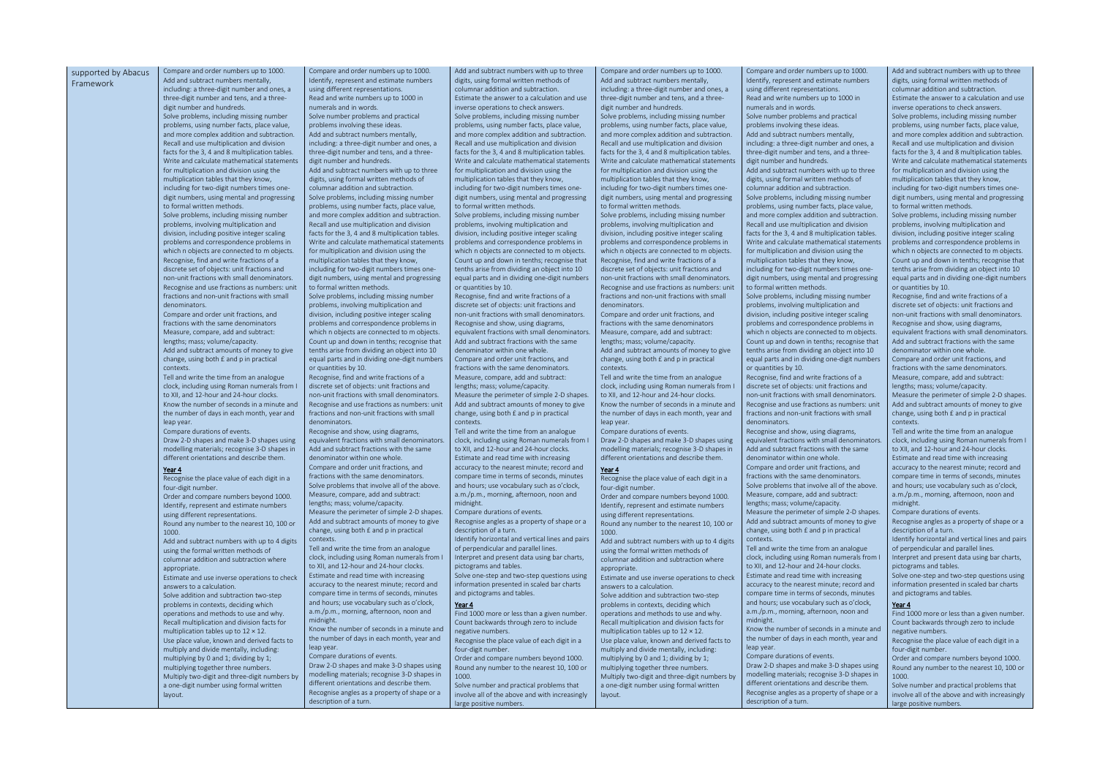Add and subtract numbers with up to three

and order numbers up to 1000. represent and estimate numbers erent representations. d write numbers up to 1000 in

mber problems and practical s involving these ideas. subtract numbers mentally,  $\mu$ : a three-digit number and ones, a it number and tens, and a three- $\overline{\phantom{a}}$  hundreds.

subtract numbers with up to three  $\sin$ g formal written methods of r addition and subtraction. oblems, including missing number s, using number facts, place value, e complex addition and subtraction. d use multiplication and division the 3, 4 and 8 multiplication tables. d calculate mathematical statements iplication and division using the ,<br>ation tables that they know, for two-digit numbers times one-

nbers, using mental and progressing

blems, including missing number s, involving multiplication and including positive integer scaling s and correspondence problems in objects are connected to m objects. and down in tenths; recognise that rise from dividing an object into 10 irts and in dividing one-digit numbers

e, find and write fractions of a set of objects: unit fractions and fractions with small denominators. **Recognise and use fractions as numbers: unit** and non-unit fractions with small

e and show, using diagrams, nt fractions with small denominators. subtract fractions with the same hator within one whole.

and order unit fractions, and with the same denominators. oblems that involve all of the above.

ompare, add and subtract: mass; volume/capacity. the perimeter of simple 2-D shapes.

subtract amounts of money to give using both  $E$  and p in practical

write the time from an analogue cluding using Roman numerals from I d 12-hour and 24-hour clocks. and read time with increasing to the nearest minute; record and time in terms of seconds, minutes s; use vocabulary such as o'clock, . morning, afternoon, noon and

mumber of seconds in a minute and ber of days in each month, year and

durations of events.

D shapes and make 3-D shapes using g materials; recognise 3-D shapes in orientations and describe them. e angles as a property of shape or a

| supported by Abacus | Compare and order numbers up to 1000.                                                    | Compare and order numbers up to 1000.                                                       | Add and subtract numbers with up to three                                                | Compare and order numbers up to 1000.                                                    | Compare and order number                                    |
|---------------------|------------------------------------------------------------------------------------------|---------------------------------------------------------------------------------------------|------------------------------------------------------------------------------------------|------------------------------------------------------------------------------------------|-------------------------------------------------------------|
| Framework           | Add and subtract numbers mentally,                                                       | Identify, represent and estimate numbers                                                    | digits, using formal written methods of                                                  | Add and subtract numbers mentally,                                                       | Identify, represent and estin                               |
|                     | including: a three-digit number and ones, a                                              | using different representations.                                                            | columnar addition and subtraction.                                                       | including: a three-digit number and ones, a                                              | using different representatio                               |
|                     | three-digit number and tens, and a three-                                                | Read and write numbers up to 1000 in                                                        | Estimate the answer to a calculation and use                                             | three-digit number and tens, and a three-                                                | Read and write numbers up                                   |
|                     | digit number and hundreds.                                                               | numerals and in words.                                                                      | inverse operations to check answers.                                                     | digit number and hundreds.                                                               | numerals and in words.                                      |
|                     | Solve problems, including missing number                                                 | Solve number problems and practical                                                         | Solve problems, including missing number                                                 | Solve problems, including missing number                                                 | Solve number problems and                                   |
|                     | problems, using number facts, place value,                                               | problems involving these ideas.                                                             | problems, using number facts, place value,                                               | problems, using number facts, place value,                                               | problems involving these ide                                |
|                     | and more complex addition and subtraction.<br>Recall and use multiplication and division | Add and subtract numbers mentally,<br>including: a three-digit number and ones, a           | and more complex addition and subtraction.<br>Recall and use multiplication and division | and more complex addition and subtraction.<br>Recall and use multiplication and division | Add and subtract numbers r<br>including: a three-digit numl |
|                     | facts for the 3, 4 and 8 multiplication tables.                                          | three-digit number and tens, and a three-                                                   | facts for the 3, 4 and 8 multiplication tables.                                          | facts for the 3, 4 and 8 multiplication tables.                                          | three-digit number and tens                                 |
|                     | Write and calculate mathematical statements                                              | digit number and hundreds.                                                                  | Write and calculate mathematical statements                                              | Write and calculate mathematical statements                                              | digit number and hundreds.                                  |
|                     | for multiplication and division using the                                                | Add and subtract numbers with up to three                                                   | for multiplication and division using the                                                | for multiplication and division using the                                                | Add and subtract numbers y                                  |
|                     | multiplication tables that they know,                                                    | digits, using formal written methods of                                                     | multiplication tables that they know,                                                    | multiplication tables that they know,                                                    | digits, using formal written r                              |
|                     | including for two-digit numbers times one-                                               | columnar addition and subtraction.                                                          | including for two-digit numbers times one-                                               | including for two-digit numbers times one-                                               | columnar addition and subti                                 |
|                     | digit numbers, using mental and progressing                                              | Solve problems, including missing number                                                    | digit numbers, using mental and progressing                                              | digit numbers, using mental and progressing                                              | Solve problems, including m                                 |
|                     | to formal written methods.                                                               | problems, using number facts, place value,                                                  | to formal written methods.                                                               | to formal written methods.                                                               | problems, using number fac                                  |
|                     | Solve problems, including missing number                                                 | and more complex addition and subtraction.                                                  | Solve problems, including missing number                                                 | Solve problems, including missing number                                                 | and more complex addition                                   |
|                     | problems, involving multiplication and                                                   | Recall and use multiplication and division                                                  | problems, involving multiplication and                                                   | problems, involving multiplication and                                                   | Recall and use multiplication                               |
|                     | division, including positive integer scaling                                             | facts for the 3, 4 and 8 multiplication tables.                                             | division, including positive integer scaling                                             | division, including positive integer scaling                                             | facts for the 3, 4 and 8 mult                               |
|                     | problems and correspondence problems in                                                  | Write and calculate mathematical statements                                                 | problems and correspondence problems in                                                  | problems and correspondence problems in                                                  | Write and calculate mathem                                  |
|                     | which n objects are connected to m objects.                                              | for multiplication and division using the                                                   | which n objects are connected to m objects.                                              | which n objects are connected to m objects.                                              | for multiplication and divisio                              |
|                     | Recognise, find and write fractions of a                                                 | multiplication tables that they know,                                                       | Count up and down in tenths; recognise that                                              | Recognise, find and write fractions of a                                                 | multiplication tables that the                              |
|                     | discrete set of objects: unit fractions and                                              | including for two-digit numbers times one-                                                  | tenths arise from dividing an object into 10                                             | discrete set of objects: unit fractions and                                              | including for two-digit numb                                |
|                     | non-unit fractions with small denominators.                                              | digit numbers, using mental and progressing                                                 | equal parts and in dividing one-digit numbers                                            | non-unit fractions with small denominators.                                              | digit numbers, using mental                                 |
|                     | Recognise and use fractions as numbers: unit                                             | to formal written methods.                                                                  | or quantities by 10.                                                                     | Recognise and use fractions as numbers: unit                                             | to formal written methods.                                  |
|                     | fractions and non-unit fractions with small                                              | Solve problems, including missing number                                                    | Recognise, find and write fractions of a                                                 | fractions and non-unit fractions with small                                              | Solve problems, including m                                 |
|                     | denominators.                                                                            | problems, involving multiplication and                                                      | discrete set of objects: unit fractions and                                              | denominators.                                                                            | problems, involving multiplie                               |
|                     | Compare and order unit fractions, and                                                    | division, including positive integer scaling                                                | non-unit fractions with small denominators.                                              | Compare and order unit fractions, and                                                    | division, including positive ir                             |
|                     | fractions with the same denominators                                                     | problems and correspondence problems in                                                     | Recognise and show, using diagrams,                                                      | fractions with the same denominators                                                     | problems and corresponder                                   |
|                     | Measure, compare, add and subtract:                                                      | which n objects are connected to m objects.                                                 | equivalent fractions with small denominators.                                            | Measure, compare, add and subtract:                                                      | which n objects are connect                                 |
|                     | lengths; mass; volume/capacity.<br>Add and subtract amounts of money to give             | Count up and down in tenths; recognise that<br>tenths arise from dividing an object into 10 | Add and subtract fractions with the same<br>denominator within one whole.                | lengths; mass; volume/capacity.<br>Add and subtract amounts of money to give             | Count up and down in tenth<br>tenths arise from dividing ar |
|                     | change, using both £ and p in practical                                                  | equal parts and in dividing one-digit numbers                                               | Compare and order unit fractions, and                                                    | change, using both £ and p in practical                                                  | equal parts and in dividing o                               |
|                     | contexts.                                                                                | or quantities by 10.                                                                        | fractions with the same denominators.                                                    | contexts.                                                                                | or quantities by 10.                                        |
|                     | Tell and write the time from an analogue                                                 | Recognise, find and write fractions of a                                                    | Measure, compare, add and subtract:                                                      | Tell and write the time from an analogue                                                 | Recognise, find and write fra                               |
|                     | clock, including using Roman numerals from I                                             | discrete set of objects: unit fractions and                                                 | lengths; mass; volume/capacity.                                                          | clock, including using Roman numerals from I                                             | discrete set of objects: unit                               |
|                     | to XII, and 12-hour and 24-hour clocks.                                                  | non-unit fractions with small denominators.                                                 | Measure the perimeter of simple 2-D shapes.                                              | to XII, and 12-hour and 24-hour clocks.                                                  | non-unit fractions with smal                                |
|                     | Know the number of seconds in a minute and                                               | Recognise and use fractions as numbers: unit                                                | Add and subtract amounts of money to give                                                | Know the number of seconds in a minute and                                               | Recognise and use fractions                                 |
|                     | the number of days in each month, year and                                               | fractions and non-unit fractions with small                                                 | change, using both £ and p in practical                                                  | the number of days in each month, year and                                               | fractions and non-unit fracti                               |
|                     | leap year.                                                                               | denominators.                                                                               | contexts.                                                                                | leap year.                                                                               | denominators.                                               |
|                     | Compare durations of events.                                                             | Recognise and show, using diagrams,                                                         | Tell and write the time from an analogue                                                 | Compare durations of events.                                                             | Recognise and show, using o                                 |
|                     | Draw 2-D shapes and make 3-D shapes using                                                | equivalent fractions with small denominators.                                               | clock, including using Roman numerals from I                                             | Draw 2-D shapes and make 3-D shapes using                                                | equivalent fractions with sm                                |
|                     | modelling materials; recognise 3-D shapes in                                             | Add and subtract fractions with the same                                                    | to XII, and 12-hour and 24-hour clocks.                                                  | modelling materials; recognise 3-D shapes in                                             | Add and subtract fractions v                                |
|                     | different orientations and describe them.                                                | denominator within one whole.                                                               | Estimate and read time with increasing                                                   | different orientations and describe them.                                                | denominator within one wh                                   |
|                     | Year 4                                                                                   | Compare and order unit fractions, and                                                       | accuracy to the nearest minute; record and                                               | Year 4                                                                                   | Compare and order unit frac                                 |
|                     | Recognise the place value of each digit in a                                             | fractions with the same denominators.                                                       | compare time in terms of seconds, minutes                                                | Recognise the place value of each digit in a                                             | fractions with the same den                                 |
|                     | four-digit number.                                                                       | Solve problems that involve all of the above.                                               | and hours; use vocabulary such as o'clock,                                               | four-digit number.                                                                       | Solve problems that involve                                 |
|                     | Order and compare numbers beyond 1000.                                                   | Measure, compare, add and subtract:                                                         | a.m./p.m., morning, afternoon, noon and                                                  | Order and compare numbers beyond 1000.                                                   | Measure, compare, add and                                   |
|                     | Identify, represent and estimate numbers                                                 | lengths; mass; volume/capacity.                                                             | midnight.                                                                                | Identify, represent and estimate numbers                                                 | lengths; mass; volume/capa                                  |
|                     | using different representations.                                                         | Measure the perimeter of simple 2-D shapes.                                                 | Compare durations of events.                                                             | using different representations.                                                         | Measure the perimeter of si                                 |
|                     | Round any number to the nearest 10, 100 or                                               | Add and subtract amounts of money to give<br>change, using both £ and p in practical        | Recognise angles as a property of shape or a<br>description of a turn.                   | Round any number to the nearest 10, 100 or                                               | Add and subtract amounts o<br>change, using both £ and p i  |
|                     | 1000.                                                                                    | contexts.                                                                                   | Identify horizontal and vertical lines and pairs                                         | 1000.                                                                                    | contexts.                                                   |
|                     | Add and subtract numbers with up to 4 digits                                             | Tell and write the time from an analogue                                                    | of perpendicular and parallel lines.                                                     | Add and subtract numbers with up to 4 digits                                             | Tell and write the time from                                |
|                     | using the formal written methods of                                                      | clock, including using Roman numerals from I                                                | Interpret and present data using bar charts,                                             | using the formal written methods of                                                      | clock, including using Romar                                |
|                     | columnar addition and subtraction where                                                  | to XII, and 12-hour and 24-hour clocks.                                                     | pictograms and tables.                                                                   | columnar addition and subtraction where                                                  | to XII, and 12-hour and 24-h                                |
|                     | appropriate.                                                                             | Estimate and read time with increasing                                                      | Solve one-step and two-step questions using                                              | appropriate.                                                                             | Estimate and read time with                                 |
|                     | Estimate and use inverse operations to check<br>answers to a calculation.                | accuracy to the nearest minute; record and                                                  | information presented in scaled bar charts                                               | Estimate and use inverse operations to check<br>answers to a calculation.                | accuracy to the nearest min                                 |
|                     | Solve addition and subtraction two-step                                                  | compare time in terms of seconds, minutes                                                   | and pictograms and tables.                                                               | Solve addition and subtraction two-step                                                  | compare time in terms of se                                 |
|                     | problems in contexts, deciding which                                                     | and hours; use vocabulary such as o'clock,                                                  | Year 4                                                                                   | problems in contexts, deciding which                                                     | and hours; use vocabulary s                                 |
|                     | operations and methods to use and why.                                                   | a.m./p.m., morning, afternoon, noon and                                                     | Find 1000 more or less than a given number.                                              | operations and methods to use and why.                                                   | a.m./p.m., morning, afterno                                 |
|                     | Recall multiplication and division facts for                                             | midnight.                                                                                   | Count backwards through zero to include                                                  | Recall multiplication and division facts for                                             | midnight.                                                   |
|                     | multiplication tables up to $12 \times 12$ .                                             | Know the number of seconds in a minute and                                                  | negative numbers.                                                                        | multiplication tables up to $12 \times 12$ .                                             | Know the number of second                                   |
|                     | Use place value, known and derived facts to                                              | the number of days in each month, year and                                                  | Recognise the place value of each digit in a                                             | Use place value, known and derived facts to                                              | the number of days in each                                  |
|                     | multiply and divide mentally, including:                                                 | leap year.                                                                                  | four-digit number.                                                                       | multiply and divide mentally, including:                                                 | leap year.                                                  |
|                     | multiplying by 0 and 1; dividing by 1;                                                   | Compare durations of events.                                                                | Order and compare numbers beyond 1000.                                                   | multiplying by 0 and 1; dividing by 1;                                                   | Compare durations of event                                  |
|                     | multiplying together three numbers.                                                      | Draw 2-D shapes and make 3-D shapes using                                                   | Round any number to the nearest 10, 100 or                                               | multiplying together three numbers.                                                      | Draw 2-D shapes and make                                    |
|                     | Multiply two-digit and three-digit numbers by                                            | modelling materials; recognise 3-D shapes in                                                | 1000.                                                                                    | Multiply two-digit and three-digit numbers by                                            | modelling materials; recogn                                 |
|                     | a one-digit number using formal written                                                  | different orientations and describe them.                                                   | Solve number and practical problems that                                                 | a one-digit number using formal written                                                  | different orientations and do                               |
|                     | layout.                                                                                  | Recognise angles as a property of shape or a<br>description of a turn.                      | involve all of the above and with increasingly                                           | layout.                                                                                  | Recognise angles as a prope<br>description of a turn.       |
|                     |                                                                                          |                                                                                             | large positive numbers.                                                                  |                                                                                          |                                                             |

Find 1000 more or less than a given number. Count backwards through zero to include negative numbers.

Add and subtract numbers with up to three digits, using formal written methods of columnar addition and subtraction. Estimate the answer to a calculation and use inverse operations to check answers. Solve problems, including missing number problems, using number facts, place value, and more complex addition and subtraction. Recall and use multiplication and division facts for the 3, 4 and 8 multiplication tables. Write and calculate mathematical statements for multiplication and division using the multiplication tables that they know, including for two-digit numbers times onedigit numbers, using mental and progressing to formal written methods. Solve problems, including missing number problems, involving multiplication and division, including positive integer scaling problems and correspondence problems in which n objects are connected to m objects. Count up and down in tenths; recognise that tenths arise from dividing an object into 10 equal parts and in dividing one-digit numbers or quantities by 10. Recognise, find and write fractions of a discrete set of objects: unit fractions and non-unit fractions with small denominators. Recognise and show, using diagrams, equivalent fractions with small denominators. Add and subtract fractions with the same denominator within one whole.

Compare and order unit fractions, and fractions with the same denominators. Measure, compare, add and subtract: lengths; mass; volume/capacity. Measure the perimeter of simple 2-D shapes.

Add and subtract amounts of money to give change, using both £ and p in practical contexts. Tell and write the time from an analogue

clock, including using Roman numerals from I to XII, and 12-hour and 24-hour clocks. Estimate and read time with increasing accuracy to the nearest minute; record and compare time in terms of seconds, minutes and hours; use vocabulary such as o'clock, a.m./p.m., morning, afternoon, noon and midnight.

Compare durations of events. Recognise angles as a property of shape or a description of a turn.

Identify horizontal and vertical lines and pairs of perpendicular and parallel lines.

Interpret and present data using bar charts, pictograms and tables.

Solve one-step and two-step questions using information presented in scaled bar charts and pictograms and tables.

Year 4

Recognise the place value of each digit in a four-digit number.

Order and compare numbers beyond 1000. Round any number to the nearest 10, 100 or 1000.

Solve number and practical problems that involve all of the above and with increasingly large positive numbers.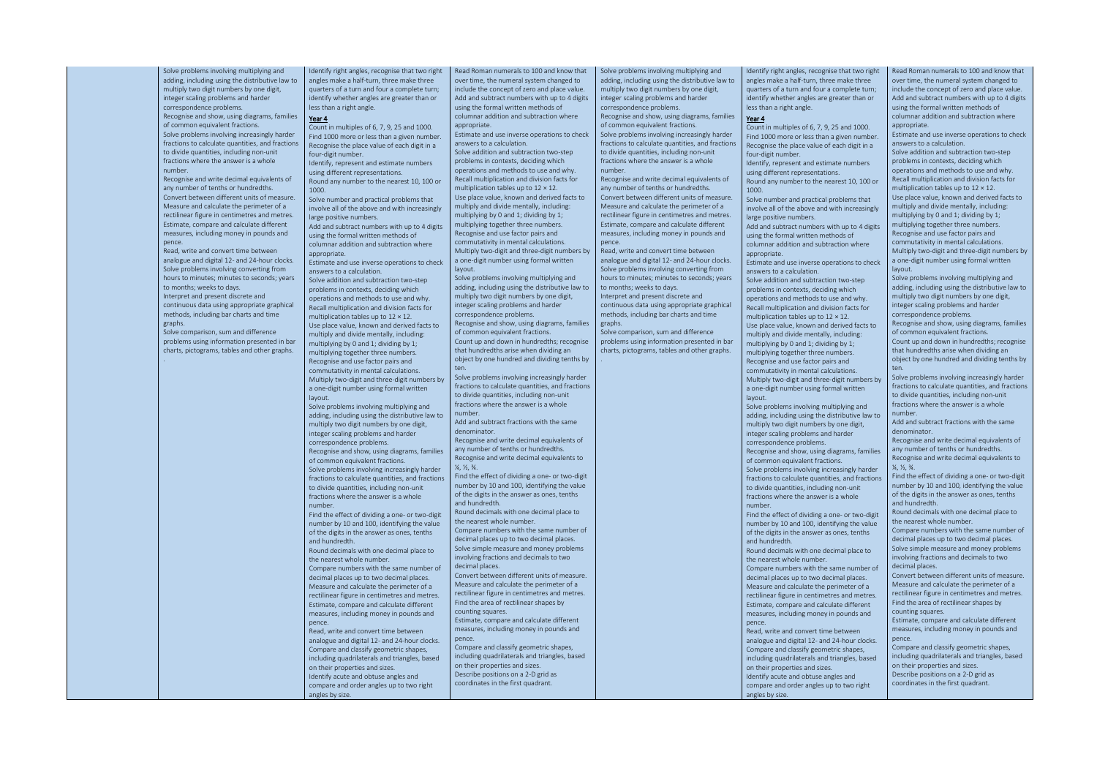Solve problems involving multiplying and adding, including using the distributive law to multiply two digit numbers by one digit, integer scaling problems and harder correspondence problems.

Recognise and show, using diagrams, families of common equivalent fractions. Solve problems involving increasingly harder fractions to calculate quantities, and fractions to divide quantities, including non-unit fractions where the answer is a whole number.

Recognise and write decimal equivalents of any number of tenths or hundredths. Convert between different units of measure. Measure and calculate the perimeter of a rectilinear figure in centimetres and metres. Estimate, compare and calculate different measures, including money in pounds and pence. Read, write and convert time between

analogue and digital 12- and 24-hour clocks. Solve problems involving converting from hours to minutes; minutes to seconds; years to months; weeks to days. Interpret and present discrete and

continuous data using appropriate graphical methods, including bar charts and time graphs.

Solve comparison, sum and difference problems using information presented in bar charts, pictograms, tables and other graphs.

.

Identify right angles, recognise that two right angles make a half-turn, three make three quarters of a turn and four a complete turn; identify whether angles are greater than or less than a right angle.

#### Year 4

Count in multiples of 6, 7, 9, 25 and 1000. Find 1000 more or less than a given number. Recognise the place value of each digit in a four-digit number.

Identify, represent and estimate numbers using different representations.

Round any number to the nearest 10, 100 or 1000.

Solve number and practical problems that involve all of the above and with increasingly large positive numbers.

Add and subtract numbers with up to 4 digits using the formal written methods of columnar addition and subtraction where appropriate.

Read Roman numerals to 100 and know that over time, the numeral system changed to include the concept of zero and place value. Add and subtract numbers with up to 4 digits using the formal written methods of columnar addition and subtraction where appropriate

Estimate and use inverse operations to check answers to a calculation.

Solve addition and subtraction two-step problems in contexts, deciding which operations and methods to use and why. Recall multiplication and division facts for multiplication tables up to 12 × 12. Use place value, known and derived facts to multiply and divide mentally, including: multiplying by 0 and 1; dividing by 1; multiplying together three numbers. Recognise and use factor pairs and commutativity in mental calculations. Multiply two-digit and three-digit numbers by a one-digit number using formal written layout.

Solve problems involving multiplying and adding, including using the distributive law to multiply two digit numbers by one digit, integer scaling problems and harder correspondence problems.

> $\frac{1}{4}$ ,  $\frac{1}{2}$ ,  $\frac{3}{4}$ . Find the effect of dividing a one- or two-digit

Recognise and show, using diagrams, families of common equivalent fractions. Solve problems involving increasingly harder fractions to calculate quantities, and fractions

to divide quantities, including non-unit fractions where the answer is a whole number.

Find the effect of dividing a one- or two-digit number by 10 and 100, identifying the value of the digits in the answer as ones, tenths and hundredth.

Round decimals with one decimal place to the nearest whole number.

Compare numbers with the same number of decimal places up to two decimal places. Measure and calculate the perimeter of a rectilinear figure in centimetres and metres. Estimate, compare and calculate different measures, including money in pounds and

pence. Read, write and convert time between analogue and digital 12- and 24-hour clocks. Compare and classify geometric shapes, including quadrilaterals and triangles, based on their properties and sizes. Identify acute and obtuse angles and compare and order angles up to two right

angles by size.

Estimate and use inverse operations to check answers to a calculation. Solve addition and subtraction two-step

problems in contexts, deciding which operations and methods to use and why. Recall multiplication and division facts for multiplication tables up to 12 × 12. Use place value, known and derived facts to multiply and divide mentally, including: multiplying by 0 and 1; dividing by 1; multiplying together three numbers. Recognise and use factor pairs and commutativity in mental calculations. Multiply two-digit and three-digit numbers by a one-digit number using formal written layout.

Solve problems involving multiplying and adding, including using the distributive law to multiply two digit numbers by one digit, integer scaling problems and harder correspondence problems.

Recognise and show, using diagrams, families of common equivalent fractions. Count up and down in hundredths; recognise that hundredths arise when dividing an

object by one hundred and dividing tenths by ten. Solve problems involving increasingly harder

fractions to calculate quantities, and fractions to divide quantities, including non-unit fractions where the answer is a whole number.

Add and subtract fractions with the same denominator.

Recognise and write decimal equivalents of any number of tenths or hundredths. Recognise and write decimal equivalents to

number by 10 and 100, identifying the value of the digits in the answer as ones, tenths and hundredth. Round decimals with one decimal place to

the nearest whole number. Compare numbers with the same number of

decimal places up to two decimal places. Solve simple measure and money problems involving fractions and decimals to two decimal places.

Convert between different units of measure. Measure and calculate the perimeter of a rectilinear figure in centimetres and metres. Find the area of rectilinear shapes by counting squares.

Estimate, compare and calculate different measures, including money in pounds and pence.

Compare and classify geometric shapes, including quadrilaterals and triangles, based on their properties and sizes. Describe positions on a 2-D grid as coordinates in the first quadrant.

Solve problems involving multiplying and adding, including using the distributive law to multiply two digit numbers by one digit, integer scaling problems and harder correspondence problems.

Recognise and show, using diagrams, families of common equivalent fractions. Solve problems involving increasingly harder fractions to calculate quantities, and fractions to divide quantities, including non-unit fractions where the answer is a whole number.

Recognise and write decimal equivalents of any number of tenths or hundredths. Convert between different units of measure. Measure and calculate the perimeter of a rectilinear figure in centimetres and metres. Estimate, compare and calculate different measures, including money in pounds and pence.

Read, write and convert time between analogue and digital 12- and 24-hour clocks. Solve problems involving converting from hours to minutes; minutes to seconds; years to months; weeks to days. Interpret and present discrete and

continuous data using appropriate graphical methods, including bar charts and time graphs.

Solve comparison, sum and difference problems using information presented in bar charts, pictograms, tables and other graphs.

.

identify whether angles are greater than or

Count in multiples of 6, 7, 9, 25 and 1000. Recognise the place value of each digit in a

using the formal written methods of columnar addition and subtraction where appropriate.

Identify right angles, recognise that two right angles make a half-turn, three make three quarters of a turn and four a complete turn; less than a right angle. Year 4 Find 1000 more or less than a given number. four-digit number. Identify, represent and estimate numbers using different representations. Round any number to the nearest 10, 100 or  $1000$ Solve number and practical problems that involve all of the above and with increasingly large positive numbers. Add and subtract numbers with up to 4 digits Estimate and use inverse operations to check answers to a calculation. Solve addition and subtraction two-step problems in contexts, deciding which operations and methods to use and why. Recall multiplication and division facts for multiplication tables up to 12 × 12. Use place value, known and derived facts to multiply and divide mentally, including: multiplying by 0 and 1; dividing by 1; multiplying together three numbers. Recognise and use factor pairs and commutativity in mental calculations. Multiply two-digit and three-digit numbers by a one-digit number using formal written layout. Solve problems involving multiplying and adding, including using the distributive law to multiply two digit numbers by one digit, integer scaling problems and harder correspondence problems. Recognise and show, using diagrams, families of common equivalent fractions. Solve problems involving increasingly harder fractions to calculate quantities, and fractions to divide quantities, including non-unit fractions where the answer is a whole number. Find the effect of dividing a one- or two-digit number by 10 and 100, identifying the value of the digits in the answer as ones, tenths and hundredth. Round decimals with one decimal place to the nearest whole number. Compare numbers with the same number of decimal places up to two decimal places. Measure and calculate the perimeter of a rectilinear figure in centimetres and metres. Estimate, compare and calculate different measures, including money in pounds and pence. Read, write and convert time between analogue and digital 12- and 24-hour clocks. Compare and classify geometric shapes, including quadrilaterals and triangles, based on their properties and sizes. Identify acute and obtuse angles and Read Roman numerals to 100 and know that over time, the numeral system changed to include the concept of zero and place value. Add and subtract numbers with up to 4 digits using the formal written methods of columnar addition and subtraction where appropriate Estimate and use inverse operations to check answers to a calculation. Solve addition and subtraction two-step problems in contexts, deciding which operations and methods to use and why. Recall multiplication and division facts for multiplication tables up to 12 × 12. Use place value, known and derived facts to multiply and divide mentally, including: multiplying by 0 and 1; dividing by 1; multiplying together three numbers. Recognise and use factor pairs and commutativity in mental calculations. Multiply two-digit and three-digit numbers by a one-digit number using formal written layout. Solve problems involving multiplying and adding, including using the distributive law to multiply two digit numbers by one digit, integer scaling problems and harder correspondence problems. Recognise and show, using diagrams, families of common equivalent fractions. Count up and down in hundredths; recognise that hundredths arise when dividing an object by one hundred and dividing tenths by ten. Solve problems involving increasingly harder fractions to calculate quantities, and fractions to divide quantities, including non-unit fractions where the answer is a whole number. Add and subtract fractions with the same denominator. Recognise and write decimal equivalents of any number of tenths or hundredths. Recognise and write decimal equivalents to  $\frac{1}{4}$ ,  $\frac{1}{5}$ ,  $\frac{3}{4}$ . Find the effect of dividing a one- or two-digit number by 10 and 100, identifying the value of the digits in the answer as ones, tenths and hundredth. Round decimals with one decimal place to the nearest whole number. Compare numbers with the same number of decimal places up to two decimal places. Solve simple measure and money problems involving fractions and decimals to two decimal places. Convert between different units of measure. Measure and calculate the perimeter of a rectilinear figure in centimetres and metres. Find the area of rectilinear shapes by counting squares. Estimate, compare and calculate different measures, including money in pounds and pence. Compare and classify geometric shapes, including quadrilaterals and triangles, based on their properties and sizes. Describe positions on a 2-D grid as coordinates in the first quadrant.

compare and order angles up to two right angles by size.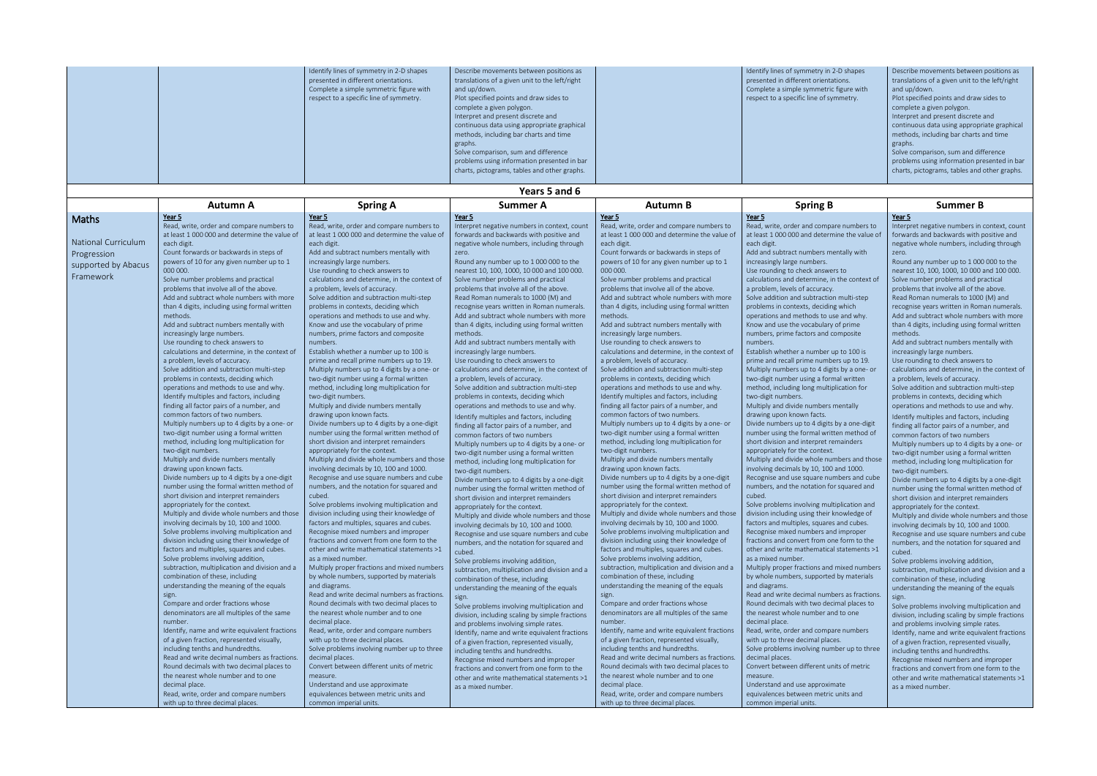|               |  | Identify lines of symmetry in 2-D shapes<br>presented in different orientations.<br>Complete a simple symmetric figure with<br>respect to a specific line of symmetry. | Describe movements between positions as<br>translations of a given unit to the left/right<br>and up/down.<br>Plot specified points and draw sides to<br>complete a given polygon.<br>Interpret and present discrete and<br>continuous data using appropriate graphical<br>methods, including bar charts and time<br>graphs.<br>Solve comparison, sum and difference<br>problems using information presented in bar<br>charts, pictograms, tables and other graphs. |  | Identify lines of symmetry in 2-D shapes<br>presented in different orientations.<br>Complete a simple symmetric figure with<br>respect to a specific line of symmetry. | Describe movements between positions as<br>translations of a given unit to the left/right<br>and up/down.<br>Plot specified points and draw sides to<br>complete a given polygon.<br>Interpret and present discrete and<br>continuous data using appropriate graphical<br>methods, including bar charts and time<br>graphs.<br>Solve comparison, sum and difference<br>problems using information presented in bar<br>charts, pictograms, tables and other graphs. |
|---------------|--|------------------------------------------------------------------------------------------------------------------------------------------------------------------------|--------------------------------------------------------------------------------------------------------------------------------------------------------------------------------------------------------------------------------------------------------------------------------------------------------------------------------------------------------------------------------------------------------------------------------------------------------------------|--|------------------------------------------------------------------------------------------------------------------------------------------------------------------------|--------------------------------------------------------------------------------------------------------------------------------------------------------------------------------------------------------------------------------------------------------------------------------------------------------------------------------------------------------------------------------------------------------------------------------------------------------------------|
| Years 5 and 6 |  |                                                                                                                                                                        |                                                                                                                                                                                                                                                                                                                                                                                                                                                                    |  |                                                                                                                                                                        |                                                                                                                                                                                                                                                                                                                                                                                                                                                                    |

| Year 5<br>Year 5<br>Year 5<br>Year 5<br>Year 5<br>Year 5<br>Maths<br>Read, write, order and compare numbers to<br>Read, write, order and compare numbers to<br>Interpret negative numbers in context, count<br>Read, write, order and compare numbers to<br>Read, write, order and compare numbers to<br>at least 1 000 000 and determine the value of<br>at least 1 000 000 and determine the value of<br>forwards and backwards with positive and<br>at least 1 000 000 and determine the value of<br>at least 1 000 000 and determine the value of<br><b>National Curriculum</b><br>each digit.<br>each digit.<br>each digit.<br>negative whole numbers, including through<br>each digit.<br>Count forwards or backwards in steps of<br>Add and subtract numbers mentally with<br>Count forwards or backwards in steps of<br>Add and subtract numbers mentally with<br>zero.<br>zero.<br>Progression<br>powers of 10 for any given number up to 1<br>increasingly large numbers.<br>powers of 10 for any given number up to 1<br>increasingly large numbers.<br>Round any number up to 1 000 000 to the<br>Round any number up to 1 000 000 to the<br>supported by Abacus<br>Use rounding to check answers to<br>nearest 10, 100, 1000, 10 000 and 100 000.<br>000 000.<br>Use rounding to check answers to<br>nearest 10, 100, 1000, 10 000 and 100 000.<br>000 000.<br>Framework<br>calculations and determine, in the context of<br>calculations and determine, in the context of<br>Solve number problems and practical<br>Solve number problems and practical<br>Solve number problems and practical<br>Solve number problems and practical<br>problems that involve all of the above.<br>problems that involve all of the above.<br>a problem, levels of accuracy.<br>problems that involve all of the above.<br>a problem, levels of accuracy.<br>problems that involve all of the above.<br>Add and subtract whole numbers with more<br>Solve addition and subtraction multi-step<br>Read Roman numerals to 1000 (M) and<br>Add and subtract whole numbers with more<br>Solve addition and subtraction multi-step<br>Read Roman numerals to 1000 (M) and<br>than 4 digits, including using formal written<br>problems in contexts, deciding which<br>recognise years written in Roman numerals.<br>than 4 digits, including using formal written<br>problems in contexts, deciding which<br>recognise years written in Roman numerals.<br>methods.<br>Add and subtract whole numbers with more<br>operations and methods to use and why.<br>operations and methods to use and why.<br>methods.<br>Add and subtract numbers mentally with<br>Know and use the vocabulary of prime<br>than 4 digits, including using formal written<br>Add and subtract numbers mentally with<br>Know and use the vocabulary of prime<br>increasingly large numbers.<br>numbers, prime factors and composite<br>increasingly large numbers.<br>numbers, prime factors and composite<br>methods.<br>methods.<br>Use rounding to check answers to<br>Add and subtract numbers mentally with<br>Use rounding to check answers to<br>numbers.<br>numbers.<br>calculations and determine, in the context of<br>Establish whether a number up to 100 is<br>increasingly large numbers.<br>calculations and determine, in the context of<br>Establish whether a number up to 100 is<br>increasingly large numbers.<br>a problem, levels of accuracy.<br>prime and recall prime numbers up to 19.<br>Use rounding to check answers to<br>a problem, levels of accuracy.<br>prime and recall prime numbers up to 19.<br>Use rounding to check answers to<br>Solve addition and subtraction multi-step<br>Multiply numbers up to 4 digits by a one- or<br>calculations and determine, in the context of<br>Solve addition and subtraction multi-step<br>Multiply numbers up to 4 digits by a one- or<br>problems in contexts, deciding which<br>two-digit number using a formal written<br>two-digit number using a formal written<br>a problem, levels of accuracy.<br>a problem, levels of accuracy.<br>problems in contexts, deciding which<br>operations and methods to use and why.<br>method, including long multiplication for<br>Solve addition and subtraction multi-step<br>operations and methods to use and why.<br>method, including long multiplication for<br>Solve addition and subtraction multi-step<br>Identify multiples and factors, including<br>Identify multiples and factors, including<br>two-digit numbers.<br>two-digit numbers.<br>problems in contexts, deciding which<br>problems in contexts, deciding which<br>finding all factor pairs of a number, and<br>Multiply and divide numbers mentally<br>finding all factor pairs of a number, and<br>Multiply and divide numbers mentally<br>operations and methods to use and why.<br>operations and methods to use and why.<br>common factors of two numbers.<br>drawing upon known facts.<br>common factors of two numbers.<br>drawing upon known facts.<br>Identify multiples and factors, including<br>Identify multiples and factors, including<br>Multiply numbers up to 4 digits by a one- or<br>Divide numbers up to 4 digits by a one-digit<br>Multiply numbers up to 4 digits by a one- or<br>Divide numbers up to 4 digits by a one-digit<br>finding all factor pairs of a number, and<br>finding all factor pairs of a number, and<br>two-digit number using a formal written<br>number using the formal written method of<br>two-digit number using a formal written<br>number using the formal written method of<br>common factors of two numbers<br>common factors of two numbers<br>method, including long multiplication for<br>short division and interpret remainders<br>method, including long multiplication for<br>short division and interpret remainders<br>Multiply numbers up to 4 digits by a one- or<br>Multiply numbers up to 4 digits by a one- or<br>two-digit numbers.<br>appropriately for the context.<br>two-digit numbers.<br>appropriately for the context.<br>two-digit number using a formal written<br>two-digit number using a formal written<br>Multiply and divide numbers mentally<br>Multiply and divide whole numbers and those<br>Multiply and divide whole numbers and those<br>Multiply and divide numbers mentally<br>method, including long multiplication for<br>method, including long multiplication for<br>drawing upon known facts.<br>involving decimals by 10, 100 and 1000.<br>involving decimals by 10, 100 and 1000.<br>drawing upon known facts.<br>two-digit numbers.<br>two-digit numbers.<br>Divide numbers up to 4 digits by a one-digit<br>Recognise and use square numbers and cube<br>Divide numbers up to 4 digits by a one-digit<br>Recognise and use square numbers and cube<br>Divide numbers up to 4 digits by a one-digit<br>number using the formal written method of<br>numbers, and the notation for squared and<br>number using the formal written method of<br>numbers, and the notation for squared and<br>number using the formal written method of<br>short division and interpret remainders<br>cubed.<br>short division and interpret remainders<br>cubed.<br>short division and interpret remainders<br>appropriately for the context.<br>appropriately for the context.<br>Solve problems involving multiplication and<br>Solve problems involving multiplication and<br>appropriately for the context.<br>appropriately for the context.<br>Multiply and divide whole numbers and those<br>division including using their knowledge of<br>Multiply and divide whole numbers and those<br>division including using their knowledge of<br>Multiply and divide whole numbers and those<br>Multiply and divide whole numbers and those<br>involving decimals by 10, 100 and 1000.<br>factors and multiples, squares and cubes.<br>involving decimals by 10, 100 and 1000.<br>factors and multiples, squares and cubes.<br>involving decimals by 10, 100 and 1000.<br>involving decimals by 10, 100 and 1000.<br>Solve problems involving multiplication and<br>Solve problems involving multiplication and<br>Recognise mixed numbers and improper<br>Recognise mixed numbers and improper<br>Recognise and use square numbers and cube<br>Recognise and use square numbers and cube<br>division including using their knowledge of<br>fractions and convert from one form to the<br>division including using their knowledge of<br>fractions and convert from one form to the<br>numbers, and the notation for squared and<br>numbers, and the notation for squared and<br>factors and multiples, squares and cubes.<br>other and write mathematical statements >1<br>factors and multiples, squares and cubes.<br>other and write mathematical statements >1<br>cubed.<br>cubed.<br>Solve problems involving addition,<br>as a mixed number.<br>Solve problems involving addition,<br>as a mixed number.<br>Solve problems involving addition,<br>Solve problems involving addition,<br>subtraction, multiplication and division and a<br>Multiply proper fractions and mixed numbers<br>subtraction, multiplication and division and a<br>Multiply proper fractions and mixed numbers<br>subtraction, multiplication and division and a<br>combination of these, including<br>by whole numbers, supported by materials<br>combination of these, including<br>by whole numbers, supported by materials<br>combination of these, including<br>combination of these, including<br>understanding the meaning of the equals<br>and diagrams.<br>understanding the meaning of the equals<br>and diagrams.<br>understanding the meaning of the equals<br>Read and write decimal numbers as fractions.<br>Read and write decimal numbers as fractions.<br>sign.<br>sign<br>sign.<br>sign.<br>Compare and order fractions whose<br>Round decimals with two decimal places to<br>Compare and order fractions whose<br>Round decimals with two decimal places to<br>Solve problems involving multiplication and<br>denominators are all multiples of the same<br>the nearest whole number and to one<br>denominators are all multiples of the same<br>the nearest whole number and to one<br>division, including scaling by simple fractions<br>decimal place.<br>number.<br>decimal place.<br>number.<br>and problems involving simple rates.<br>and problems involving simple rates.<br>Read, write, order and compare numbers<br>Identify, name and write equivalent fractions<br>Identify, name and write equivalent fractions<br>Read, write, order and compare numbers<br>Identify, name and write equivalent fractions<br>Identify, name and write equivalent fractions<br>of a given fraction, represented visually,<br>with up to three decimal places.<br>of a given fraction, represented visually,<br>with up to three decimal places.<br>of a given fraction, represented visually,<br>of a given fraction, represented visually,<br>including tenths and hundredths.<br>Solve problems involving number up to three<br>including tenths and hundredths.<br>Solve problems involving number up to three<br>including tenths and hundredths.<br>including tenths and hundredths.<br>Read and write decimal numbers as fractions.<br>Read and write decimal numbers as fractions.<br>decimal places.<br>decimal places.<br>Recognise mixed numbers and improper<br>Recognise mixed numbers and improper<br>Convert between different units of metric<br>Convert between different units of metric<br>Round decimals with two decimal places to<br>Round decimals with two decimal places to<br>fractions and convert from one form to the<br>fractions and convert from one form to the | <b>Autumn A</b>                     | <b>Spring A</b> | <b>Summer A</b>                            | <b>Autumn B</b>                     | <b>Spring B</b> | <b>Summer B</b>                                 |
|---------------------------------------------------------------------------------------------------------------------------------------------------------------------------------------------------------------------------------------------------------------------------------------------------------------------------------------------------------------------------------------------------------------------------------------------------------------------------------------------------------------------------------------------------------------------------------------------------------------------------------------------------------------------------------------------------------------------------------------------------------------------------------------------------------------------------------------------------------------------------------------------------------------------------------------------------------------------------------------------------------------------------------------------------------------------------------------------------------------------------------------------------------------------------------------------------------------------------------------------------------------------------------------------------------------------------------------------------------------------------------------------------------------------------------------------------------------------------------------------------------------------------------------------------------------------------------------------------------------------------------------------------------------------------------------------------------------------------------------------------------------------------------------------------------------------------------------------------------------------------------------------------------------------------------------------------------------------------------------------------------------------------------------------------------------------------------------------------------------------------------------------------------------------------------------------------------------------------------------------------------------------------------------------------------------------------------------------------------------------------------------------------------------------------------------------------------------------------------------------------------------------------------------------------------------------------------------------------------------------------------------------------------------------------------------------------------------------------------------------------------------------------------------------------------------------------------------------------------------------------------------------------------------------------------------------------------------------------------------------------------------------------------------------------------------------------------------------------------------------------------------------------------------------------------------------------------------------------------------------------------------------------------------------------------------------------------------------------------------------------------------------------------------------------------------------------------------------------------------------------------------------------------------------------------------------------------------------------------------------------------------------------------------------------------------------------------------------------------------------------------------------------------------------------------------------------------------------------------------------------------------------------------------------------------------------------------------------------------------------------------------------------------------------------------------------------------------------------------------------------------------------------------------------------------------------------------------------------------------------------------------------------------------------------------------------------------------------------------------------------------------------------------------------------------------------------------------------------------------------------------------------------------------------------------------------------------------------------------------------------------------------------------------------------------------------------------------------------------------------------------------------------------------------------------------------------------------------------------------------------------------------------------------------------------------------------------------------------------------------------------------------------------------------------------------------------------------------------------------------------------------------------------------------------------------------------------------------------------------------------------------------------------------------------------------------------------------------------------------------------------------------------------------------------------------------------------------------------------------------------------------------------------------------------------------------------------------------------------------------------------------------------------------------------------------------------------------------------------------------------------------------------------------------------------------------------------------------------------------------------------------------------------------------------------------------------------------------------------------------------------------------------------------------------------------------------------------------------------------------------------------------------------------------------------------------------------------------------------------------------------------------------------------------------------------------------------------------------------------------------------------------------------------------------------------------------------------------------------------------------------------------------------------------------------------------------------------------------------------------------------------------------------------------------------------------------------------------------------------------------------------------------------------------------------------------------------------------------------------------------------------------------------------------------------------------------------------------------------------------------------------------------------------------------------------------------------------------------------------------------------------------------------------------------------------------------------------------------------------------------------------------------------------------------------------------------------------------------------------------------------------------------------------------------------------------------------------------------------------------------------------------------------------------------------------------------------------------------------------------------------------------------------------------------------------------------------------------------------------------------------------------------------------------------------------------------------------------------------------------------------------------------------------------------------------------------------------------------------------------------------------------------------------------------------------------------------------------------------------------------------------------------------------------------------------------------------------------------------------------------------------------------------------------------------------------------------------------------------------------------------------------------------------------------------------------------------------------------------------------------------------------------------------------------------------------------------------------------------------------------------------------------------------------------------------------------------------------------------------------------------------------------------------------------------------------------------------------------------------------------------------------------------------------------------------------------------------------------------------------------------------------------------------------------------------------------------------------------------------------------------------------------------------------------------------------------------------------------------------------------------------------------------------------------------------------------------------------------------------------------------------------------------------------------------------------------------------------------------------------------------------------------------------------------------------------------------------------------------------------------------------------------------------------------------------------------------------------------------------------------------------------------------------------------------------------------------------------------------------------------------------------------------------------------------------------------------------------------------------------------------------------------------------------------------------------------------------------------------------------------------------------------------------------------------------------------------------------------------------------------------------------------------------------------------------------------------------------------------------------------------------------------------------------------------------------------------------------------------------------------------------------------------------------------------------------------------------------------------------------------------------------------------------------------------------------------------------------------------------------------------------------------------------------------------------------------------------------------------------------------------------------------------------------------------------------------------------------------------------------------------------------------------------------------------------------------------------------------------------------------------------------------------------------------------------------------------------------------------------------------------------------------------------------------------------------------------------------------------------------------------------------------------------------------------------------------------------------------------------------------------------------------------------------------------------------------------------------------------------------------------------------------------------------------------------------------------------------------------------------|-------------------------------------|-----------------|--------------------------------------------|-------------------------------------|-----------------|-------------------------------------------------|
|                                                                                                                                                                                                                                                                                                                                                                                                                                                                                                                                                                                                                                                                                                                                                                                                                                                                                                                                                                                                                                                                                                                                                                                                                                                                                                                                                                                                                                                                                                                                                                                                                                                                                                                                                                                                                                                                                                                                                                                                                                                                                                                                                                                                                                                                                                                                                                                                                                                                                                                                                                                                                                                                                                                                                                                                                                                                                                                                                                                                                                                                                                                                                                                                                                                                                                                                                                                                                                                                                                                                                                                                                                                                                                                                                                                                                                                                                                                                                                                                                                                                                                                                                                                                                                                                                                                                                                                                                                                                                                                                                                                                                                                                                                                                                                                                                                                                                                                                                                                                                                                                                                                                                                                                                                                                                                                                                                                                                                                                                                                                                                                                                                                                                                                                                                                                                                                                                                                                                                                                                                                                                                                                                                                                                                                                                                                                                                                                                                                                                                                                                                                                                                                                                                                                                                                                                                                                                                                                                                                                                                                                                                                                                                                                                                                                                                                                                                                                                                                                                                                                                                                                                                                                                                                                                                                                                                                                                                                                                                                                                                                                                                                                                                                                                                                                                                                                                                                                                                                                                                                                                                                                                                                                                                                                                                                                                                                                                                                                                                                                                                                                                                                                                                                                                                                                                                                                                                                                                                                                                                                                                                                                                                                                                                                                                                                                                                                                                                                                                                                                                                                                                                                                                                                                                                                                                                                                                                                                                                                                                                                                                                                                                                                                                                                                                                                                                                                                                                                                                                                                                                                                                                                                                                                                                                                                                                                                                                                                                                                                                                                                                                                                                                                                                                                                             |                                     |                 |                                            |                                     |                 |                                                 |
|                                                                                                                                                                                                                                                                                                                                                                                                                                                                                                                                                                                                                                                                                                                                                                                                                                                                                                                                                                                                                                                                                                                                                                                                                                                                                                                                                                                                                                                                                                                                                                                                                                                                                                                                                                                                                                                                                                                                                                                                                                                                                                                                                                                                                                                                                                                                                                                                                                                                                                                                                                                                                                                                                                                                                                                                                                                                                                                                                                                                                                                                                                                                                                                                                                                                                                                                                                                                                                                                                                                                                                                                                                                                                                                                                                                                                                                                                                                                                                                                                                                                                                                                                                                                                                                                                                                                                                                                                                                                                                                                                                                                                                                                                                                                                                                                                                                                                                                                                                                                                                                                                                                                                                                                                                                                                                                                                                                                                                                                                                                                                                                                                                                                                                                                                                                                                                                                                                                                                                                                                                                                                                                                                                                                                                                                                                                                                                                                                                                                                                                                                                                                                                                                                                                                                                                                                                                                                                                                                                                                                                                                                                                                                                                                                                                                                                                                                                                                                                                                                                                                                                                                                                                                                                                                                                                                                                                                                                                                                                                                                                                                                                                                                                                                                                                                                                                                                                                                                                                                                                                                                                                                                                                                                                                                                                                                                                                                                                                                                                                                                                                                                                                                                                                                                                                                                                                                                                                                                                                                                                                                                                                                                                                                                                                                                                                                                                                                                                                                                                                                                                                                                                                                                                                                                                                                                                                                                                                                                                                                                                                                                                                                                                                                                                                                                                                                                                                                                                                                                                                                                                                                                                                                                                                                                                                                                                                                                                                                                                                                                                                                                                                                                                                                                                                                             |                                     |                 |                                            |                                     |                 | Interpret negative numbers in context, count    |
|                                                                                                                                                                                                                                                                                                                                                                                                                                                                                                                                                                                                                                                                                                                                                                                                                                                                                                                                                                                                                                                                                                                                                                                                                                                                                                                                                                                                                                                                                                                                                                                                                                                                                                                                                                                                                                                                                                                                                                                                                                                                                                                                                                                                                                                                                                                                                                                                                                                                                                                                                                                                                                                                                                                                                                                                                                                                                                                                                                                                                                                                                                                                                                                                                                                                                                                                                                                                                                                                                                                                                                                                                                                                                                                                                                                                                                                                                                                                                                                                                                                                                                                                                                                                                                                                                                                                                                                                                                                                                                                                                                                                                                                                                                                                                                                                                                                                                                                                                                                                                                                                                                                                                                                                                                                                                                                                                                                                                                                                                                                                                                                                                                                                                                                                                                                                                                                                                                                                                                                                                                                                                                                                                                                                                                                                                                                                                                                                                                                                                                                                                                                                                                                                                                                                                                                                                                                                                                                                                                                                                                                                                                                                                                                                                                                                                                                                                                                                                                                                                                                                                                                                                                                                                                                                                                                                                                                                                                                                                                                                                                                                                                                                                                                                                                                                                                                                                                                                                                                                                                                                                                                                                                                                                                                                                                                                                                                                                                                                                                                                                                                                                                                                                                                                                                                                                                                                                                                                                                                                                                                                                                                                                                                                                                                                                                                                                                                                                                                                                                                                                                                                                                                                                                                                                                                                                                                                                                                                                                                                                                                                                                                                                                                                                                                                                                                                                                                                                                                                                                                                                                                                                                                                                                                                                                                                                                                                                                                                                                                                                                                                                                                                                                                                                                                                             |                                     |                 |                                            |                                     |                 | forwards and backwards with positive and        |
|                                                                                                                                                                                                                                                                                                                                                                                                                                                                                                                                                                                                                                                                                                                                                                                                                                                                                                                                                                                                                                                                                                                                                                                                                                                                                                                                                                                                                                                                                                                                                                                                                                                                                                                                                                                                                                                                                                                                                                                                                                                                                                                                                                                                                                                                                                                                                                                                                                                                                                                                                                                                                                                                                                                                                                                                                                                                                                                                                                                                                                                                                                                                                                                                                                                                                                                                                                                                                                                                                                                                                                                                                                                                                                                                                                                                                                                                                                                                                                                                                                                                                                                                                                                                                                                                                                                                                                                                                                                                                                                                                                                                                                                                                                                                                                                                                                                                                                                                                                                                                                                                                                                                                                                                                                                                                                                                                                                                                                                                                                                                                                                                                                                                                                                                                                                                                                                                                                                                                                                                                                                                                                                                                                                                                                                                                                                                                                                                                                                                                                                                                                                                                                                                                                                                                                                                                                                                                                                                                                                                                                                                                                                                                                                                                                                                                                                                                                                                                                                                                                                                                                                                                                                                                                                                                                                                                                                                                                                                                                                                                                                                                                                                                                                                                                                                                                                                                                                                                                                                                                                                                                                                                                                                                                                                                                                                                                                                                                                                                                                                                                                                                                                                                                                                                                                                                                                                                                                                                                                                                                                                                                                                                                                                                                                                                                                                                                                                                                                                                                                                                                                                                                                                                                                                                                                                                                                                                                                                                                                                                                                                                                                                                                                                                                                                                                                                                                                                                                                                                                                                                                                                                                                                                                                                                                                                                                                                                                                                                                                                                                                                                                                                                                                                                                                                             |                                     |                 |                                            |                                     |                 | negative whole numbers, including through       |
|                                                                                                                                                                                                                                                                                                                                                                                                                                                                                                                                                                                                                                                                                                                                                                                                                                                                                                                                                                                                                                                                                                                                                                                                                                                                                                                                                                                                                                                                                                                                                                                                                                                                                                                                                                                                                                                                                                                                                                                                                                                                                                                                                                                                                                                                                                                                                                                                                                                                                                                                                                                                                                                                                                                                                                                                                                                                                                                                                                                                                                                                                                                                                                                                                                                                                                                                                                                                                                                                                                                                                                                                                                                                                                                                                                                                                                                                                                                                                                                                                                                                                                                                                                                                                                                                                                                                                                                                                                                                                                                                                                                                                                                                                                                                                                                                                                                                                                                                                                                                                                                                                                                                                                                                                                                                                                                                                                                                                                                                                                                                                                                                                                                                                                                                                                                                                                                                                                                                                                                                                                                                                                                                                                                                                                                                                                                                                                                                                                                                                                                                                                                                                                                                                                                                                                                                                                                                                                                                                                                                                                                                                                                                                                                                                                                                                                                                                                                                                                                                                                                                                                                                                                                                                                                                                                                                                                                                                                                                                                                                                                                                                                                                                                                                                                                                                                                                                                                                                                                                                                                                                                                                                                                                                                                                                                                                                                                                                                                                                                                                                                                                                                                                                                                                                                                                                                                                                                                                                                                                                                                                                                                                                                                                                                                                                                                                                                                                                                                                                                                                                                                                                                                                                                                                                                                                                                                                                                                                                                                                                                                                                                                                                                                                                                                                                                                                                                                                                                                                                                                                                                                                                                                                                                                                                                                                                                                                                                                                                                                                                                                                                                                                                                                                                                                                             |                                     |                 |                                            |                                     |                 |                                                 |
|                                                                                                                                                                                                                                                                                                                                                                                                                                                                                                                                                                                                                                                                                                                                                                                                                                                                                                                                                                                                                                                                                                                                                                                                                                                                                                                                                                                                                                                                                                                                                                                                                                                                                                                                                                                                                                                                                                                                                                                                                                                                                                                                                                                                                                                                                                                                                                                                                                                                                                                                                                                                                                                                                                                                                                                                                                                                                                                                                                                                                                                                                                                                                                                                                                                                                                                                                                                                                                                                                                                                                                                                                                                                                                                                                                                                                                                                                                                                                                                                                                                                                                                                                                                                                                                                                                                                                                                                                                                                                                                                                                                                                                                                                                                                                                                                                                                                                                                                                                                                                                                                                                                                                                                                                                                                                                                                                                                                                                                                                                                                                                                                                                                                                                                                                                                                                                                                                                                                                                                                                                                                                                                                                                                                                                                                                                                                                                                                                                                                                                                                                                                                                                                                                                                                                                                                                                                                                                                                                                                                                                                                                                                                                                                                                                                                                                                                                                                                                                                                                                                                                                                                                                                                                                                                                                                                                                                                                                                                                                                                                                                                                                                                                                                                                                                                                                                                                                                                                                                                                                                                                                                                                                                                                                                                                                                                                                                                                                                                                                                                                                                                                                                                                                                                                                                                                                                                                                                                                                                                                                                                                                                                                                                                                                                                                                                                                                                                                                                                                                                                                                                                                                                                                                                                                                                                                                                                                                                                                                                                                                                                                                                                                                                                                                                                                                                                                                                                                                                                                                                                                                                                                                                                                                                                                                                                                                                                                                                                                                                                                                                                                                                                                                                                                                                                             |                                     |                 |                                            |                                     |                 |                                                 |
|                                                                                                                                                                                                                                                                                                                                                                                                                                                                                                                                                                                                                                                                                                                                                                                                                                                                                                                                                                                                                                                                                                                                                                                                                                                                                                                                                                                                                                                                                                                                                                                                                                                                                                                                                                                                                                                                                                                                                                                                                                                                                                                                                                                                                                                                                                                                                                                                                                                                                                                                                                                                                                                                                                                                                                                                                                                                                                                                                                                                                                                                                                                                                                                                                                                                                                                                                                                                                                                                                                                                                                                                                                                                                                                                                                                                                                                                                                                                                                                                                                                                                                                                                                                                                                                                                                                                                                                                                                                                                                                                                                                                                                                                                                                                                                                                                                                                                                                                                                                                                                                                                                                                                                                                                                                                                                                                                                                                                                                                                                                                                                                                                                                                                                                                                                                                                                                                                                                                                                                                                                                                                                                                                                                                                                                                                                                                                                                                                                                                                                                                                                                                                                                                                                                                                                                                                                                                                                                                                                                                                                                                                                                                                                                                                                                                                                                                                                                                                                                                                                                                                                                                                                                                                                                                                                                                                                                                                                                                                                                                                                                                                                                                                                                                                                                                                                                                                                                                                                                                                                                                                                                                                                                                                                                                                                                                                                                                                                                                                                                                                                                                                                                                                                                                                                                                                                                                                                                                                                                                                                                                                                                                                                                                                                                                                                                                                                                                                                                                                                                                                                                                                                                                                                                                                                                                                                                                                                                                                                                                                                                                                                                                                                                                                                                                                                                                                                                                                                                                                                                                                                                                                                                                                                                                                                                                                                                                                                                                                                                                                                                                                                                                                                                                                                                                             |                                     |                 |                                            |                                     |                 |                                                 |
|                                                                                                                                                                                                                                                                                                                                                                                                                                                                                                                                                                                                                                                                                                                                                                                                                                                                                                                                                                                                                                                                                                                                                                                                                                                                                                                                                                                                                                                                                                                                                                                                                                                                                                                                                                                                                                                                                                                                                                                                                                                                                                                                                                                                                                                                                                                                                                                                                                                                                                                                                                                                                                                                                                                                                                                                                                                                                                                                                                                                                                                                                                                                                                                                                                                                                                                                                                                                                                                                                                                                                                                                                                                                                                                                                                                                                                                                                                                                                                                                                                                                                                                                                                                                                                                                                                                                                                                                                                                                                                                                                                                                                                                                                                                                                                                                                                                                                                                                                                                                                                                                                                                                                                                                                                                                                                                                                                                                                                                                                                                                                                                                                                                                                                                                                                                                                                                                                                                                                                                                                                                                                                                                                                                                                                                                                                                                                                                                                                                                                                                                                                                                                                                                                                                                                                                                                                                                                                                                                                                                                                                                                                                                                                                                                                                                                                                                                                                                                                                                                                                                                                                                                                                                                                                                                                                                                                                                                                                                                                                                                                                                                                                                                                                                                                                                                                                                                                                                                                                                                                                                                                                                                                                                                                                                                                                                                                                                                                                                                                                                                                                                                                                                                                                                                                                                                                                                                                                                                                                                                                                                                                                                                                                                                                                                                                                                                                                                                                                                                                                                                                                                                                                                                                                                                                                                                                                                                                                                                                                                                                                                                                                                                                                                                                                                                                                                                                                                                                                                                                                                                                                                                                                                                                                                                                                                                                                                                                                                                                                                                                                                                                                                                                                                                                                                             |                                     |                 |                                            |                                     |                 |                                                 |
|                                                                                                                                                                                                                                                                                                                                                                                                                                                                                                                                                                                                                                                                                                                                                                                                                                                                                                                                                                                                                                                                                                                                                                                                                                                                                                                                                                                                                                                                                                                                                                                                                                                                                                                                                                                                                                                                                                                                                                                                                                                                                                                                                                                                                                                                                                                                                                                                                                                                                                                                                                                                                                                                                                                                                                                                                                                                                                                                                                                                                                                                                                                                                                                                                                                                                                                                                                                                                                                                                                                                                                                                                                                                                                                                                                                                                                                                                                                                                                                                                                                                                                                                                                                                                                                                                                                                                                                                                                                                                                                                                                                                                                                                                                                                                                                                                                                                                                                                                                                                                                                                                                                                                                                                                                                                                                                                                                                                                                                                                                                                                                                                                                                                                                                                                                                                                                                                                                                                                                                                                                                                                                                                                                                                                                                                                                                                                                                                                                                                                                                                                                                                                                                                                                                                                                                                                                                                                                                                                                                                                                                                                                                                                                                                                                                                                                                                                                                                                                                                                                                                                                                                                                                                                                                                                                                                                                                                                                                                                                                                                                                                                                                                                                                                                                                                                                                                                                                                                                                                                                                                                                                                                                                                                                                                                                                                                                                                                                                                                                                                                                                                                                                                                                                                                                                                                                                                                                                                                                                                                                                                                                                                                                                                                                                                                                                                                                                                                                                                                                                                                                                                                                                                                                                                                                                                                                                                                                                                                                                                                                                                                                                                                                                                                                                                                                                                                                                                                                                                                                                                                                                                                                                                                                                                                                                                                                                                                                                                                                                                                                                                                                                                                                                                                                                                             |                                     |                 |                                            |                                     |                 |                                                 |
|                                                                                                                                                                                                                                                                                                                                                                                                                                                                                                                                                                                                                                                                                                                                                                                                                                                                                                                                                                                                                                                                                                                                                                                                                                                                                                                                                                                                                                                                                                                                                                                                                                                                                                                                                                                                                                                                                                                                                                                                                                                                                                                                                                                                                                                                                                                                                                                                                                                                                                                                                                                                                                                                                                                                                                                                                                                                                                                                                                                                                                                                                                                                                                                                                                                                                                                                                                                                                                                                                                                                                                                                                                                                                                                                                                                                                                                                                                                                                                                                                                                                                                                                                                                                                                                                                                                                                                                                                                                                                                                                                                                                                                                                                                                                                                                                                                                                                                                                                                                                                                                                                                                                                                                                                                                                                                                                                                                                                                                                                                                                                                                                                                                                                                                                                                                                                                                                                                                                                                                                                                                                                                                                                                                                                                                                                                                                                                                                                                                                                                                                                                                                                                                                                                                                                                                                                                                                                                                                                                                                                                                                                                                                                                                                                                                                                                                                                                                                                                                                                                                                                                                                                                                                                                                                                                                                                                                                                                                                                                                                                                                                                                                                                                                                                                                                                                                                                                                                                                                                                                                                                                                                                                                                                                                                                                                                                                                                                                                                                                                                                                                                                                                                                                                                                                                                                                                                                                                                                                                                                                                                                                                                                                                                                                                                                                                                                                                                                                                                                                                                                                                                                                                                                                                                                                                                                                                                                                                                                                                                                                                                                                                                                                                                                                                                                                                                                                                                                                                                                                                                                                                                                                                                                                                                                                                                                                                                                                                                                                                                                                                                                                                                                                                                                                                                             |                                     |                 |                                            |                                     |                 |                                                 |
|                                                                                                                                                                                                                                                                                                                                                                                                                                                                                                                                                                                                                                                                                                                                                                                                                                                                                                                                                                                                                                                                                                                                                                                                                                                                                                                                                                                                                                                                                                                                                                                                                                                                                                                                                                                                                                                                                                                                                                                                                                                                                                                                                                                                                                                                                                                                                                                                                                                                                                                                                                                                                                                                                                                                                                                                                                                                                                                                                                                                                                                                                                                                                                                                                                                                                                                                                                                                                                                                                                                                                                                                                                                                                                                                                                                                                                                                                                                                                                                                                                                                                                                                                                                                                                                                                                                                                                                                                                                                                                                                                                                                                                                                                                                                                                                                                                                                                                                                                                                                                                                                                                                                                                                                                                                                                                                                                                                                                                                                                                                                                                                                                                                                                                                                                                                                                                                                                                                                                                                                                                                                                                                                                                                                                                                                                                                                                                                                                                                                                                                                                                                                                                                                                                                                                                                                                                                                                                                                                                                                                                                                                                                                                                                                                                                                                                                                                                                                                                                                                                                                                                                                                                                                                                                                                                                                                                                                                                                                                                                                                                                                                                                                                                                                                                                                                                                                                                                                                                                                                                                                                                                                                                                                                                                                                                                                                                                                                                                                                                                                                                                                                                                                                                                                                                                                                                                                                                                                                                                                                                                                                                                                                                                                                                                                                                                                                                                                                                                                                                                                                                                                                                                                                                                                                                                                                                                                                                                                                                                                                                                                                                                                                                                                                                                                                                                                                                                                                                                                                                                                                                                                                                                                                                                                                                                                                                                                                                                                                                                                                                                                                                                                                                                                                                                                             |                                     |                 |                                            |                                     |                 | Add and subtract whole numbers with more        |
|                                                                                                                                                                                                                                                                                                                                                                                                                                                                                                                                                                                                                                                                                                                                                                                                                                                                                                                                                                                                                                                                                                                                                                                                                                                                                                                                                                                                                                                                                                                                                                                                                                                                                                                                                                                                                                                                                                                                                                                                                                                                                                                                                                                                                                                                                                                                                                                                                                                                                                                                                                                                                                                                                                                                                                                                                                                                                                                                                                                                                                                                                                                                                                                                                                                                                                                                                                                                                                                                                                                                                                                                                                                                                                                                                                                                                                                                                                                                                                                                                                                                                                                                                                                                                                                                                                                                                                                                                                                                                                                                                                                                                                                                                                                                                                                                                                                                                                                                                                                                                                                                                                                                                                                                                                                                                                                                                                                                                                                                                                                                                                                                                                                                                                                                                                                                                                                                                                                                                                                                                                                                                                                                                                                                                                                                                                                                                                                                                                                                                                                                                                                                                                                                                                                                                                                                                                                                                                                                                                                                                                                                                                                                                                                                                                                                                                                                                                                                                                                                                                                                                                                                                                                                                                                                                                                                                                                                                                                                                                                                                                                                                                                                                                                                                                                                                                                                                                                                                                                                                                                                                                                                                                                                                                                                                                                                                                                                                                                                                                                                                                                                                                                                                                                                                                                                                                                                                                                                                                                                                                                                                                                                                                                                                                                                                                                                                                                                                                                                                                                                                                                                                                                                                                                                                                                                                                                                                                                                                                                                                                                                                                                                                                                                                                                                                                                                                                                                                                                                                                                                                                                                                                                                                                                                                                                                                                                                                                                                                                                                                                                                                                                                                                                                                                                                             |                                     |                 |                                            |                                     |                 | than 4 digits, including using formal written   |
|                                                                                                                                                                                                                                                                                                                                                                                                                                                                                                                                                                                                                                                                                                                                                                                                                                                                                                                                                                                                                                                                                                                                                                                                                                                                                                                                                                                                                                                                                                                                                                                                                                                                                                                                                                                                                                                                                                                                                                                                                                                                                                                                                                                                                                                                                                                                                                                                                                                                                                                                                                                                                                                                                                                                                                                                                                                                                                                                                                                                                                                                                                                                                                                                                                                                                                                                                                                                                                                                                                                                                                                                                                                                                                                                                                                                                                                                                                                                                                                                                                                                                                                                                                                                                                                                                                                                                                                                                                                                                                                                                                                                                                                                                                                                                                                                                                                                                                                                                                                                                                                                                                                                                                                                                                                                                                                                                                                                                                                                                                                                                                                                                                                                                                                                                                                                                                                                                                                                                                                                                                                                                                                                                                                                                                                                                                                                                                                                                                                                                                                                                                                                                                                                                                                                                                                                                                                                                                                                                                                                                                                                                                                                                                                                                                                                                                                                                                                                                                                                                                                                                                                                                                                                                                                                                                                                                                                                                                                                                                                                                                                                                                                                                                                                                                                                                                                                                                                                                                                                                                                                                                                                                                                                                                                                                                                                                                                                                                                                                                                                                                                                                                                                                                                                                                                                                                                                                                                                                                                                                                                                                                                                                                                                                                                                                                                                                                                                                                                                                                                                                                                                                                                                                                                                                                                                                                                                                                                                                                                                                                                                                                                                                                                                                                                                                                                                                                                                                                                                                                                                                                                                                                                                                                                                                                                                                                                                                                                                                                                                                                                                                                                                                                                                                                                                             |                                     |                 |                                            |                                     |                 |                                                 |
|                                                                                                                                                                                                                                                                                                                                                                                                                                                                                                                                                                                                                                                                                                                                                                                                                                                                                                                                                                                                                                                                                                                                                                                                                                                                                                                                                                                                                                                                                                                                                                                                                                                                                                                                                                                                                                                                                                                                                                                                                                                                                                                                                                                                                                                                                                                                                                                                                                                                                                                                                                                                                                                                                                                                                                                                                                                                                                                                                                                                                                                                                                                                                                                                                                                                                                                                                                                                                                                                                                                                                                                                                                                                                                                                                                                                                                                                                                                                                                                                                                                                                                                                                                                                                                                                                                                                                                                                                                                                                                                                                                                                                                                                                                                                                                                                                                                                                                                                                                                                                                                                                                                                                                                                                                                                                                                                                                                                                                                                                                                                                                                                                                                                                                                                                                                                                                                                                                                                                                                                                                                                                                                                                                                                                                                                                                                                                                                                                                                                                                                                                                                                                                                                                                                                                                                                                                                                                                                                                                                                                                                                                                                                                                                                                                                                                                                                                                                                                                                                                                                                                                                                                                                                                                                                                                                                                                                                                                                                                                                                                                                                                                                                                                                                                                                                                                                                                                                                                                                                                                                                                                                                                                                                                                                                                                                                                                                                                                                                                                                                                                                                                                                                                                                                                                                                                                                                                                                                                                                                                                                                                                                                                                                                                                                                                                                                                                                                                                                                                                                                                                                                                                                                                                                                                                                                                                                                                                                                                                                                                                                                                                                                                                                                                                                                                                                                                                                                                                                                                                                                                                                                                                                                                                                                                                                                                                                                                                                                                                                                                                                                                                                                                                                                                                                                             |                                     |                 |                                            |                                     |                 | Add and subtract numbers mentally with          |
|                                                                                                                                                                                                                                                                                                                                                                                                                                                                                                                                                                                                                                                                                                                                                                                                                                                                                                                                                                                                                                                                                                                                                                                                                                                                                                                                                                                                                                                                                                                                                                                                                                                                                                                                                                                                                                                                                                                                                                                                                                                                                                                                                                                                                                                                                                                                                                                                                                                                                                                                                                                                                                                                                                                                                                                                                                                                                                                                                                                                                                                                                                                                                                                                                                                                                                                                                                                                                                                                                                                                                                                                                                                                                                                                                                                                                                                                                                                                                                                                                                                                                                                                                                                                                                                                                                                                                                                                                                                                                                                                                                                                                                                                                                                                                                                                                                                                                                                                                                                                                                                                                                                                                                                                                                                                                                                                                                                                                                                                                                                                                                                                                                                                                                                                                                                                                                                                                                                                                                                                                                                                                                                                                                                                                                                                                                                                                                                                                                                                                                                                                                                                                                                                                                                                                                                                                                                                                                                                                                                                                                                                                                                                                                                                                                                                                                                                                                                                                                                                                                                                                                                                                                                                                                                                                                                                                                                                                                                                                                                                                                                                                                                                                                                                                                                                                                                                                                                                                                                                                                                                                                                                                                                                                                                                                                                                                                                                                                                                                                                                                                                                                                                                                                                                                                                                                                                                                                                                                                                                                                                                                                                                                                                                                                                                                                                                                                                                                                                                                                                                                                                                                                                                                                                                                                                                                                                                                                                                                                                                                                                                                                                                                                                                                                                                                                                                                                                                                                                                                                                                                                                                                                                                                                                                                                                                                                                                                                                                                                                                                                                                                                                                                                                                                                                                             |                                     |                 |                                            |                                     |                 |                                                 |
|                                                                                                                                                                                                                                                                                                                                                                                                                                                                                                                                                                                                                                                                                                                                                                                                                                                                                                                                                                                                                                                                                                                                                                                                                                                                                                                                                                                                                                                                                                                                                                                                                                                                                                                                                                                                                                                                                                                                                                                                                                                                                                                                                                                                                                                                                                                                                                                                                                                                                                                                                                                                                                                                                                                                                                                                                                                                                                                                                                                                                                                                                                                                                                                                                                                                                                                                                                                                                                                                                                                                                                                                                                                                                                                                                                                                                                                                                                                                                                                                                                                                                                                                                                                                                                                                                                                                                                                                                                                                                                                                                                                                                                                                                                                                                                                                                                                                                                                                                                                                                                                                                                                                                                                                                                                                                                                                                                                                                                                                                                                                                                                                                                                                                                                                                                                                                                                                                                                                                                                                                                                                                                                                                                                                                                                                                                                                                                                                                                                                                                                                                                                                                                                                                                                                                                                                                                                                                                                                                                                                                                                                                                                                                                                                                                                                                                                                                                                                                                                                                                                                                                                                                                                                                                                                                                                                                                                                                                                                                                                                                                                                                                                                                                                                                                                                                                                                                                                                                                                                                                                                                                                                                                                                                                                                                                                                                                                                                                                                                                                                                                                                                                                                                                                                                                                                                                                                                                                                                                                                                                                                                                                                                                                                                                                                                                                                                                                                                                                                                                                                                                                                                                                                                                                                                                                                                                                                                                                                                                                                                                                                                                                                                                                                                                                                                                                                                                                                                                                                                                                                                                                                                                                                                                                                                                                                                                                                                                                                                                                                                                                                                                                                                                                                                                                                             |                                     |                 |                                            |                                     |                 |                                                 |
|                                                                                                                                                                                                                                                                                                                                                                                                                                                                                                                                                                                                                                                                                                                                                                                                                                                                                                                                                                                                                                                                                                                                                                                                                                                                                                                                                                                                                                                                                                                                                                                                                                                                                                                                                                                                                                                                                                                                                                                                                                                                                                                                                                                                                                                                                                                                                                                                                                                                                                                                                                                                                                                                                                                                                                                                                                                                                                                                                                                                                                                                                                                                                                                                                                                                                                                                                                                                                                                                                                                                                                                                                                                                                                                                                                                                                                                                                                                                                                                                                                                                                                                                                                                                                                                                                                                                                                                                                                                                                                                                                                                                                                                                                                                                                                                                                                                                                                                                                                                                                                                                                                                                                                                                                                                                                                                                                                                                                                                                                                                                                                                                                                                                                                                                                                                                                                                                                                                                                                                                                                                                                                                                                                                                                                                                                                                                                                                                                                                                                                                                                                                                                                                                                                                                                                                                                                                                                                                                                                                                                                                                                                                                                                                                                                                                                                                                                                                                                                                                                                                                                                                                                                                                                                                                                                                                                                                                                                                                                                                                                                                                                                                                                                                                                                                                                                                                                                                                                                                                                                                                                                                                                                                                                                                                                                                                                                                                                                                                                                                                                                                                                                                                                                                                                                                                                                                                                                                                                                                                                                                                                                                                                                                                                                                                                                                                                                                                                                                                                                                                                                                                                                                                                                                                                                                                                                                                                                                                                                                                                                                                                                                                                                                                                                                                                                                                                                                                                                                                                                                                                                                                                                                                                                                                                                                                                                                                                                                                                                                                                                                                                                                                                                                                                                                                             |                                     |                 |                                            |                                     |                 | calculations and determine, in the context of   |
|                                                                                                                                                                                                                                                                                                                                                                                                                                                                                                                                                                                                                                                                                                                                                                                                                                                                                                                                                                                                                                                                                                                                                                                                                                                                                                                                                                                                                                                                                                                                                                                                                                                                                                                                                                                                                                                                                                                                                                                                                                                                                                                                                                                                                                                                                                                                                                                                                                                                                                                                                                                                                                                                                                                                                                                                                                                                                                                                                                                                                                                                                                                                                                                                                                                                                                                                                                                                                                                                                                                                                                                                                                                                                                                                                                                                                                                                                                                                                                                                                                                                                                                                                                                                                                                                                                                                                                                                                                                                                                                                                                                                                                                                                                                                                                                                                                                                                                                                                                                                                                                                                                                                                                                                                                                                                                                                                                                                                                                                                                                                                                                                                                                                                                                                                                                                                                                                                                                                                                                                                                                                                                                                                                                                                                                                                                                                                                                                                                                                                                                                                                                                                                                                                                                                                                                                                                                                                                                                                                                                                                                                                                                                                                                                                                                                                                                                                                                                                                                                                                                                                                                                                                                                                                                                                                                                                                                                                                                                                                                                                                                                                                                                                                                                                                                                                                                                                                                                                                                                                                                                                                                                                                                                                                                                                                                                                                                                                                                                                                                                                                                                                                                                                                                                                                                                                                                                                                                                                                                                                                                                                                                                                                                                                                                                                                                                                                                                                                                                                                                                                                                                                                                                                                                                                                                                                                                                                                                                                                                                                                                                                                                                                                                                                                                                                                                                                                                                                                                                                                                                                                                                                                                                                                                                                                                                                                                                                                                                                                                                                                                                                                                                                                                                                                                                             |                                     |                 |                                            |                                     |                 |                                                 |
|                                                                                                                                                                                                                                                                                                                                                                                                                                                                                                                                                                                                                                                                                                                                                                                                                                                                                                                                                                                                                                                                                                                                                                                                                                                                                                                                                                                                                                                                                                                                                                                                                                                                                                                                                                                                                                                                                                                                                                                                                                                                                                                                                                                                                                                                                                                                                                                                                                                                                                                                                                                                                                                                                                                                                                                                                                                                                                                                                                                                                                                                                                                                                                                                                                                                                                                                                                                                                                                                                                                                                                                                                                                                                                                                                                                                                                                                                                                                                                                                                                                                                                                                                                                                                                                                                                                                                                                                                                                                                                                                                                                                                                                                                                                                                                                                                                                                                                                                                                                                                                                                                                                                                                                                                                                                                                                                                                                                                                                                                                                                                                                                                                                                                                                                                                                                                                                                                                                                                                                                                                                                                                                                                                                                                                                                                                                                                                                                                                                                                                                                                                                                                                                                                                                                                                                                                                                                                                                                                                                                                                                                                                                                                                                                                                                                                                                                                                                                                                                                                                                                                                                                                                                                                                                                                                                                                                                                                                                                                                                                                                                                                                                                                                                                                                                                                                                                                                                                                                                                                                                                                                                                                                                                                                                                                                                                                                                                                                                                                                                                                                                                                                                                                                                                                                                                                                                                                                                                                                                                                                                                                                                                                                                                                                                                                                                                                                                                                                                                                                                                                                                                                                                                                                                                                                                                                                                                                                                                                                                                                                                                                                                                                                                                                                                                                                                                                                                                                                                                                                                                                                                                                                                                                                                                                                                                                                                                                                                                                                                                                                                                                                                                                                                                                                                                             |                                     |                 |                                            |                                     |                 |                                                 |
|                                                                                                                                                                                                                                                                                                                                                                                                                                                                                                                                                                                                                                                                                                                                                                                                                                                                                                                                                                                                                                                                                                                                                                                                                                                                                                                                                                                                                                                                                                                                                                                                                                                                                                                                                                                                                                                                                                                                                                                                                                                                                                                                                                                                                                                                                                                                                                                                                                                                                                                                                                                                                                                                                                                                                                                                                                                                                                                                                                                                                                                                                                                                                                                                                                                                                                                                                                                                                                                                                                                                                                                                                                                                                                                                                                                                                                                                                                                                                                                                                                                                                                                                                                                                                                                                                                                                                                                                                                                                                                                                                                                                                                                                                                                                                                                                                                                                                                                                                                                                                                                                                                                                                                                                                                                                                                                                                                                                                                                                                                                                                                                                                                                                                                                                                                                                                                                                                                                                                                                                                                                                                                                                                                                                                                                                                                                                                                                                                                                                                                                                                                                                                                                                                                                                                                                                                                                                                                                                                                                                                                                                                                                                                                                                                                                                                                                                                                                                                                                                                                                                                                                                                                                                                                                                                                                                                                                                                                                                                                                                                                                                                                                                                                                                                                                                                                                                                                                                                                                                                                                                                                                                                                                                                                                                                                                                                                                                                                                                                                                                                                                                                                                                                                                                                                                                                                                                                                                                                                                                                                                                                                                                                                                                                                                                                                                                                                                                                                                                                                                                                                                                                                                                                                                                                                                                                                                                                                                                                                                                                                                                                                                                                                                                                                                                                                                                                                                                                                                                                                                                                                                                                                                                                                                                                                                                                                                                                                                                                                                                                                                                                                                                                                                                                                                                             |                                     |                 |                                            |                                     |                 |                                                 |
|                                                                                                                                                                                                                                                                                                                                                                                                                                                                                                                                                                                                                                                                                                                                                                                                                                                                                                                                                                                                                                                                                                                                                                                                                                                                                                                                                                                                                                                                                                                                                                                                                                                                                                                                                                                                                                                                                                                                                                                                                                                                                                                                                                                                                                                                                                                                                                                                                                                                                                                                                                                                                                                                                                                                                                                                                                                                                                                                                                                                                                                                                                                                                                                                                                                                                                                                                                                                                                                                                                                                                                                                                                                                                                                                                                                                                                                                                                                                                                                                                                                                                                                                                                                                                                                                                                                                                                                                                                                                                                                                                                                                                                                                                                                                                                                                                                                                                                                                                                                                                                                                                                                                                                                                                                                                                                                                                                                                                                                                                                                                                                                                                                                                                                                                                                                                                                                                                                                                                                                                                                                                                                                                                                                                                                                                                                                                                                                                                                                                                                                                                                                                                                                                                                                                                                                                                                                                                                                                                                                                                                                                                                                                                                                                                                                                                                                                                                                                                                                                                                                                                                                                                                                                                                                                                                                                                                                                                                                                                                                                                                                                                                                                                                                                                                                                                                                                                                                                                                                                                                                                                                                                                                                                                                                                                                                                                                                                                                                                                                                                                                                                                                                                                                                                                                                                                                                                                                                                                                                                                                                                                                                                                                                                                                                                                                                                                                                                                                                                                                                                                                                                                                                                                                                                                                                                                                                                                                                                                                                                                                                                                                                                                                                                                                                                                                                                                                                                                                                                                                                                                                                                                                                                                                                                                                                                                                                                                                                                                                                                                                                                                                                                                                                                                                                                             |                                     |                 |                                            |                                     |                 |                                                 |
|                                                                                                                                                                                                                                                                                                                                                                                                                                                                                                                                                                                                                                                                                                                                                                                                                                                                                                                                                                                                                                                                                                                                                                                                                                                                                                                                                                                                                                                                                                                                                                                                                                                                                                                                                                                                                                                                                                                                                                                                                                                                                                                                                                                                                                                                                                                                                                                                                                                                                                                                                                                                                                                                                                                                                                                                                                                                                                                                                                                                                                                                                                                                                                                                                                                                                                                                                                                                                                                                                                                                                                                                                                                                                                                                                                                                                                                                                                                                                                                                                                                                                                                                                                                                                                                                                                                                                                                                                                                                                                                                                                                                                                                                                                                                                                                                                                                                                                                                                                                                                                                                                                                                                                                                                                                                                                                                                                                                                                                                                                                                                                                                                                                                                                                                                                                                                                                                                                                                                                                                                                                                                                                                                                                                                                                                                                                                                                                                                                                                                                                                                                                                                                                                                                                                                                                                                                                                                                                                                                                                                                                                                                                                                                                                                                                                                                                                                                                                                                                                                                                                                                                                                                                                                                                                                                                                                                                                                                                                                                                                                                                                                                                                                                                                                                                                                                                                                                                                                                                                                                                                                                                                                                                                                                                                                                                                                                                                                                                                                                                                                                                                                                                                                                                                                                                                                                                                                                                                                                                                                                                                                                                                                                                                                                                                                                                                                                                                                                                                                                                                                                                                                                                                                                                                                                                                                                                                                                                                                                                                                                                                                                                                                                                                                                                                                                                                                                                                                                                                                                                                                                                                                                                                                                                                                                                                                                                                                                                                                                                                                                                                                                                                                                                                                                                                             |                                     |                 |                                            |                                     |                 |                                                 |
|                                                                                                                                                                                                                                                                                                                                                                                                                                                                                                                                                                                                                                                                                                                                                                                                                                                                                                                                                                                                                                                                                                                                                                                                                                                                                                                                                                                                                                                                                                                                                                                                                                                                                                                                                                                                                                                                                                                                                                                                                                                                                                                                                                                                                                                                                                                                                                                                                                                                                                                                                                                                                                                                                                                                                                                                                                                                                                                                                                                                                                                                                                                                                                                                                                                                                                                                                                                                                                                                                                                                                                                                                                                                                                                                                                                                                                                                                                                                                                                                                                                                                                                                                                                                                                                                                                                                                                                                                                                                                                                                                                                                                                                                                                                                                                                                                                                                                                                                                                                                                                                                                                                                                                                                                                                                                                                                                                                                                                                                                                                                                                                                                                                                                                                                                                                                                                                                                                                                                                                                                                                                                                                                                                                                                                                                                                                                                                                                                                                                                                                                                                                                                                                                                                                                                                                                                                                                                                                                                                                                                                                                                                                                                                                                                                                                                                                                                                                                                                                                                                                                                                                                                                                                                                                                                                                                                                                                                                                                                                                                                                                                                                                                                                                                                                                                                                                                                                                                                                                                                                                                                                                                                                                                                                                                                                                                                                                                                                                                                                                                                                                                                                                                                                                                                                                                                                                                                                                                                                                                                                                                                                                                                                                                                                                                                                                                                                                                                                                                                                                                                                                                                                                                                                                                                                                                                                                                                                                                                                                                                                                                                                                                                                                                                                                                                                                                                                                                                                                                                                                                                                                                                                                                                                                                                                                                                                                                                                                                                                                                                                                                                                                                                                                                                                                                             |                                     |                 |                                            |                                     |                 |                                                 |
|                                                                                                                                                                                                                                                                                                                                                                                                                                                                                                                                                                                                                                                                                                                                                                                                                                                                                                                                                                                                                                                                                                                                                                                                                                                                                                                                                                                                                                                                                                                                                                                                                                                                                                                                                                                                                                                                                                                                                                                                                                                                                                                                                                                                                                                                                                                                                                                                                                                                                                                                                                                                                                                                                                                                                                                                                                                                                                                                                                                                                                                                                                                                                                                                                                                                                                                                                                                                                                                                                                                                                                                                                                                                                                                                                                                                                                                                                                                                                                                                                                                                                                                                                                                                                                                                                                                                                                                                                                                                                                                                                                                                                                                                                                                                                                                                                                                                                                                                                                                                                                                                                                                                                                                                                                                                                                                                                                                                                                                                                                                                                                                                                                                                                                                                                                                                                                                                                                                                                                                                                                                                                                                                                                                                                                                                                                                                                                                                                                                                                                                                                                                                                                                                                                                                                                                                                                                                                                                                                                                                                                                                                                                                                                                                                                                                                                                                                                                                                                                                                                                                                                                                                                                                                                                                                                                                                                                                                                                                                                                                                                                                                                                                                                                                                                                                                                                                                                                                                                                                                                                                                                                                                                                                                                                                                                                                                                                                                                                                                                                                                                                                                                                                                                                                                                                                                                                                                                                                                                                                                                                                                                                                                                                                                                                                                                                                                                                                                                                                                                                                                                                                                                                                                                                                                                                                                                                                                                                                                                                                                                                                                                                                                                                                                                                                                                                                                                                                                                                                                                                                                                                                                                                                                                                                                                                                                                                                                                                                                                                                                                                                                                                                                                                                                                                                             |                                     |                 |                                            |                                     |                 |                                                 |
|                                                                                                                                                                                                                                                                                                                                                                                                                                                                                                                                                                                                                                                                                                                                                                                                                                                                                                                                                                                                                                                                                                                                                                                                                                                                                                                                                                                                                                                                                                                                                                                                                                                                                                                                                                                                                                                                                                                                                                                                                                                                                                                                                                                                                                                                                                                                                                                                                                                                                                                                                                                                                                                                                                                                                                                                                                                                                                                                                                                                                                                                                                                                                                                                                                                                                                                                                                                                                                                                                                                                                                                                                                                                                                                                                                                                                                                                                                                                                                                                                                                                                                                                                                                                                                                                                                                                                                                                                                                                                                                                                                                                                                                                                                                                                                                                                                                                                                                                                                                                                                                                                                                                                                                                                                                                                                                                                                                                                                                                                                                                                                                                                                                                                                                                                                                                                                                                                                                                                                                                                                                                                                                                                                                                                                                                                                                                                                                                                                                                                                                                                                                                                                                                                                                                                                                                                                                                                                                                                                                                                                                                                                                                                                                                                                                                                                                                                                                                                                                                                                                                                                                                                                                                                                                                                                                                                                                                                                                                                                                                                                                                                                                                                                                                                                                                                                                                                                                                                                                                                                                                                                                                                                                                                                                                                                                                                                                                                                                                                                                                                                                                                                                                                                                                                                                                                                                                                                                                                                                                                                                                                                                                                                                                                                                                                                                                                                                                                                                                                                                                                                                                                                                                                                                                                                                                                                                                                                                                                                                                                                                                                                                                                                                                                                                                                                                                                                                                                                                                                                                                                                                                                                                                                                                                                                                                                                                                                                                                                                                                                                                                                                                                                                                                                                                                             |                                     |                 |                                            |                                     |                 |                                                 |
|                                                                                                                                                                                                                                                                                                                                                                                                                                                                                                                                                                                                                                                                                                                                                                                                                                                                                                                                                                                                                                                                                                                                                                                                                                                                                                                                                                                                                                                                                                                                                                                                                                                                                                                                                                                                                                                                                                                                                                                                                                                                                                                                                                                                                                                                                                                                                                                                                                                                                                                                                                                                                                                                                                                                                                                                                                                                                                                                                                                                                                                                                                                                                                                                                                                                                                                                                                                                                                                                                                                                                                                                                                                                                                                                                                                                                                                                                                                                                                                                                                                                                                                                                                                                                                                                                                                                                                                                                                                                                                                                                                                                                                                                                                                                                                                                                                                                                                                                                                                                                                                                                                                                                                                                                                                                                                                                                                                                                                                                                                                                                                                                                                                                                                                                                                                                                                                                                                                                                                                                                                                                                                                                                                                                                                                                                                                                                                                                                                                                                                                                                                                                                                                                                                                                                                                                                                                                                                                                                                                                                                                                                                                                                                                                                                                                                                                                                                                                                                                                                                                                                                                                                                                                                                                                                                                                                                                                                                                                                                                                                                                                                                                                                                                                                                                                                                                                                                                                                                                                                                                                                                                                                                                                                                                                                                                                                                                                                                                                                                                                                                                                                                                                                                                                                                                                                                                                                                                                                                                                                                                                                                                                                                                                                                                                                                                                                                                                                                                                                                                                                                                                                                                                                                                                                                                                                                                                                                                                                                                                                                                                                                                                                                                                                                                                                                                                                                                                                                                                                                                                                                                                                                                                                                                                                                                                                                                                                                                                                                                                                                                                                                                                                                                                                                                                             |                                     |                 |                                            |                                     |                 |                                                 |
|                                                                                                                                                                                                                                                                                                                                                                                                                                                                                                                                                                                                                                                                                                                                                                                                                                                                                                                                                                                                                                                                                                                                                                                                                                                                                                                                                                                                                                                                                                                                                                                                                                                                                                                                                                                                                                                                                                                                                                                                                                                                                                                                                                                                                                                                                                                                                                                                                                                                                                                                                                                                                                                                                                                                                                                                                                                                                                                                                                                                                                                                                                                                                                                                                                                                                                                                                                                                                                                                                                                                                                                                                                                                                                                                                                                                                                                                                                                                                                                                                                                                                                                                                                                                                                                                                                                                                                                                                                                                                                                                                                                                                                                                                                                                                                                                                                                                                                                                                                                                                                                                                                                                                                                                                                                                                                                                                                                                                                                                                                                                                                                                                                                                                                                                                                                                                                                                                                                                                                                                                                                                                                                                                                                                                                                                                                                                                                                                                                                                                                                                                                                                                                                                                                                                                                                                                                                                                                                                                                                                                                                                                                                                                                                                                                                                                                                                                                                                                                                                                                                                                                                                                                                                                                                                                                                                                                                                                                                                                                                                                                                                                                                                                                                                                                                                                                                                                                                                                                                                                                                                                                                                                                                                                                                                                                                                                                                                                                                                                                                                                                                                                                                                                                                                                                                                                                                                                                                                                                                                                                                                                                                                                                                                                                                                                                                                                                                                                                                                                                                                                                                                                                                                                                                                                                                                                                                                                                                                                                                                                                                                                                                                                                                                                                                                                                                                                                                                                                                                                                                                                                                                                                                                                                                                                                                                                                                                                                                                                                                                                                                                                                                                                                                                                                                                             |                                     |                 |                                            |                                     |                 |                                                 |
|                                                                                                                                                                                                                                                                                                                                                                                                                                                                                                                                                                                                                                                                                                                                                                                                                                                                                                                                                                                                                                                                                                                                                                                                                                                                                                                                                                                                                                                                                                                                                                                                                                                                                                                                                                                                                                                                                                                                                                                                                                                                                                                                                                                                                                                                                                                                                                                                                                                                                                                                                                                                                                                                                                                                                                                                                                                                                                                                                                                                                                                                                                                                                                                                                                                                                                                                                                                                                                                                                                                                                                                                                                                                                                                                                                                                                                                                                                                                                                                                                                                                                                                                                                                                                                                                                                                                                                                                                                                                                                                                                                                                                                                                                                                                                                                                                                                                                                                                                                                                                                                                                                                                                                                                                                                                                                                                                                                                                                                                                                                                                                                                                                                                                                                                                                                                                                                                                                                                                                                                                                                                                                                                                                                                                                                                                                                                                                                                                                                                                                                                                                                                                                                                                                                                                                                                                                                                                                                                                                                                                                                                                                                                                                                                                                                                                                                                                                                                                                                                                                                                                                                                                                                                                                                                                                                                                                                                                                                                                                                                                                                                                                                                                                                                                                                                                                                                                                                                                                                                                                                                                                                                                                                                                                                                                                                                                                                                                                                                                                                                                                                                                                                                                                                                                                                                                                                                                                                                                                                                                                                                                                                                                                                                                                                                                                                                                                                                                                                                                                                                                                                                                                                                                                                                                                                                                                                                                                                                                                                                                                                                                                                                                                                                                                                                                                                                                                                                                                                                                                                                                                                                                                                                                                                                                                                                                                                                                                                                                                                                                                                                                                                                                                                                                                                                             |                                     |                 |                                            |                                     |                 | Divide numbers up to 4 digits by a one-digit    |
|                                                                                                                                                                                                                                                                                                                                                                                                                                                                                                                                                                                                                                                                                                                                                                                                                                                                                                                                                                                                                                                                                                                                                                                                                                                                                                                                                                                                                                                                                                                                                                                                                                                                                                                                                                                                                                                                                                                                                                                                                                                                                                                                                                                                                                                                                                                                                                                                                                                                                                                                                                                                                                                                                                                                                                                                                                                                                                                                                                                                                                                                                                                                                                                                                                                                                                                                                                                                                                                                                                                                                                                                                                                                                                                                                                                                                                                                                                                                                                                                                                                                                                                                                                                                                                                                                                                                                                                                                                                                                                                                                                                                                                                                                                                                                                                                                                                                                                                                                                                                                                                                                                                                                                                                                                                                                                                                                                                                                                                                                                                                                                                                                                                                                                                                                                                                                                                                                                                                                                                                                                                                                                                                                                                                                                                                                                                                                                                                                                                                                                                                                                                                                                                                                                                                                                                                                                                                                                                                                                                                                                                                                                                                                                                                                                                                                                                                                                                                                                                                                                                                                                                                                                                                                                                                                                                                                                                                                                                                                                                                                                                                                                                                                                                                                                                                                                                                                                                                                                                                                                                                                                                                                                                                                                                                                                                                                                                                                                                                                                                                                                                                                                                                                                                                                                                                                                                                                                                                                                                                                                                                                                                                                                                                                                                                                                                                                                                                                                                                                                                                                                                                                                                                                                                                                                                                                                                                                                                                                                                                                                                                                                                                                                                                                                                                                                                                                                                                                                                                                                                                                                                                                                                                                                                                                                                                                                                                                                                                                                                                                                                                                                                                                                                                                                                                             |                                     |                 |                                            |                                     |                 | number using the formal written method of       |
|                                                                                                                                                                                                                                                                                                                                                                                                                                                                                                                                                                                                                                                                                                                                                                                                                                                                                                                                                                                                                                                                                                                                                                                                                                                                                                                                                                                                                                                                                                                                                                                                                                                                                                                                                                                                                                                                                                                                                                                                                                                                                                                                                                                                                                                                                                                                                                                                                                                                                                                                                                                                                                                                                                                                                                                                                                                                                                                                                                                                                                                                                                                                                                                                                                                                                                                                                                                                                                                                                                                                                                                                                                                                                                                                                                                                                                                                                                                                                                                                                                                                                                                                                                                                                                                                                                                                                                                                                                                                                                                                                                                                                                                                                                                                                                                                                                                                                                                                                                                                                                                                                                                                                                                                                                                                                                                                                                                                                                                                                                                                                                                                                                                                                                                                                                                                                                                                                                                                                                                                                                                                                                                                                                                                                                                                                                                                                                                                                                                                                                                                                                                                                                                                                                                                                                                                                                                                                                                                                                                                                                                                                                                                                                                                                                                                                                                                                                                                                                                                                                                                                                                                                                                                                                                                                                                                                                                                                                                                                                                                                                                                                                                                                                                                                                                                                                                                                                                                                                                                                                                                                                                                                                                                                                                                                                                                                                                                                                                                                                                                                                                                                                                                                                                                                                                                                                                                                                                                                                                                                                                                                                                                                                                                                                                                                                                                                                                                                                                                                                                                                                                                                                                                                                                                                                                                                                                                                                                                                                                                                                                                                                                                                                                                                                                                                                                                                                                                                                                                                                                                                                                                                                                                                                                                                                                                                                                                                                                                                                                                                                                                                                                                                                                                                                                                             |                                     |                 |                                            |                                     |                 | short division and interpret remainders         |
|                                                                                                                                                                                                                                                                                                                                                                                                                                                                                                                                                                                                                                                                                                                                                                                                                                                                                                                                                                                                                                                                                                                                                                                                                                                                                                                                                                                                                                                                                                                                                                                                                                                                                                                                                                                                                                                                                                                                                                                                                                                                                                                                                                                                                                                                                                                                                                                                                                                                                                                                                                                                                                                                                                                                                                                                                                                                                                                                                                                                                                                                                                                                                                                                                                                                                                                                                                                                                                                                                                                                                                                                                                                                                                                                                                                                                                                                                                                                                                                                                                                                                                                                                                                                                                                                                                                                                                                                                                                                                                                                                                                                                                                                                                                                                                                                                                                                                                                                                                                                                                                                                                                                                                                                                                                                                                                                                                                                                                                                                                                                                                                                                                                                                                                                                                                                                                                                                                                                                                                                                                                                                                                                                                                                                                                                                                                                                                                                                                                                                                                                                                                                                                                                                                                                                                                                                                                                                                                                                                                                                                                                                                                                                                                                                                                                                                                                                                                                                                                                                                                                                                                                                                                                                                                                                                                                                                                                                                                                                                                                                                                                                                                                                                                                                                                                                                                                                                                                                                                                                                                                                                                                                                                                                                                                                                                                                                                                                                                                                                                                                                                                                                                                                                                                                                                                                                                                                                                                                                                                                                                                                                                                                                                                                                                                                                                                                                                                                                                                                                                                                                                                                                                                                                                                                                                                                                                                                                                                                                                                                                                                                                                                                                                                                                                                                                                                                                                                                                                                                                                                                                                                                                                                                                                                                                                                                                                                                                                                                                                                                                                                                                                                                                                                                                                                             |                                     |                 |                                            |                                     |                 |                                                 |
|                                                                                                                                                                                                                                                                                                                                                                                                                                                                                                                                                                                                                                                                                                                                                                                                                                                                                                                                                                                                                                                                                                                                                                                                                                                                                                                                                                                                                                                                                                                                                                                                                                                                                                                                                                                                                                                                                                                                                                                                                                                                                                                                                                                                                                                                                                                                                                                                                                                                                                                                                                                                                                                                                                                                                                                                                                                                                                                                                                                                                                                                                                                                                                                                                                                                                                                                                                                                                                                                                                                                                                                                                                                                                                                                                                                                                                                                                                                                                                                                                                                                                                                                                                                                                                                                                                                                                                                                                                                                                                                                                                                                                                                                                                                                                                                                                                                                                                                                                                                                                                                                                                                                                                                                                                                                                                                                                                                                                                                                                                                                                                                                                                                                                                                                                                                                                                                                                                                                                                                                                                                                                                                                                                                                                                                                                                                                                                                                                                                                                                                                                                                                                                                                                                                                                                                                                                                                                                                                                                                                                                                                                                                                                                                                                                                                                                                                                                                                                                                                                                                                                                                                                                                                                                                                                                                                                                                                                                                                                                                                                                                                                                                                                                                                                                                                                                                                                                                                                                                                                                                                                                                                                                                                                                                                                                                                                                                                                                                                                                                                                                                                                                                                                                                                                                                                                                                                                                                                                                                                                                                                                                                                                                                                                                                                                                                                                                                                                                                                                                                                                                                                                                                                                                                                                                                                                                                                                                                                                                                                                                                                                                                                                                                                                                                                                                                                                                                                                                                                                                                                                                                                                                                                                                                                                                                                                                                                                                                                                                                                                                                                                                                                                                                                                                                                             |                                     |                 |                                            |                                     |                 |                                                 |
|                                                                                                                                                                                                                                                                                                                                                                                                                                                                                                                                                                                                                                                                                                                                                                                                                                                                                                                                                                                                                                                                                                                                                                                                                                                                                                                                                                                                                                                                                                                                                                                                                                                                                                                                                                                                                                                                                                                                                                                                                                                                                                                                                                                                                                                                                                                                                                                                                                                                                                                                                                                                                                                                                                                                                                                                                                                                                                                                                                                                                                                                                                                                                                                                                                                                                                                                                                                                                                                                                                                                                                                                                                                                                                                                                                                                                                                                                                                                                                                                                                                                                                                                                                                                                                                                                                                                                                                                                                                                                                                                                                                                                                                                                                                                                                                                                                                                                                                                                                                                                                                                                                                                                                                                                                                                                                                                                                                                                                                                                                                                                                                                                                                                                                                                                                                                                                                                                                                                                                                                                                                                                                                                                                                                                                                                                                                                                                                                                                                                                                                                                                                                                                                                                                                                                                                                                                                                                                                                                                                                                                                                                                                                                                                                                                                                                                                                                                                                                                                                                                                                                                                                                                                                                                                                                                                                                                                                                                                                                                                                                                                                                                                                                                                                                                                                                                                                                                                                                                                                                                                                                                                                                                                                                                                                                                                                                                                                                                                                                                                                                                                                                                                                                                                                                                                                                                                                                                                                                                                                                                                                                                                                                                                                                                                                                                                                                                                                                                                                                                                                                                                                                                                                                                                                                                                                                                                                                                                                                                                                                                                                                                                                                                                                                                                                                                                                                                                                                                                                                                                                                                                                                                                                                                                                                                                                                                                                                                                                                                                                                                                                                                                                                                                                                                                                             |                                     |                 |                                            |                                     |                 |                                                 |
|                                                                                                                                                                                                                                                                                                                                                                                                                                                                                                                                                                                                                                                                                                                                                                                                                                                                                                                                                                                                                                                                                                                                                                                                                                                                                                                                                                                                                                                                                                                                                                                                                                                                                                                                                                                                                                                                                                                                                                                                                                                                                                                                                                                                                                                                                                                                                                                                                                                                                                                                                                                                                                                                                                                                                                                                                                                                                                                                                                                                                                                                                                                                                                                                                                                                                                                                                                                                                                                                                                                                                                                                                                                                                                                                                                                                                                                                                                                                                                                                                                                                                                                                                                                                                                                                                                                                                                                                                                                                                                                                                                                                                                                                                                                                                                                                                                                                                                                                                                                                                                                                                                                                                                                                                                                                                                                                                                                                                                                                                                                                                                                                                                                                                                                                                                                                                                                                                                                                                                                                                                                                                                                                                                                                                                                                                                                                                                                                                                                                                                                                                                                                                                                                                                                                                                                                                                                                                                                                                                                                                                                                                                                                                                                                                                                                                                                                                                                                                                                                                                                                                                                                                                                                                                                                                                                                                                                                                                                                                                                                                                                                                                                                                                                                                                                                                                                                                                                                                                                                                                                                                                                                                                                                                                                                                                                                                                                                                                                                                                                                                                                                                                                                                                                                                                                                                                                                                                                                                                                                                                                                                                                                                                                                                                                                                                                                                                                                                                                                                                                                                                                                                                                                                                                                                                                                                                                                                                                                                                                                                                                                                                                                                                                                                                                                                                                                                                                                                                                                                                                                                                                                                                                                                                                                                                                                                                                                                                                                                                                                                                                                                                                                                                                                                                                                             |                                     |                 |                                            |                                     |                 |                                                 |
|                                                                                                                                                                                                                                                                                                                                                                                                                                                                                                                                                                                                                                                                                                                                                                                                                                                                                                                                                                                                                                                                                                                                                                                                                                                                                                                                                                                                                                                                                                                                                                                                                                                                                                                                                                                                                                                                                                                                                                                                                                                                                                                                                                                                                                                                                                                                                                                                                                                                                                                                                                                                                                                                                                                                                                                                                                                                                                                                                                                                                                                                                                                                                                                                                                                                                                                                                                                                                                                                                                                                                                                                                                                                                                                                                                                                                                                                                                                                                                                                                                                                                                                                                                                                                                                                                                                                                                                                                                                                                                                                                                                                                                                                                                                                                                                                                                                                                                                                                                                                                                                                                                                                                                                                                                                                                                                                                                                                                                                                                                                                                                                                                                                                                                                                                                                                                                                                                                                                                                                                                                                                                                                                                                                                                                                                                                                                                                                                                                                                                                                                                                                                                                                                                                                                                                                                                                                                                                                                                                                                                                                                                                                                                                                                                                                                                                                                                                                                                                                                                                                                                                                                                                                                                                                                                                                                                                                                                                                                                                                                                                                                                                                                                                                                                                                                                                                                                                                                                                                                                                                                                                                                                                                                                                                                                                                                                                                                                                                                                                                                                                                                                                                                                                                                                                                                                                                                                                                                                                                                                                                                                                                                                                                                                                                                                                                                                                                                                                                                                                                                                                                                                                                                                                                                                                                                                                                                                                                                                                                                                                                                                                                                                                                                                                                                                                                                                                                                                                                                                                                                                                                                                                                                                                                                                                                                                                                                                                                                                                                                                                                                                                                                                                                                                                                                             |                                     |                 |                                            |                                     |                 |                                                 |
|                                                                                                                                                                                                                                                                                                                                                                                                                                                                                                                                                                                                                                                                                                                                                                                                                                                                                                                                                                                                                                                                                                                                                                                                                                                                                                                                                                                                                                                                                                                                                                                                                                                                                                                                                                                                                                                                                                                                                                                                                                                                                                                                                                                                                                                                                                                                                                                                                                                                                                                                                                                                                                                                                                                                                                                                                                                                                                                                                                                                                                                                                                                                                                                                                                                                                                                                                                                                                                                                                                                                                                                                                                                                                                                                                                                                                                                                                                                                                                                                                                                                                                                                                                                                                                                                                                                                                                                                                                                                                                                                                                                                                                                                                                                                                                                                                                                                                                                                                                                                                                                                                                                                                                                                                                                                                                                                                                                                                                                                                                                                                                                                                                                                                                                                                                                                                                                                                                                                                                                                                                                                                                                                                                                                                                                                                                                                                                                                                                                                                                                                                                                                                                                                                                                                                                                                                                                                                                                                                                                                                                                                                                                                                                                                                                                                                                                                                                                                                                                                                                                                                                                                                                                                                                                                                                                                                                                                                                                                                                                                                                                                                                                                                                                                                                                                                                                                                                                                                                                                                                                                                                                                                                                                                                                                                                                                                                                                                                                                                                                                                                                                                                                                                                                                                                                                                                                                                                                                                                                                                                                                                                                                                                                                                                                                                                                                                                                                                                                                                                                                                                                                                                                                                                                                                                                                                                                                                                                                                                                                                                                                                                                                                                                                                                                                                                                                                                                                                                                                                                                                                                                                                                                                                                                                                                                                                                                                                                                                                                                                                                                                                                                                                                                                                                                                             |                                     |                 |                                            |                                     |                 |                                                 |
|                                                                                                                                                                                                                                                                                                                                                                                                                                                                                                                                                                                                                                                                                                                                                                                                                                                                                                                                                                                                                                                                                                                                                                                                                                                                                                                                                                                                                                                                                                                                                                                                                                                                                                                                                                                                                                                                                                                                                                                                                                                                                                                                                                                                                                                                                                                                                                                                                                                                                                                                                                                                                                                                                                                                                                                                                                                                                                                                                                                                                                                                                                                                                                                                                                                                                                                                                                                                                                                                                                                                                                                                                                                                                                                                                                                                                                                                                                                                                                                                                                                                                                                                                                                                                                                                                                                                                                                                                                                                                                                                                                                                                                                                                                                                                                                                                                                                                                                                                                                                                                                                                                                                                                                                                                                                                                                                                                                                                                                                                                                                                                                                                                                                                                                                                                                                                                                                                                                                                                                                                                                                                                                                                                                                                                                                                                                                                                                                                                                                                                                                                                                                                                                                                                                                                                                                                                                                                                                                                                                                                                                                                                                                                                                                                                                                                                                                                                                                                                                                                                                                                                                                                                                                                                                                                                                                                                                                                                                                                                                                                                                                                                                                                                                                                                                                                                                                                                                                                                                                                                                                                                                                                                                                                                                                                                                                                                                                                                                                                                                                                                                                                                                                                                                                                                                                                                                                                                                                                                                                                                                                                                                                                                                                                                                                                                                                                                                                                                                                                                                                                                                                                                                                                                                                                                                                                                                                                                                                                                                                                                                                                                                                                                                                                                                                                                                                                                                                                                                                                                                                                                                                                                                                                                                                                                                                                                                                                                                                                                                                                                                                                                                                                                                                                                                                             |                                     |                 |                                            |                                     |                 | subtraction, multiplication and division and a  |
|                                                                                                                                                                                                                                                                                                                                                                                                                                                                                                                                                                                                                                                                                                                                                                                                                                                                                                                                                                                                                                                                                                                                                                                                                                                                                                                                                                                                                                                                                                                                                                                                                                                                                                                                                                                                                                                                                                                                                                                                                                                                                                                                                                                                                                                                                                                                                                                                                                                                                                                                                                                                                                                                                                                                                                                                                                                                                                                                                                                                                                                                                                                                                                                                                                                                                                                                                                                                                                                                                                                                                                                                                                                                                                                                                                                                                                                                                                                                                                                                                                                                                                                                                                                                                                                                                                                                                                                                                                                                                                                                                                                                                                                                                                                                                                                                                                                                                                                                                                                                                                                                                                                                                                                                                                                                                                                                                                                                                                                                                                                                                                                                                                                                                                                                                                                                                                                                                                                                                                                                                                                                                                                                                                                                                                                                                                                                                                                                                                                                                                                                                                                                                                                                                                                                                                                                                                                                                                                                                                                                                                                                                                                                                                                                                                                                                                                                                                                                                                                                                                                                                                                                                                                                                                                                                                                                                                                                                                                                                                                                                                                                                                                                                                                                                                                                                                                                                                                                                                                                                                                                                                                                                                                                                                                                                                                                                                                                                                                                                                                                                                                                                                                                                                                                                                                                                                                                                                                                                                                                                                                                                                                                                                                                                                                                                                                                                                                                                                                                                                                                                                                                                                                                                                                                                                                                                                                                                                                                                                                                                                                                                                                                                                                                                                                                                                                                                                                                                                                                                                                                                                                                                                                                                                                                                                                                                                                                                                                                                                                                                                                                                                                                                                                                                                                                             |                                     |                 |                                            |                                     |                 |                                                 |
|                                                                                                                                                                                                                                                                                                                                                                                                                                                                                                                                                                                                                                                                                                                                                                                                                                                                                                                                                                                                                                                                                                                                                                                                                                                                                                                                                                                                                                                                                                                                                                                                                                                                                                                                                                                                                                                                                                                                                                                                                                                                                                                                                                                                                                                                                                                                                                                                                                                                                                                                                                                                                                                                                                                                                                                                                                                                                                                                                                                                                                                                                                                                                                                                                                                                                                                                                                                                                                                                                                                                                                                                                                                                                                                                                                                                                                                                                                                                                                                                                                                                                                                                                                                                                                                                                                                                                                                                                                                                                                                                                                                                                                                                                                                                                                                                                                                                                                                                                                                                                                                                                                                                                                                                                                                                                                                                                                                                                                                                                                                                                                                                                                                                                                                                                                                                                                                                                                                                                                                                                                                                                                                                                                                                                                                                                                                                                                                                                                                                                                                                                                                                                                                                                                                                                                                                                                                                                                                                                                                                                                                                                                                                                                                                                                                                                                                                                                                                                                                                                                                                                                                                                                                                                                                                                                                                                                                                                                                                                                                                                                                                                                                                                                                                                                                                                                                                                                                                                                                                                                                                                                                                                                                                                                                                                                                                                                                                                                                                                                                                                                                                                                                                                                                                                                                                                                                                                                                                                                                                                                                                                                                                                                                                                                                                                                                                                                                                                                                                                                                                                                                                                                                                                                                                                                                                                                                                                                                                                                                                                                                                                                                                                                                                                                                                                                                                                                                                                                                                                                                                                                                                                                                                                                                                                                                                                                                                                                                                                                                                                                                                                                                                                                                                                                                                             |                                     |                 |                                            |                                     |                 | understanding the meaning of the equals         |
|                                                                                                                                                                                                                                                                                                                                                                                                                                                                                                                                                                                                                                                                                                                                                                                                                                                                                                                                                                                                                                                                                                                                                                                                                                                                                                                                                                                                                                                                                                                                                                                                                                                                                                                                                                                                                                                                                                                                                                                                                                                                                                                                                                                                                                                                                                                                                                                                                                                                                                                                                                                                                                                                                                                                                                                                                                                                                                                                                                                                                                                                                                                                                                                                                                                                                                                                                                                                                                                                                                                                                                                                                                                                                                                                                                                                                                                                                                                                                                                                                                                                                                                                                                                                                                                                                                                                                                                                                                                                                                                                                                                                                                                                                                                                                                                                                                                                                                                                                                                                                                                                                                                                                                                                                                                                                                                                                                                                                                                                                                                                                                                                                                                                                                                                                                                                                                                                                                                                                                                                                                                                                                                                                                                                                                                                                                                                                                                                                                                                                                                                                                                                                                                                                                                                                                                                                                                                                                                                                                                                                                                                                                                                                                                                                                                                                                                                                                                                                                                                                                                                                                                                                                                                                                                                                                                                                                                                                                                                                                                                                                                                                                                                                                                                                                                                                                                                                                                                                                                                                                                                                                                                                                                                                                                                                                                                                                                                                                                                                                                                                                                                                                                                                                                                                                                                                                                                                                                                                                                                                                                                                                                                                                                                                                                                                                                                                                                                                                                                                                                                                                                                                                                                                                                                                                                                                                                                                                                                                                                                                                                                                                                                                                                                                                                                                                                                                                                                                                                                                                                                                                                                                                                                                                                                                                                                                                                                                                                                                                                                                                                                                                                                                                                                                                                                             |                                     |                 |                                            |                                     |                 |                                                 |
|                                                                                                                                                                                                                                                                                                                                                                                                                                                                                                                                                                                                                                                                                                                                                                                                                                                                                                                                                                                                                                                                                                                                                                                                                                                                                                                                                                                                                                                                                                                                                                                                                                                                                                                                                                                                                                                                                                                                                                                                                                                                                                                                                                                                                                                                                                                                                                                                                                                                                                                                                                                                                                                                                                                                                                                                                                                                                                                                                                                                                                                                                                                                                                                                                                                                                                                                                                                                                                                                                                                                                                                                                                                                                                                                                                                                                                                                                                                                                                                                                                                                                                                                                                                                                                                                                                                                                                                                                                                                                                                                                                                                                                                                                                                                                                                                                                                                                                                                                                                                                                                                                                                                                                                                                                                                                                                                                                                                                                                                                                                                                                                                                                                                                                                                                                                                                                                                                                                                                                                                                                                                                                                                                                                                                                                                                                                                                                                                                                                                                                                                                                                                                                                                                                                                                                                                                                                                                                                                                                                                                                                                                                                                                                                                                                                                                                                                                                                                                                                                                                                                                                                                                                                                                                                                                                                                                                                                                                                                                                                                                                                                                                                                                                                                                                                                                                                                                                                                                                                                                                                                                                                                                                                                                                                                                                                                                                                                                                                                                                                                                                                                                                                                                                                                                                                                                                                                                                                                                                                                                                                                                                                                                                                                                                                                                                                                                                                                                                                                                                                                                                                                                                                                                                                                                                                                                                                                                                                                                                                                                                                                                                                                                                                                                                                                                                                                                                                                                                                                                                                                                                                                                                                                                                                                                                                                                                                                                                                                                                                                                                                                                                                                                                                                                                                                             |                                     |                 |                                            |                                     |                 | Solve problems involving multiplication and     |
|                                                                                                                                                                                                                                                                                                                                                                                                                                                                                                                                                                                                                                                                                                                                                                                                                                                                                                                                                                                                                                                                                                                                                                                                                                                                                                                                                                                                                                                                                                                                                                                                                                                                                                                                                                                                                                                                                                                                                                                                                                                                                                                                                                                                                                                                                                                                                                                                                                                                                                                                                                                                                                                                                                                                                                                                                                                                                                                                                                                                                                                                                                                                                                                                                                                                                                                                                                                                                                                                                                                                                                                                                                                                                                                                                                                                                                                                                                                                                                                                                                                                                                                                                                                                                                                                                                                                                                                                                                                                                                                                                                                                                                                                                                                                                                                                                                                                                                                                                                                                                                                                                                                                                                                                                                                                                                                                                                                                                                                                                                                                                                                                                                                                                                                                                                                                                                                                                                                                                                                                                                                                                                                                                                                                                                                                                                                                                                                                                                                                                                                                                                                                                                                                                                                                                                                                                                                                                                                                                                                                                                                                                                                                                                                                                                                                                                                                                                                                                                                                                                                                                                                                                                                                                                                                                                                                                                                                                                                                                                                                                                                                                                                                                                                                                                                                                                                                                                                                                                                                                                                                                                                                                                                                                                                                                                                                                                                                                                                                                                                                                                                                                                                                                                                                                                                                                                                                                                                                                                                                                                                                                                                                                                                                                                                                                                                                                                                                                                                                                                                                                                                                                                                                                                                                                                                                                                                                                                                                                                                                                                                                                                                                                                                                                                                                                                                                                                                                                                                                                                                                                                                                                                                                                                                                                                                                                                                                                                                                                                                                                                                                                                                                                                                                                                                                             |                                     |                 |                                            |                                     |                 | division, including scaling by simple fractions |
|                                                                                                                                                                                                                                                                                                                                                                                                                                                                                                                                                                                                                                                                                                                                                                                                                                                                                                                                                                                                                                                                                                                                                                                                                                                                                                                                                                                                                                                                                                                                                                                                                                                                                                                                                                                                                                                                                                                                                                                                                                                                                                                                                                                                                                                                                                                                                                                                                                                                                                                                                                                                                                                                                                                                                                                                                                                                                                                                                                                                                                                                                                                                                                                                                                                                                                                                                                                                                                                                                                                                                                                                                                                                                                                                                                                                                                                                                                                                                                                                                                                                                                                                                                                                                                                                                                                                                                                                                                                                                                                                                                                                                                                                                                                                                                                                                                                                                                                                                                                                                                                                                                                                                                                                                                                                                                                                                                                                                                                                                                                                                                                                                                                                                                                                                                                                                                                                                                                                                                                                                                                                                                                                                                                                                                                                                                                                                                                                                                                                                                                                                                                                                                                                                                                                                                                                                                                                                                                                                                                                                                                                                                                                                                                                                                                                                                                                                                                                                                                                                                                                                                                                                                                                                                                                                                                                                                                                                                                                                                                                                                                                                                                                                                                                                                                                                                                                                                                                                                                                                                                                                                                                                                                                                                                                                                                                                                                                                                                                                                                                                                                                                                                                                                                                                                                                                                                                                                                                                                                                                                                                                                                                                                                                                                                                                                                                                                                                                                                                                                                                                                                                                                                                                                                                                                                                                                                                                                                                                                                                                                                                                                                                                                                                                                                                                                                                                                                                                                                                                                                                                                                                                                                                                                                                                                                                                                                                                                                                                                                                                                                                                                                                                                                                                                                                             |                                     |                 |                                            |                                     |                 |                                                 |
|                                                                                                                                                                                                                                                                                                                                                                                                                                                                                                                                                                                                                                                                                                                                                                                                                                                                                                                                                                                                                                                                                                                                                                                                                                                                                                                                                                                                                                                                                                                                                                                                                                                                                                                                                                                                                                                                                                                                                                                                                                                                                                                                                                                                                                                                                                                                                                                                                                                                                                                                                                                                                                                                                                                                                                                                                                                                                                                                                                                                                                                                                                                                                                                                                                                                                                                                                                                                                                                                                                                                                                                                                                                                                                                                                                                                                                                                                                                                                                                                                                                                                                                                                                                                                                                                                                                                                                                                                                                                                                                                                                                                                                                                                                                                                                                                                                                                                                                                                                                                                                                                                                                                                                                                                                                                                                                                                                                                                                                                                                                                                                                                                                                                                                                                                                                                                                                                                                                                                                                                                                                                                                                                                                                                                                                                                                                                                                                                                                                                                                                                                                                                                                                                                                                                                                                                                                                                                                                                                                                                                                                                                                                                                                                                                                                                                                                                                                                                                                                                                                                                                                                                                                                                                                                                                                                                                                                                                                                                                                                                                                                                                                                                                                                                                                                                                                                                                                                                                                                                                                                                                                                                                                                                                                                                                                                                                                                                                                                                                                                                                                                                                                                                                                                                                                                                                                                                                                                                                                                                                                                                                                                                                                                                                                                                                                                                                                                                                                                                                                                                                                                                                                                                                                                                                                                                                                                                                                                                                                                                                                                                                                                                                                                                                                                                                                                                                                                                                                                                                                                                                                                                                                                                                                                                                                                                                                                                                                                                                                                                                                                                                                                                                                                                                                                                             |                                     |                 |                                            |                                     |                 |                                                 |
|                                                                                                                                                                                                                                                                                                                                                                                                                                                                                                                                                                                                                                                                                                                                                                                                                                                                                                                                                                                                                                                                                                                                                                                                                                                                                                                                                                                                                                                                                                                                                                                                                                                                                                                                                                                                                                                                                                                                                                                                                                                                                                                                                                                                                                                                                                                                                                                                                                                                                                                                                                                                                                                                                                                                                                                                                                                                                                                                                                                                                                                                                                                                                                                                                                                                                                                                                                                                                                                                                                                                                                                                                                                                                                                                                                                                                                                                                                                                                                                                                                                                                                                                                                                                                                                                                                                                                                                                                                                                                                                                                                                                                                                                                                                                                                                                                                                                                                                                                                                                                                                                                                                                                                                                                                                                                                                                                                                                                                                                                                                                                                                                                                                                                                                                                                                                                                                                                                                                                                                                                                                                                                                                                                                                                                                                                                                                                                                                                                                                                                                                                                                                                                                                                                                                                                                                                                                                                                                                                                                                                                                                                                                                                                                                                                                                                                                                                                                                                                                                                                                                                                                                                                                                                                                                                                                                                                                                                                                                                                                                                                                                                                                                                                                                                                                                                                                                                                                                                                                                                                                                                                                                                                                                                                                                                                                                                                                                                                                                                                                                                                                                                                                                                                                                                                                                                                                                                                                                                                                                                                                                                                                                                                                                                                                                                                                                                                                                                                                                                                                                                                                                                                                                                                                                                                                                                                                                                                                                                                                                                                                                                                                                                                                                                                                                                                                                                                                                                                                                                                                                                                                                                                                                                                                                                                                                                                                                                                                                                                                                                                                                                                                                                                                                                                                                             |                                     |                 |                                            |                                     |                 |                                                 |
|                                                                                                                                                                                                                                                                                                                                                                                                                                                                                                                                                                                                                                                                                                                                                                                                                                                                                                                                                                                                                                                                                                                                                                                                                                                                                                                                                                                                                                                                                                                                                                                                                                                                                                                                                                                                                                                                                                                                                                                                                                                                                                                                                                                                                                                                                                                                                                                                                                                                                                                                                                                                                                                                                                                                                                                                                                                                                                                                                                                                                                                                                                                                                                                                                                                                                                                                                                                                                                                                                                                                                                                                                                                                                                                                                                                                                                                                                                                                                                                                                                                                                                                                                                                                                                                                                                                                                                                                                                                                                                                                                                                                                                                                                                                                                                                                                                                                                                                                                                                                                                                                                                                                                                                                                                                                                                                                                                                                                                                                                                                                                                                                                                                                                                                                                                                                                                                                                                                                                                                                                                                                                                                                                                                                                                                                                                                                                                                                                                                                                                                                                                                                                                                                                                                                                                                                                                                                                                                                                                                                                                                                                                                                                                                                                                                                                                                                                                                                                                                                                                                                                                                                                                                                                                                                                                                                                                                                                                                                                                                                                                                                                                                                                                                                                                                                                                                                                                                                                                                                                                                                                                                                                                                                                                                                                                                                                                                                                                                                                                                                                                                                                                                                                                                                                                                                                                                                                                                                                                                                                                                                                                                                                                                                                                                                                                                                                                                                                                                                                                                                                                                                                                                                                                                                                                                                                                                                                                                                                                                                                                                                                                                                                                                                                                                                                                                                                                                                                                                                                                                                                                                                                                                                                                                                                                                                                                                                                                                                                                                                                                                                                                                                                                                                                                                                             |                                     |                 |                                            |                                     |                 |                                                 |
|                                                                                                                                                                                                                                                                                                                                                                                                                                                                                                                                                                                                                                                                                                                                                                                                                                                                                                                                                                                                                                                                                                                                                                                                                                                                                                                                                                                                                                                                                                                                                                                                                                                                                                                                                                                                                                                                                                                                                                                                                                                                                                                                                                                                                                                                                                                                                                                                                                                                                                                                                                                                                                                                                                                                                                                                                                                                                                                                                                                                                                                                                                                                                                                                                                                                                                                                                                                                                                                                                                                                                                                                                                                                                                                                                                                                                                                                                                                                                                                                                                                                                                                                                                                                                                                                                                                                                                                                                                                                                                                                                                                                                                                                                                                                                                                                                                                                                                                                                                                                                                                                                                                                                                                                                                                                                                                                                                                                                                                                                                                                                                                                                                                                                                                                                                                                                                                                                                                                                                                                                                                                                                                                                                                                                                                                                                                                                                                                                                                                                                                                                                                                                                                                                                                                                                                                                                                                                                                                                                                                                                                                                                                                                                                                                                                                                                                                                                                                                                                                                                                                                                                                                                                                                                                                                                                                                                                                                                                                                                                                                                                                                                                                                                                                                                                                                                                                                                                                                                                                                                                                                                                                                                                                                                                                                                                                                                                                                                                                                                                                                                                                                                                                                                                                                                                                                                                                                                                                                                                                                                                                                                                                                                                                                                                                                                                                                                                                                                                                                                                                                                                                                                                                                                                                                                                                                                                                                                                                                                                                                                                                                                                                                                                                                                                                                                                                                                                                                                                                                                                                                                                                                                                                                                                                                                                                                                                                                                                                                                                                                                                                                                                                                                                                                                                                             |                                     |                 |                                            |                                     |                 |                                                 |
|                                                                                                                                                                                                                                                                                                                                                                                                                                                                                                                                                                                                                                                                                                                                                                                                                                                                                                                                                                                                                                                                                                                                                                                                                                                                                                                                                                                                                                                                                                                                                                                                                                                                                                                                                                                                                                                                                                                                                                                                                                                                                                                                                                                                                                                                                                                                                                                                                                                                                                                                                                                                                                                                                                                                                                                                                                                                                                                                                                                                                                                                                                                                                                                                                                                                                                                                                                                                                                                                                                                                                                                                                                                                                                                                                                                                                                                                                                                                                                                                                                                                                                                                                                                                                                                                                                                                                                                                                                                                                                                                                                                                                                                                                                                                                                                                                                                                                                                                                                                                                                                                                                                                                                                                                                                                                                                                                                                                                                                                                                                                                                                                                                                                                                                                                                                                                                                                                                                                                                                                                                                                                                                                                                                                                                                                                                                                                                                                                                                                                                                                                                                                                                                                                                                                                                                                                                                                                                                                                                                                                                                                                                                                                                                                                                                                                                                                                                                                                                                                                                                                                                                                                                                                                                                                                                                                                                                                                                                                                                                                                                                                                                                                                                                                                                                                                                                                                                                                                                                                                                                                                                                                                                                                                                                                                                                                                                                                                                                                                                                                                                                                                                                                                                                                                                                                                                                                                                                                                                                                                                                                                                                                                                                                                                                                                                                                                                                                                                                                                                                                                                                                                                                                                                                                                                                                                                                                                                                                                                                                                                                                                                                                                                                                                                                                                                                                                                                                                                                                                                                                                                                                                                                                                                                                                                                                                                                                                                                                                                                                                                                                                                                                                                                                                                                                             | the nearest whole number and to one | measure.        | other and write mathematical statements >1 | the nearest whole number and to one | measure.        | other and write mathematical statements >1      |
| decimal place.<br>Understand and use approximate<br>decimal place.<br>Understand and use approximate<br>as a mixed number.<br>as a mixed number.                                                                                                                                                                                                                                                                                                                                                                                                                                                                                                                                                                                                                                                                                                                                                                                                                                                                                                                                                                                                                                                                                                                                                                                                                                                                                                                                                                                                                                                                                                                                                                                                                                                                                                                                                                                                                                                                                                                                                                                                                                                                                                                                                                                                                                                                                                                                                                                                                                                                                                                                                                                                                                                                                                                                                                                                                                                                                                                                                                                                                                                                                                                                                                                                                                                                                                                                                                                                                                                                                                                                                                                                                                                                                                                                                                                                                                                                                                                                                                                                                                                                                                                                                                                                                                                                                                                                                                                                                                                                                                                                                                                                                                                                                                                                                                                                                                                                                                                                                                                                                                                                                                                                                                                                                                                                                                                                                                                                                                                                                                                                                                                                                                                                                                                                                                                                                                                                                                                                                                                                                                                                                                                                                                                                                                                                                                                                                                                                                                                                                                                                                                                                                                                                                                                                                                                                                                                                                                                                                                                                                                                                                                                                                                                                                                                                                                                                                                                                                                                                                                                                                                                                                                                                                                                                                                                                                                                                                                                                                                                                                                                                                                                                                                                                                                                                                                                                                                                                                                                                                                                                                                                                                                                                                                                                                                                                                                                                                                                                                                                                                                                                                                                                                                                                                                                                                                                                                                                                                                                                                                                                                                                                                                                                                                                                                                                                                                                                                                                                                                                                                                                                                                                                                                                                                                                                                                                                                                                                                                                                                                                                                                                                                                                                                                                                                                                                                                                                                                                                                                                                                                                                                                                                                                                                                                                                                                                                                                                                                                                                                                                                                                                            |                                     |                 |                                            |                                     |                 |                                                 |
| Read, write, order and compare numbers<br>Read, write, order and compare numbers<br>equivalences between metric units and<br>equivalences between metric units and                                                                                                                                                                                                                                                                                                                                                                                                                                                                                                                                                                                                                                                                                                                                                                                                                                                                                                                                                                                                                                                                                                                                                                                                                                                                                                                                                                                                                                                                                                                                                                                                                                                                                                                                                                                                                                                                                                                                                                                                                                                                                                                                                                                                                                                                                                                                                                                                                                                                                                                                                                                                                                                                                                                                                                                                                                                                                                                                                                                                                                                                                                                                                                                                                                                                                                                                                                                                                                                                                                                                                                                                                                                                                                                                                                                                                                                                                                                                                                                                                                                                                                                                                                                                                                                                                                                                                                                                                                                                                                                                                                                                                                                                                                                                                                                                                                                                                                                                                                                                                                                                                                                                                                                                                                                                                                                                                                                                                                                                                                                                                                                                                                                                                                                                                                                                                                                                                                                                                                                                                                                                                                                                                                                                                                                                                                                                                                                                                                                                                                                                                                                                                                                                                                                                                                                                                                                                                                                                                                                                                                                                                                                                                                                                                                                                                                                                                                                                                                                                                                                                                                                                                                                                                                                                                                                                                                                                                                                                                                                                                                                                                                                                                                                                                                                                                                                                                                                                                                                                                                                                                                                                                                                                                                                                                                                                                                                                                                                                                                                                                                                                                                                                                                                                                                                                                                                                                                                                                                                                                                                                                                                                                                                                                                                                                                                                                                                                                                                                                                                                                                                                                                                                                                                                                                                                                                                                                                                                                                                                                                                                                                                                                                                                                                                                                                                                                                                                                                                                                                                                                                                                                                                                                                                                                                                                                                                                                                                                                                                                                                                                                                          |                                     |                 |                                            |                                     |                 |                                                 |
| with up to three decimal places.<br>common imperial units.<br>with up to three decimal places.<br>common imperial units.                                                                                                                                                                                                                                                                                                                                                                                                                                                                                                                                                                                                                                                                                                                                                                                                                                                                                                                                                                                                                                                                                                                                                                                                                                                                                                                                                                                                                                                                                                                                                                                                                                                                                                                                                                                                                                                                                                                                                                                                                                                                                                                                                                                                                                                                                                                                                                                                                                                                                                                                                                                                                                                                                                                                                                                                                                                                                                                                                                                                                                                                                                                                                                                                                                                                                                                                                                                                                                                                                                                                                                                                                                                                                                                                                                                                                                                                                                                                                                                                                                                                                                                                                                                                                                                                                                                                                                                                                                                                                                                                                                                                                                                                                                                                                                                                                                                                                                                                                                                                                                                                                                                                                                                                                                                                                                                                                                                                                                                                                                                                                                                                                                                                                                                                                                                                                                                                                                                                                                                                                                                                                                                                                                                                                                                                                                                                                                                                                                                                                                                                                                                                                                                                                                                                                                                                                                                                                                                                                                                                                                                                                                                                                                                                                                                                                                                                                                                                                                                                                                                                                                                                                                                                                                                                                                                                                                                                                                                                                                                                                                                                                                                                                                                                                                                                                                                                                                                                                                                                                                                                                                                                                                                                                                                                                                                                                                                                                                                                                                                                                                                                                                                                                                                                                                                                                                                                                                                                                                                                                                                                                                                                                                                                                                                                                                                                                                                                                                                                                                                                                                                                                                                                                                                                                                                                                                                                                                                                                                                                                                                                                                                                                                                                                                                                                                                                                                                                                                                                                                                                                                                                                                                                                                                                                                                                                                                                                                                                                                                                                                                                                                                                                    |                                     |                 |                                            |                                     |                 |                                                 |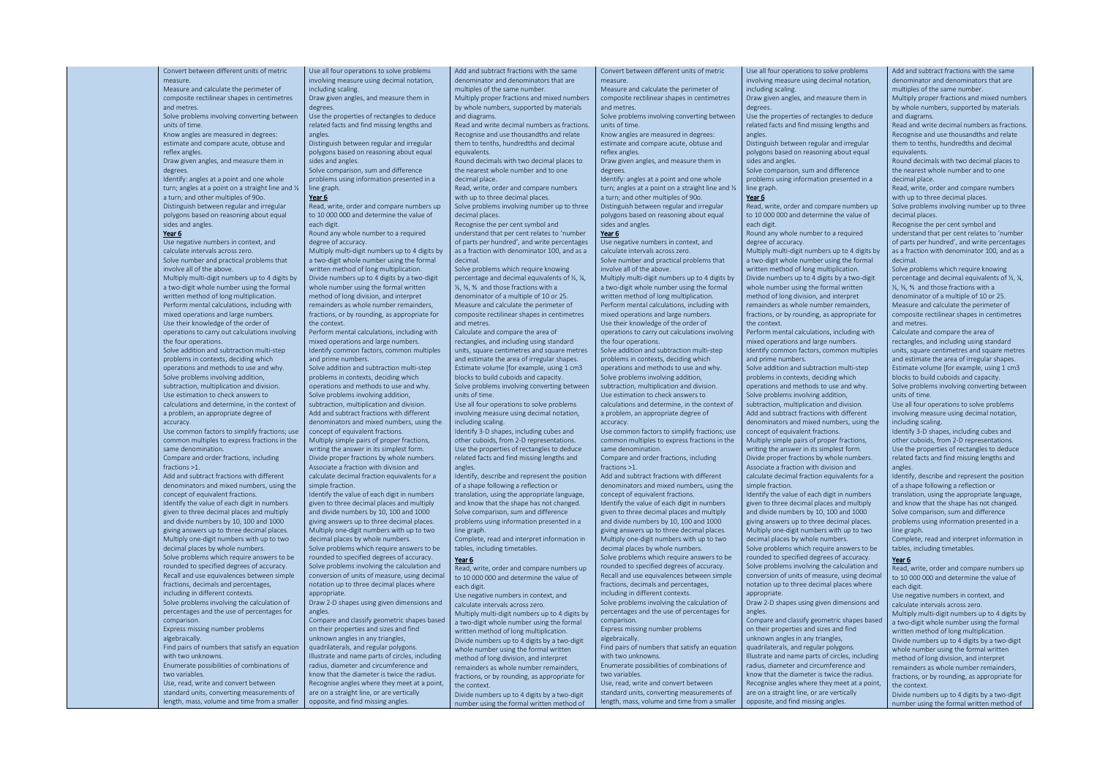Convert between different units of metric measure. Measure and calculate the perimeter of composite rectilinear shapes in centimetres

and metres. Solve problems involving converting between

units of time. Know angles are measured in degrees:

estimate and compare acute, obtuse and reflex angles.

Draw given angles, and measure them in degrees.

Identify: angles at a point and one whole turn; angles at a point on a straight line and ½ a turn; and other multiples of 90o. Distinguish between regular and irregular polygons based on reasoning about equal sides and angles.

#### Year 6

Use negative numbers in context, and calculate intervals across zero. Solve number and practical problems that involve all of the above.

Multiply multi-digit numbers up to 4 digits by a two-digit whole number using the formal written method of long multiplication. Perform mental calculations, including with mixed operations and large numbers. Use their knowledge of the order of operations to carry out calculations involving the four operations.

Solve addition and subtraction multi-step problems in contexts, deciding which operations and methods to use and why. Solve problems involving addition, subtraction, multiplication and division. Use estimation to check answers to calculations and determine, in the context of a problem, an appropriate degree of accuracy.

Use common factors to simplify fractions; use common multiples to express fractions in the same denomination.

Compare and order fractions, including fractions >1.

Add and subtract fractions with different denominators and mixed numbers, using the concept of equivalent fractions. Identify the value of each digit in numbers given to three decimal places and multiply and divide numbers by 10, 100 and 1000 giving answers up to three decimal places. Multiply one-digit numbers with up to two decimal places by whole numbers. Solve problems which require answers to be rounded to specified degrees of accuracy. Recall and use equivalences between simple fractions, decimals and percentages, including in different contexts. Solve problems involving the calculation of percentages and the use of percentages for comparison.

Express missing number problems algebraically.

Find pairs of numbers that satisfy an equation with two unknowns.

Enumerate possibilities of combinations of two variables.

Use, read, write and convert between standard units, converting measurements of length, mass, volume and time from a smaller Use all four operations to solve problems involving measure using decimal notation, including scaling. Draw given angles, and measure them in

degrees. Use the properties of rectangles to deduce

related facts and find missing lengths and angles. Distinguish between regular and irregular

polygons based on reasoning about equal sides and angles.

Solve comparison, sum and difference problems using information presented in a line graph.

### Year 6

Read, write, order and compare numbers up to 10 000 000 and determine the value of each digit.

Round any whole number to a required degree of accuracy. Multiply multi-digit numbers up to 4 digits by

a two-digit whole number using the formal written method of long multiplication. Divide numbers up to 4 digits by a two-digit whole number using the formal written method of long division, and interpret remainders as whole number remainders, fractions, or by rounding, as appropriate for the context.

Perform mental calculations, including with mixed operations and large numbers. Identify common factors, common multiples and prime numbers.

Solve addition and subtraction multi-step problems in contexts, deciding which operations and methods to use and why. Solve problems involving addition, subtraction, multiplication and division.

Add and subtract fractions with different denominators and mixed numbers, using the concept of equivalent fractions.

Multiply simple pairs of proper fractions, writing the answer in its simplest form. Divide proper fractions by whole numbers. Associate a fraction with division and calculate decimal fraction equivalents for a simple fraction.

Identify the value of each digit in numbers given to three decimal places and multiply and divide numbers by 10, 100 and 1000 giving answers up to three decimal places. Multiply one-digit numbers with up to two decimal places by whole numbers.

Solve problems which require answers to be rounded to specified degrees of accuracy. Solve problems involving the calculation and conversion of units of measure, using decimal notation up to three decimal places where appropriate.

Draw 2-D shapes using given dimensions and angles.

Compare and classify geometric shapes based on their properties and sizes and find unknown angles in any triangles, quadrilaterals, and regular polygons. Illustrate and name parts of circles, including radius, diameter and circumference and know that the diameter is twice the radius. Recognise angles where they meet at a point, are on a straight line, or are vertically opposite, and find missing angles.

Add and subtract fractions with the same denominator and denominators that are multiples of the same number.

Multiply proper fractions and mixed numbers by whole numbers, supported by materials and diagrams.

Read and write decimal numbers as fractions. Recognise and use thousandths and relate them to tenths, hundredths and decimal equivalents.

Round decimals with two decimal places to the nearest whole number and to one

decimal place. Read, write, order and compare numbers

with up to three decimal places. Solve problems involving number up to three decimal places.

Recognise the per cent symbol and understand that per cent relates to 'number of parts per hundred', and write percentages as a fraction with denominator 100, and as a decimal.

Solve problems which require knowing percentage and decimal equivalents of ½, ¼, ⅕, ⅖, ⅘ and those fractions with a denominator of a multiple of 10 or 25. Measure and calculate the perimeter of composite rectilinear shapes in centimetres and metres.

Calculate and compare the area of rectangles, and including using standard units, square centimetres and square metres and estimate the area of irregular shapes. Estimate volume [for example, using 1 cm3 blocks to build cuboids and capacity. Solve problems involving converting between units of time.

Use all four operations to solve problems involving measure using decimal notation, including scaling.

Identify 3-D shapes, including cubes and other cuboids, from 2-D representations. Use the properties of rectangles to deduce related facts and find missing lengths and angles.

Identify, describe and represent the position of a shape following a reflection or translation, using the appropriate language, and know that the shape has not changed. Solve comparison, sum and difference problems using information presented in a line graph.

Complete, read and interpret information in tables, including timetables.

## Year 6

Read, write, order and compare numbers up to 10 000 000 and determine the value of each digit.

Use negative numbers in context, and calculate intervals across zero.

Multiply multi-digit numbers up to 4 digits by a two-digit whole number using the formal written method of long multiplication. Divide numbers up to 4 digits by a two-digit whole number using the formal written method of long division, and interpret remainders as whole number remainders, fractions, or by rounding, as appropriate for the context.

Divide numbers up to 4 digits by a two-digit number using the formal written method of

Convert between different units of metric measure. Measure and calculate the perimeter of

composite rectilinear shapes in centimetres and metres.

Solve problems involving converting between units of time.

Know angles are measured in degrees: estimate and compare acute, obtuse and

reflex angles. Draw given angles, and measure them in

degrees.

Identify: angles at a point and one whole turn; angles at a point on a straight line and ½ a turn; and other multiples of 90o. Distinguish between regular and irregular polygons based on reasoning about equal

sides and angles.

# Year 6

Use negative numbers in context, and calculate intervals across zero. Solve number and practical problems that involve all of the above.

Multiply multi-digit numbers up to 4 digits by a two-digit whole number using the formal written method of long multiplication. Perform mental calculations, including with mixed operations and large numbers. Use their knowledge of the order of operations to carry out calculations involving

the four operations. Solve addition and subtraction multi-step problems in contexts, deciding which

operations and methods to use and why. Solve problems involving addition, subtraction, multiplication and division. Use estimation to check answers to calculations and determine, in the context of a problem, an appropriate degree of accuracy.

Use common factors to simplify fractions; use common multiples to express fractions in the same denomination.

Compare and order fractions, including fractions >1.

Add and subtract fractions with different denominators and mixed numbers, using the concept of equivalent fractions. Identify the value of each digit in numbers given to three decimal places and multiply and divide numbers by 10, 100 and 1000

giving answers up to three decimal places. Multiply one-digit numbers with up to two decimal places by whole numbers. Solve problems which require answers to be rounded to specified degrees of accuracy. Recall and use equivalences between simple

fractions, decimals and percentages, including in different contexts. Solve problems involving the calculation of

percentages and the use of percentages for comparison.

Express missing number problems algebraically.

Find pairs of numbers that satisfy an equation with two unknowns.

Enumerate possibilities of combinations of two variables.

Use, read, write and convert between standard units, converting measurements of length, mass, volume and time from a smaller

line graph.

each digit.

Use all four operations to solve problems involving measure using decimal notation, including scaling. Draw given angles, and measure them in degrees. Use the properties of rectangles to deduce related facts and find missing lengths and angles. Distinguish between regular and irregular polygons based on reasoning about equal sides and angles. Solve comparison, sum and difference problems using information presented in a Year 6 Read, write, order and compare numbers up to 10 000 000 and determine the value of Round any whole number to a required degree of accuracy. Multiply multi-digit numbers up to 4 digits by a two-digit whole number using the formal written method of long multiplication. Divide numbers up to 4 digits by a two-digit whole number using the formal written method of long division, and interpret remainders as whole number remainders, fractions, or by rounding, as appropriate for the context. Perform mental calculations, including with mixed operations and large numbers. Identify common factors, common multiples and prime numbers. Solve addition and subtraction multi-step problems in contexts, deciding which operations and methods to use and why. Solve problems involving addition, subtraction, multiplication and division. Add and subtract fractions with different denominators and mixed numbers, using the concept of equivalent fractions. Multiply simple pairs of proper fractions, writing the answer in its simplest form. Divide proper fractions by whole numbers. Associate a fraction with division and calculate decimal fraction equivalents for a simple fraction. Identify the value of each digit in numbers given to three decimal places and multiply and divide numbers by 10, 100 and 1000 giving answers up to three decimal places. Multiply one-digit numbers with up to two decimal places by whole numbers. Solve problems which require answers to be rounded to specified degrees of accuracy. Solve problems involving the calculation and conversion of units of measure, using decimal notation up to three decimal places where appropriate. Draw 2-D shapes using given dimensions and angles. Compare and classify geometric shapes based on their properties and sizes and find unknown angles in any triangles, quadrilaterals, and regular polygons. Illustrate and name parts of circles, including radius, diameter and circumference and Add and subtract fractions with the same denominator and denominators that are multiples of the same number. Multiply proper fractions and mixed numbers by whole numbers, supported by materials and diagrams. Read and write decimal numbers as fractions. Recognise and use thousandths and relate them to tenths, hundredths and decimal equivalents. Round decimals with two decimal places to the nearest whole number and to one decimal place. Read, write, order and compare numbers with up to three decimal places. Solve problems involving number up to three decimal places. Recognise the per cent symbol and understand that per cent relates to 'number of parts per hundred', and write percentages as a fraction with denominator 100, and as a decimal. Solve problems which require knowing percentage and decimal equivalents of ½, ¼, ⅕, ⅖, ⅘ and those fractions with a denominator of a multiple of 10 or 25. Measure and calculate the perimeter of composite rectilinear shapes in centimetres and metres. Calculate and compare the area of rectangles, and including using standard units, square centimetres and square metres and estimate the area of irregular shapes. Estimate volume [for example, using 1 cm3 blocks to build cuboids and capacity. Solve problems involving converting between units of time. Use all four operations to solve problems involving measure using decimal notation, including scaling. Identify 3-D shapes, including cubes and other cuboids, from 2-D representations. Use the properties of rectangles to deduce related facts and find missing lengths and angles. Identify, describe and represent the position of a shape following a reflection or translation, using the appropriate language, and know that the shape has not changed. Solve comparison, sum and difference problems using information presented in a line graph. Complete, read and interpret information in tables, including timetables. Year 6 Read, write, order and compare numbers up to 10 000 000 and determine the value of each digit. Use negative numbers in context, and calculate intervals across zero. Multiply multi-digit numbers up to 4 digits by a two-digit whole number using the formal written method of long multiplication. Divide numbers up to 4 digits by a two-digit whole number using the formal written method of long division, and interpret remainders as whole number remainders,

know that the diameter is twice the radius. Recognise angles where they meet at a point, are on a straight line, or are vertically opposite, and find missing angles.

fractions, or by rounding, as appropriate for the context. Divide numbers up to 4 digits by a two-digit

number using the formal written method of